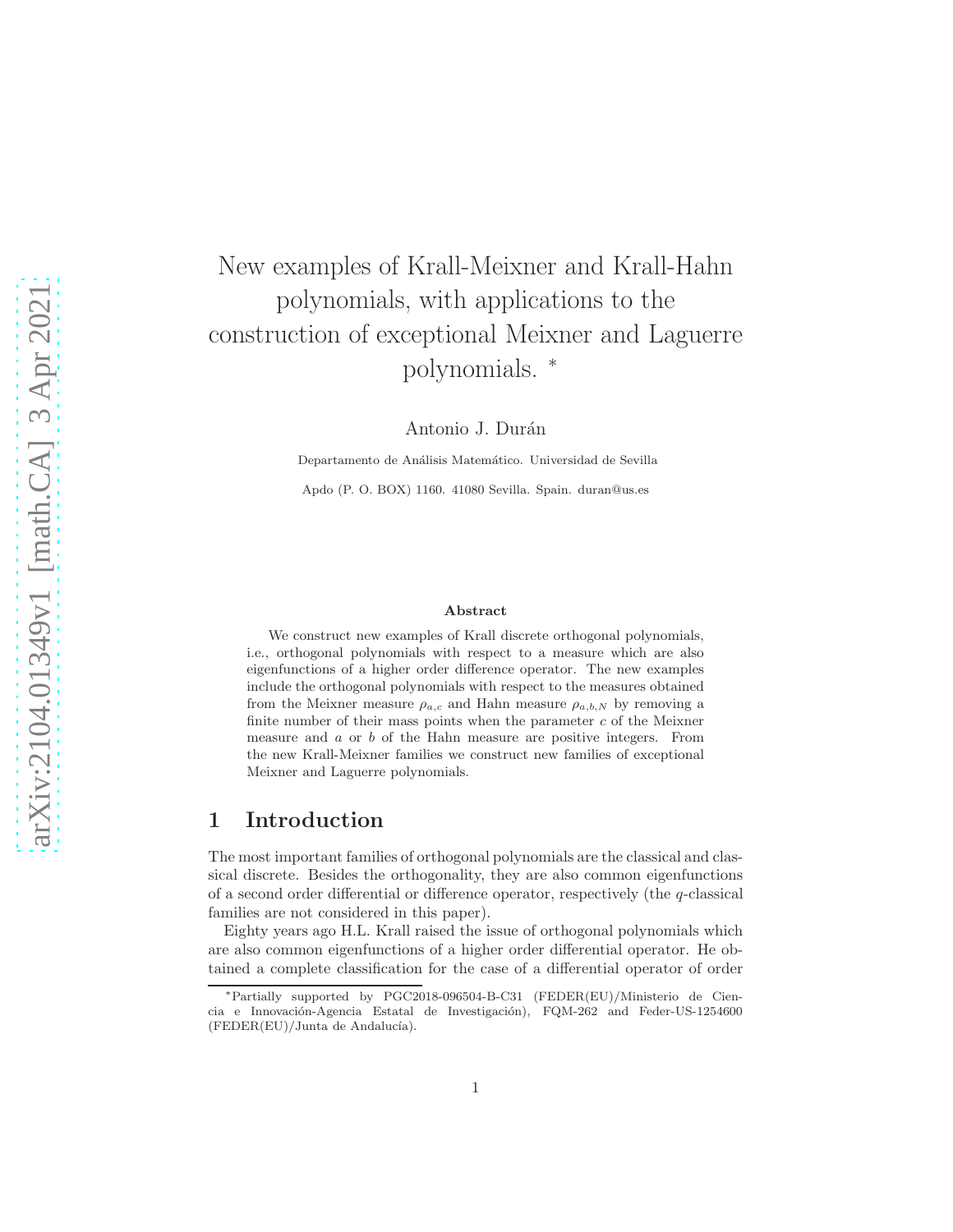# New examples of Krall-Meixner and Krall-Hahn polynomials, with applications to the construction of exceptional Meixner and Laguerre polynomials. <sup>∗</sup>

Antonio J. Durán

Departamento de Análisis Matemático. Universidad de Sevilla Apdo (P. O. BOX) 1160. 41080 Sevilla. Spain. duran@us.es

#### Abstract

We construct new examples of Krall discrete orthogonal polynomials, i.e., orthogonal polynomials with respect to a measure which are also eigenfunctions of a higher order difference operator. The new examples include the orthogonal polynomials with respect to the measures obtained from the Meixner measure  $\rho_{a,c}$  and Hahn measure  $\rho_{a,b,N}$  by removing a finite number of their mass points when the parameter  $c$  of the Meixner measure and a or b of the Hahn measure are positive integers. From the new Krall-Meixner families we construct new families of exceptional Meixner and Laguerre polynomials.

### 1 Introduction

The most important families of orthogonal polynomials are the classical and classical discrete. Besides the orthogonality, they are also common eigenfunctions of a second order differential or difference operator, respectively (the  $q$ -classical families are not considered in this paper).

Eighty years ago H.L. Krall raised the issue of orthogonal polynomials which are also common eigenfunctions of a higher order differential operator. He obtained a complete classification for the case of a differential operator of order

<sup>∗</sup>Partially supported by PGC2018-096504-B-C31 (FEDER(EU)/Ministerio de Ciencia e Innovación-Agencia Estatal de Investigación), FQM-262 and Feder-US-1254600 (FEDER(EU)/Junta de Andalucía).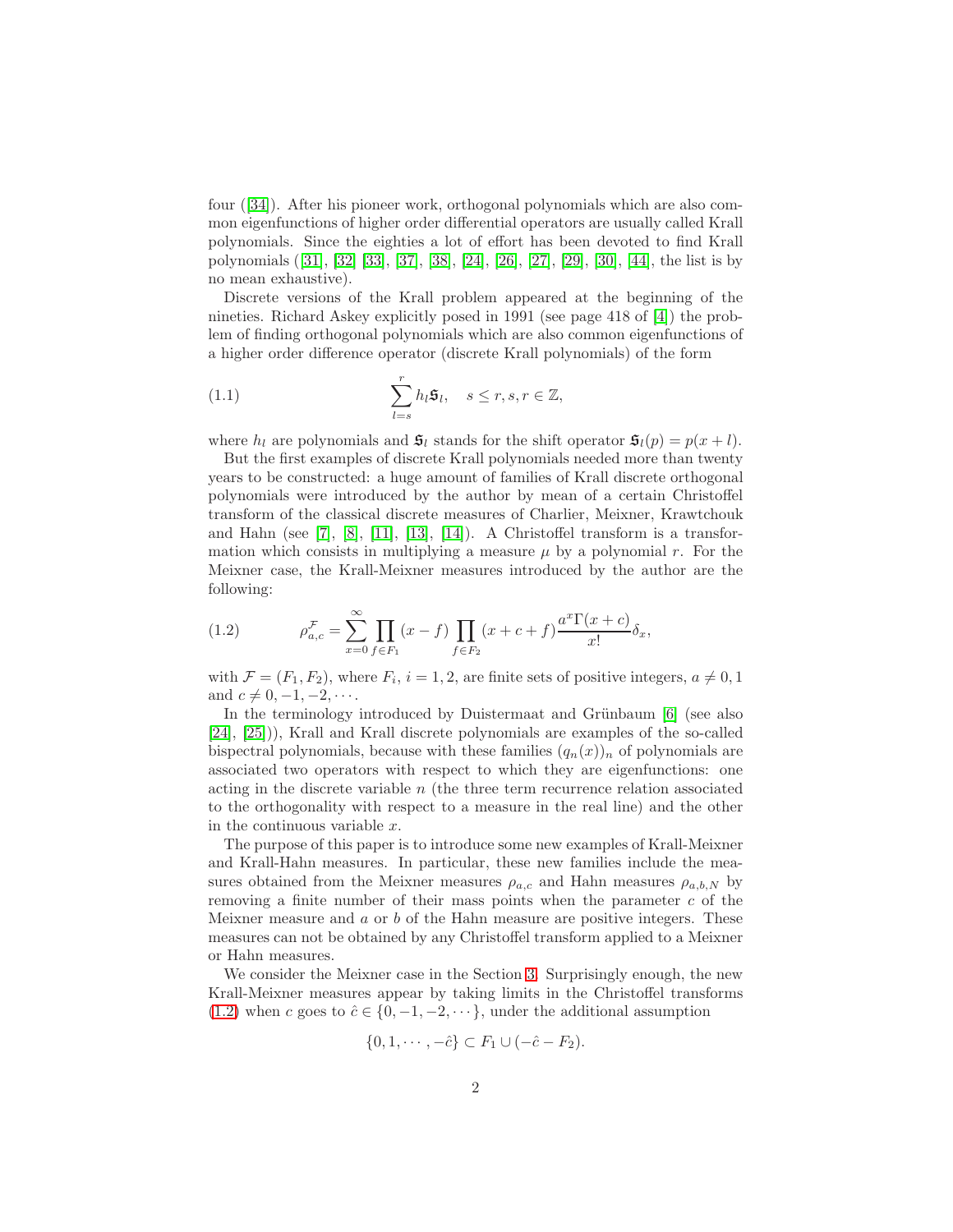four([\[34\]](#page-30-0)). After his pioneer work, orthogonal polynomials which are also common eigenfunctions of higher order differential operators are usually called Krall polynomials. Since the eighties a lot of effort has been devoted to find Krall polynomials([\[31\]](#page-30-1), [\[32\]](#page-30-2) [\[33\]](#page-30-3), [\[37\]](#page-30-4), [\[38\]](#page-30-5), [\[24\]](#page-29-0), [\[26\]](#page-29-1), [\[27\]](#page-29-2), [\[29\]](#page-29-3), [\[30\]](#page-29-4), [\[44\]](#page-30-6), the list is by no mean exhaustive).

Discrete versions of the Krall problem appeared at the beginning of the nineties. Richard Askey explicitly posed in 1991 (see page 418 of [\[4\]](#page-28-0)) the problem of finding orthogonal polynomials which are also common eigenfunctions of a higher order difference operator (discrete Krall polynomials) of the form

<span id="page-1-1"></span>(1.1) 
$$
\sum_{l=s}^{r} h_l \mathfrak{s}_l, \quad s \leq r, s, r \in \mathbb{Z},
$$

where  $h_l$  are polynomials and  $\mathfrak{s}_l$  stands for the shift operator  $\mathfrak{s}_l(p) = p(x + l)$ .

But the first examples of discrete Krall polynomials needed more than twenty years to be constructed: a huge amount of families of Krall discrete orthogonal polynomials were introduced by the author by mean of a certain Christoffel transform of the classical discrete measures of Charlier, Meixner, Krawtchouk and Hahn (see [\[7\]](#page-28-1), [\[8\]](#page-28-2), [\[11\]](#page-28-3), [\[13\]](#page-28-4), [\[14\]](#page-28-5)). A Christoffel transform is a transformation which consists in multiplying a measure  $\mu$  by a polynomial r. For the Meixner case, the Krall-Meixner measures introduced by the author are the following:

<span id="page-1-0"></span>(1.2) 
$$
\rho_{a,c}^{\mathcal{F}} = \sum_{x=0}^{\infty} \prod_{f \in F_1} (x - f) \prod_{f \in F_2} (x + c + f) \frac{a^x \Gamma(x + c)}{x!} \delta_x,
$$

with  $\mathcal{F} = (F_1, F_2)$ , where  $F_i$ ,  $i = 1, 2$ , are finite sets of positive integers,  $a \neq 0, 1$ and  $c \neq 0, -1, -2, \cdots$ .

In the terminology introduced by Duistermaat and Grünbaum [\[6\]](#page-28-6) (see also [\[24\]](#page-29-0), [\[25\]](#page-29-5))), Krall and Krall discrete polynomials are examples of the so-called bispectral polynomials, because with these families  $(q_n(x))_n$  of polynomials are associated two operators with respect to which they are eigenfunctions: one acting in the discrete variable  $n$  (the three term recurrence relation associated to the orthogonality with respect to a measure in the real line) and the other in the continuous variable x.

The purpose of this paper is to introduce some new examples of Krall-Meixner and Krall-Hahn measures. In particular, these new families include the measures obtained from the Meixner measures  $\rho_{a,c}$  and Hahn measures  $\rho_{a,b,N}$  by removing a finite number of their mass points when the parameter  $c$  of the Meixner measure and  $\alpha$  or  $\beta$  of the Hahn measure are positive integers. These measures can not be obtained by any Christoffel transform applied to a Meixner or Hahn measures.

We consider the Meixner case in the Section [3.](#page-6-0) Surprisingly enough, the new Krall-Meixner measures appear by taking limits in the Christoffel transforms [\(1.2\)](#page-1-0) when c goes to  $\hat{c} \in \{0, -1, -2, \dots\}$ , under the additional assumption

$$
\{0, 1, \cdots, -\hat{c}\} \subset F_1 \cup (-\hat{c} - F_2).
$$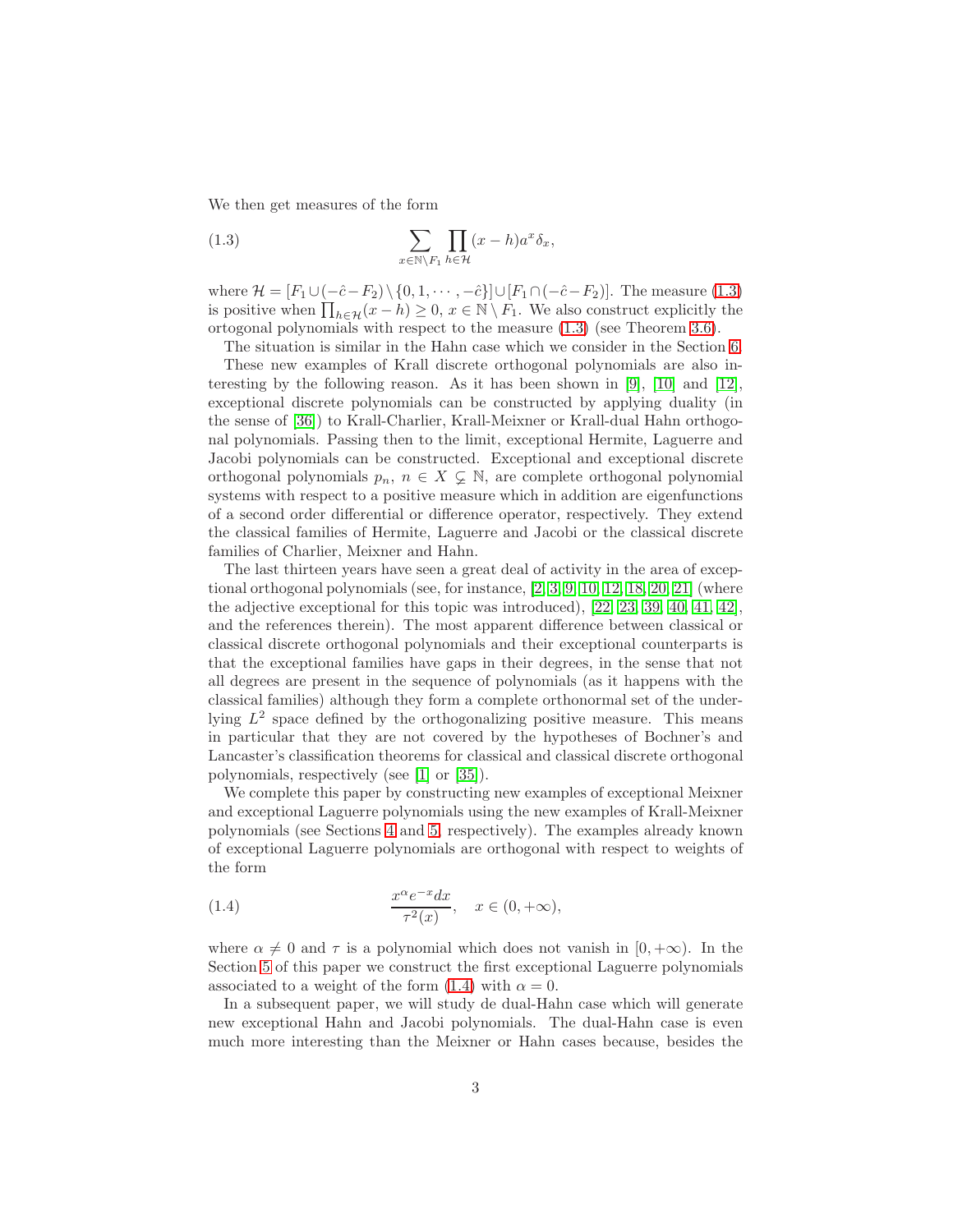We then get measures of the form

<span id="page-2-0"></span>(1.3) 
$$
\sum_{x \in \mathbb{N} \setminus F_1} \prod_{h \in \mathcal{H}} (x - h) a^x \delta_x,
$$

where  $\mathcal{H} = [F_1 \cup (-\hat{c} - F_2) \setminus \{0, 1, \cdots, -\hat{c}\}] \cup [F_1 \cap (-\hat{c} - F_2)].$  The measure [\(1.3\)](#page-2-0) is positive when  $\prod_{h\in\mathcal{H}}(x-h)\geq 0, x\in\mathbb{N}\setminus F_1$ . We also construct explicitly the ortogonal polynomials with respect to the measure [\(1.3\)](#page-2-0) (see Theorem [3.6\)](#page-12-0).

The situation is similar in the Hahn case which we consider in the Section [6.](#page-23-0) These new examples of Krall discrete orthogonal polynomials are also interesting by the following reason. As it has been shown in [\[9\]](#page-28-7), [\[10\]](#page-28-8) and [\[12\]](#page-28-9), exceptional discrete polynomials can be constructed by applying duality (in the sense of [\[36\]](#page-30-7)) to Krall-Charlier, Krall-Meixner or Krall-dual Hahn orthogonal polynomials. Passing then to the limit, exceptional Hermite, Laguerre and Jacobi polynomials can be constructed. Exceptional and exceptional discrete orthogonal polynomials  $p_n, n \in X \subsetneq \mathbb{N}$ , are complete orthogonal polynomial systems with respect to a positive measure which in addition are eigenfunctions of a second order differential or difference operator, respectively. They extend the classical families of Hermite, Laguerre and Jacobi or the classical discrete families of Charlier, Meixner and Hahn.

The last thirteen years have seen a great deal of activity in the area of exceptional orthogonal polynomials (see, for instance, [\[2,](#page-27-0) [3,](#page-28-10) [9,](#page-28-7) [10,](#page-28-8) [12,](#page-28-9) [18,](#page-29-6) [20,](#page-29-7) [21\]](#page-29-8) (where the adjective exceptional for this topic was introduced), [\[22,](#page-29-9) [23,](#page-29-10) [39,](#page-30-8) [40,](#page-30-9) [41,](#page-30-10) [42\]](#page-30-11), and the references therein). The most apparent difference between classical or classical discrete orthogonal polynomials and their exceptional counterparts is that the exceptional families have gaps in their degrees, in the sense that not all degrees are present in the sequence of polynomials (as it happens with the classical families) although they form a complete orthonormal set of the underlying  $L^2$  space defined by the orthogonalizing positive measure. This means in particular that they are not covered by the hypotheses of Bochner's and Lancaster's classification theorems for classical and classical discrete orthogonal polynomials, respectively (see [\[1\]](#page-27-1) or [\[35\]](#page-30-12)).

We complete this paper by constructing new examples of exceptional Meixner and exceptional Laguerre polynomials using the new examples of Krall-Meixner polynomials (see Sections [4](#page-14-0) and [5,](#page-19-0) respectively). The examples already known of exceptional Laguerre polynomials are orthogonal with respect to weights of the form

<span id="page-2-1"></span>(1.4) 
$$
\frac{x^{\alpha}e^{-x}dx}{\tau^2(x)}, \quad x \in (0, +\infty),
$$

where  $\alpha \neq 0$  and  $\tau$  is a polynomial which does not vanish in [0, + $\infty$ ). In the Section [5](#page-19-0) of this paper we construct the first exceptional Laguerre polynomials associated to a weight of the form [\(1.4\)](#page-2-1) with  $\alpha = 0$ .

In a subsequent paper, we will study de dual-Hahn case which will generate new exceptional Hahn and Jacobi polynomials. The dual-Hahn case is even much more interesting than the Meixner or Hahn cases because, besides the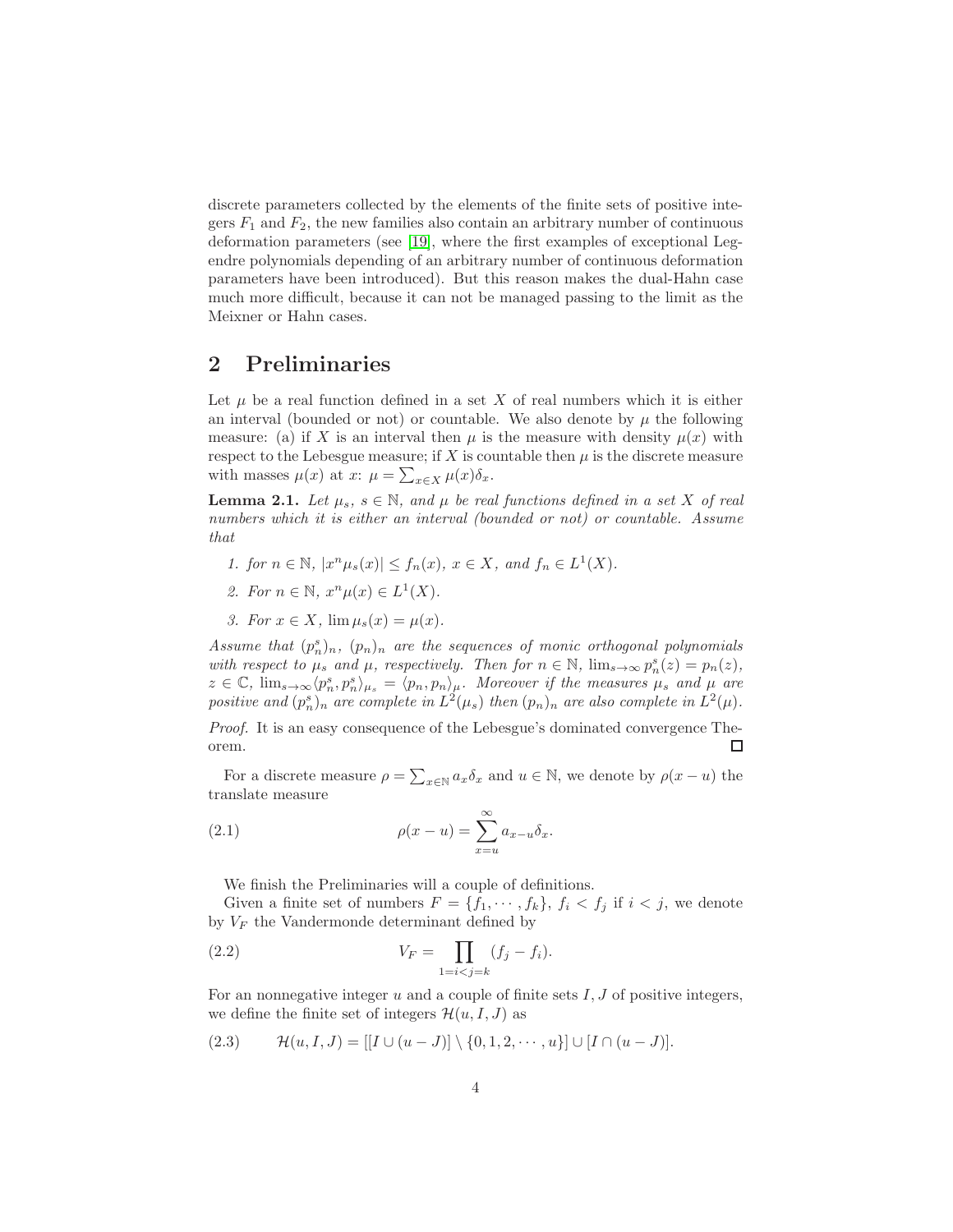discrete parameters collected by the elements of the finite sets of positive integers  $F_1$  and  $F_2$ , the new families also contain an arbitrary number of continuous deformation parameters (see [\[19\]](#page-29-11), where the first examples of exceptional Legendre polynomials depending of an arbitrary number of continuous deformation parameters have been introduced). But this reason makes the dual-Hahn case much more difficult, because it can not be managed passing to the limit as the Meixner or Hahn cases.

### 2 Preliminaries

Let  $\mu$  be a real function defined in a set X of real numbers which it is either an interval (bounded or not) or countable. We also denote by  $\mu$  the following measure: (a) if X is an interval then  $\mu$  is the measure with density  $\mu(x)$  with respect to the Lebesgue measure; if X is countable then  $\mu$  is the discrete measure with masses  $\mu(x)$  at  $x: \mu = \sum_{x \in X} \mu(x) \delta_x$ .

<span id="page-3-2"></span>**Lemma 2.1.** Let  $\mu_s$ ,  $s \in \mathbb{N}$ , and  $\mu$  be real functions defined in a set X of real numbers which it is either an interval (bounded or not) or countable. Assume that

- 1. for  $n \in \mathbb{N}$ ,  $|x^{n}\mu_{s}(x)| \le f_{n}(x)$ ,  $x \in X$ , and  $f_{n} \in L^{1}(X)$ .
- 2. For  $n \in \mathbb{N}$ ,  $x^n \mu(x) \in L^1(X)$ .
- 3. For  $x \in X$ ,  $\lim \mu_s(x) = \mu(x)$ .

Assume that  $(p_n^s)_n$ ,  $(p_n)_n$  are the sequences of monic orthogonal polynomials with respect to  $\mu_s$  and  $\mu$ , respectively. Then for  $n \in \mathbb{N}$ ,  $\lim_{s \to \infty} p_n^s(z) = p_n(z)$ ,  $z \in \mathbb{C}$ ,  $\lim_{s\to\infty} \langle p_n^s, p_n^s \rangle_{\mu_s} = \langle p_n, p_n \rangle_{\mu_s}$ . Moreover if the measures  $\mu_s$  and  $\mu$  are positive and  $(p_n^s)_n$  are complete in  $L^2(\mu_s)$  then  $(p_n)_n$  are also complete in  $L^2(\mu)$ .

Proof. It is an easy consequence of the Lebesgue's dominated convergence Theorem.  $\Box$ 

For a discrete measure  $\rho = \sum_{x \in \mathbb{N}} a_x \delta_x$  and  $u \in \mathbb{N}$ , we denote by  $\rho(x - u)$  the translate measure

(2.1) 
$$
\rho(x - u) = \sum_{x=u}^{\infty} a_{x-u} \delta_x.
$$

<span id="page-3-3"></span><span id="page-3-1"></span>We finish the Preliminaries will a couple of definitions.

Given a finite set of numbers  $F = \{f_1, \dots, f_k\}, f_i < f_j$  if  $i < j$ , we denote by  $V_F$  the Vandermonde determinant defined by

(2.2) 
$$
V_F = \prod_{1=i < j=k} (f_j - f_i).
$$

For an nonnegative integer  $u$  and a couple of finite sets  $I, J$  of positive integers, we define the finite set of integers  $\mathcal{H}(u, I, J)$  as

<span id="page-3-0"></span>
$$
(2.3) \t\mathcal{H}(u, I, J) = [[I \cup (u - J)] \setminus \{0, 1, 2, \cdots, u\}] \cup [I \cap (u - J)].
$$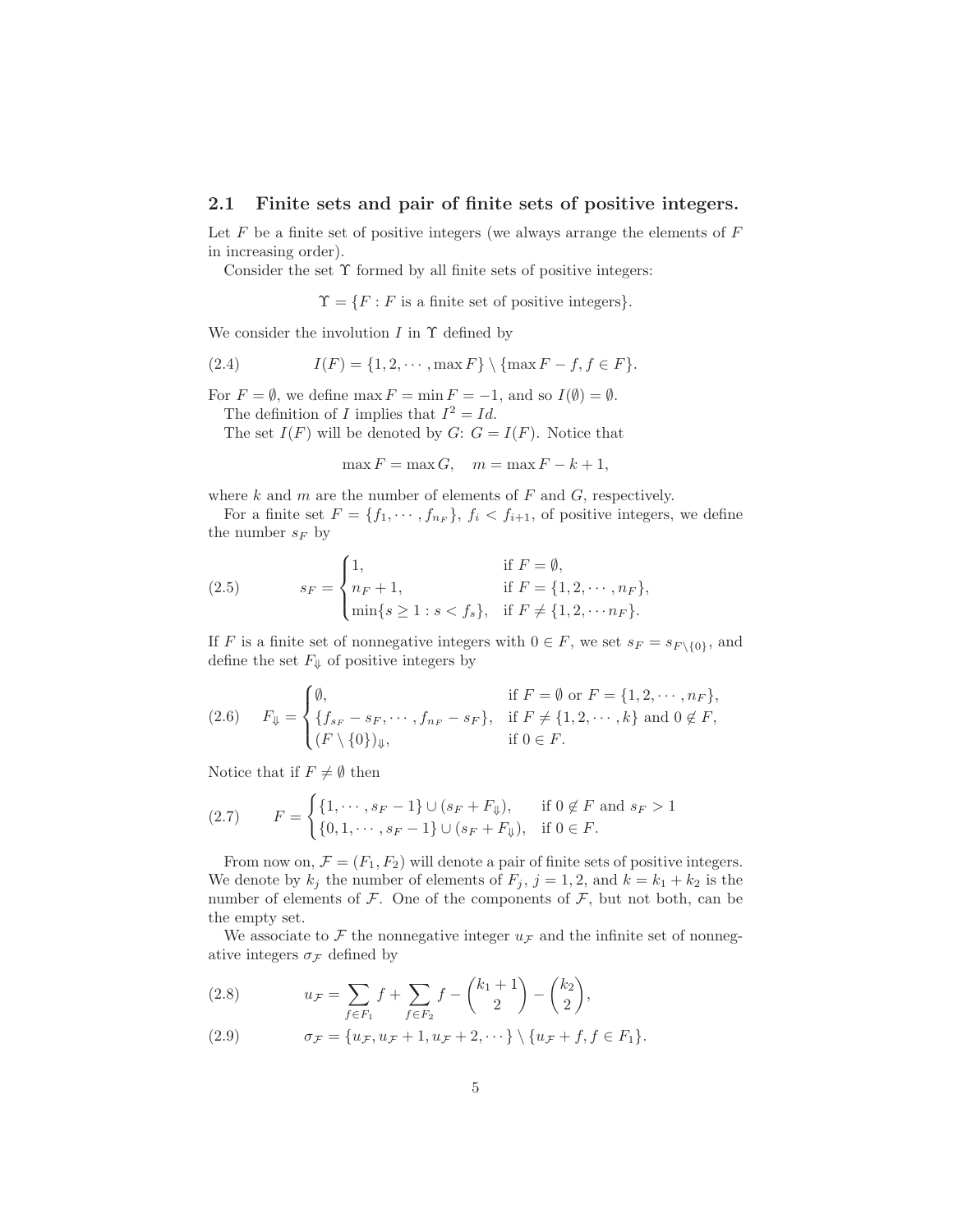### 2.1 Finite sets and pair of finite sets of positive integers.

Let  $F$  be a finite set of positive integers (we always arrange the elements of  $F$ in increasing order).

Consider the set  $\Upsilon$  formed by all finite sets of positive integers:

 $\Upsilon = \{F : F$  is a finite set of positive integers}.

We consider the involution  $I$  in  $\Upsilon$  defined by

<span id="page-4-3"></span>(2.4) 
$$
I(F) = \{1, 2, \cdots, \max F\} \setminus \{\max F - f, f \in F\}.
$$

For  $F = \emptyset$ , we define max  $F = \min F = -1$ , and so  $I(\emptyset) = \emptyset$ .

The definition of I implies that  $I^2 = Id$ .

The set  $I(F)$  will be denoted by  $G: G = I(F)$ . Notice that

 $\max F = \max G$ ,  $m = \max F - k + 1$ ,

where  $k$  and  $m$  are the number of elements of  $F$  and  $G$ , respectively.

For a finite set  $F = \{f_1, \dots, f_{n_F}\}\$ ,  $f_i < f_{i+1}$ , of positive integers, we define the number  $s_F$  by

<span id="page-4-1"></span>(2.5) 
$$
s_F = \begin{cases} 1, & \text{if } F = \emptyset, \\ n_F + 1, & \text{if } F = \{1, 2, \dots, n_F\}, \\ \min\{s \ge 1 : s < f_s\}, & \text{if } F \ne \{1, 2, \dots, n_F\}. \end{cases}
$$

If F is a finite set of nonnegative integers with  $0 \in F$ , we set  $s_F = s_{F \setminus \{0\}}$ , and define the set  $F_{\Downarrow}$  of positive integers by

<span id="page-4-0"></span>
$$
(2.6) \quad F_{\psi} = \begin{cases} \emptyset, & \text{if } F = \emptyset \text{ or } F = \{1, 2, \cdots, n_F\}, \\ \{f_{s_F} - s_F, \cdots, f_{n_F} - s_F\}, & \text{if } F \neq \{1, 2, \cdots, k\} \text{ and } 0 \notin F, \\ (F \setminus \{0\})_{\psi}, & \text{if } 0 \in F. \end{cases}
$$

Notice that if  $F \neq \emptyset$  then

<span id="page-4-2"></span>
$$
(2.7) \qquad F = \begin{cases} \{1, \cdots, s_F - 1\} \cup (s_F + F_{\Downarrow}), & \text{if } 0 \notin F \text{ and } s_F > 1 \\ \{0, 1, \cdots, s_F - 1\} \cup (s_F + F_{\Downarrow}), & \text{if } 0 \in F. \end{cases}
$$

From now on,  $\mathcal{F} = (F_1, F_2)$  will denote a pair of finite sets of positive integers. We denote by  $k_j$  the number of elements of  $F_j$ ,  $j = 1, 2$ , and  $k = k_1 + k_2$  is the number of elements of  $\mathcal F$ . One of the components of  $\mathcal F$ , but not both, can be the empty set.

We associate to F the nonnegative integer  $u_F$  and the infinite set of nonnegative integers  $\sigma_{\mathcal{F}}$  defined by

<span id="page-4-4"></span>(2.8) 
$$
u_{\mathcal{F}} = \sum_{f \in F_1} f + \sum_{f \in F_2} f - {k_1 + 1 \choose 2} - {k_2 \choose 2},
$$

<span id="page-4-5"></span>(2.9) 
$$
\sigma_{\mathcal{F}} = \{u_{\mathcal{F}}, u_{\mathcal{F}} + 1, u_{\mathcal{F}} + 2, \cdots\} \setminus \{u_{\mathcal{F}} + f, f \in F_1\}.
$$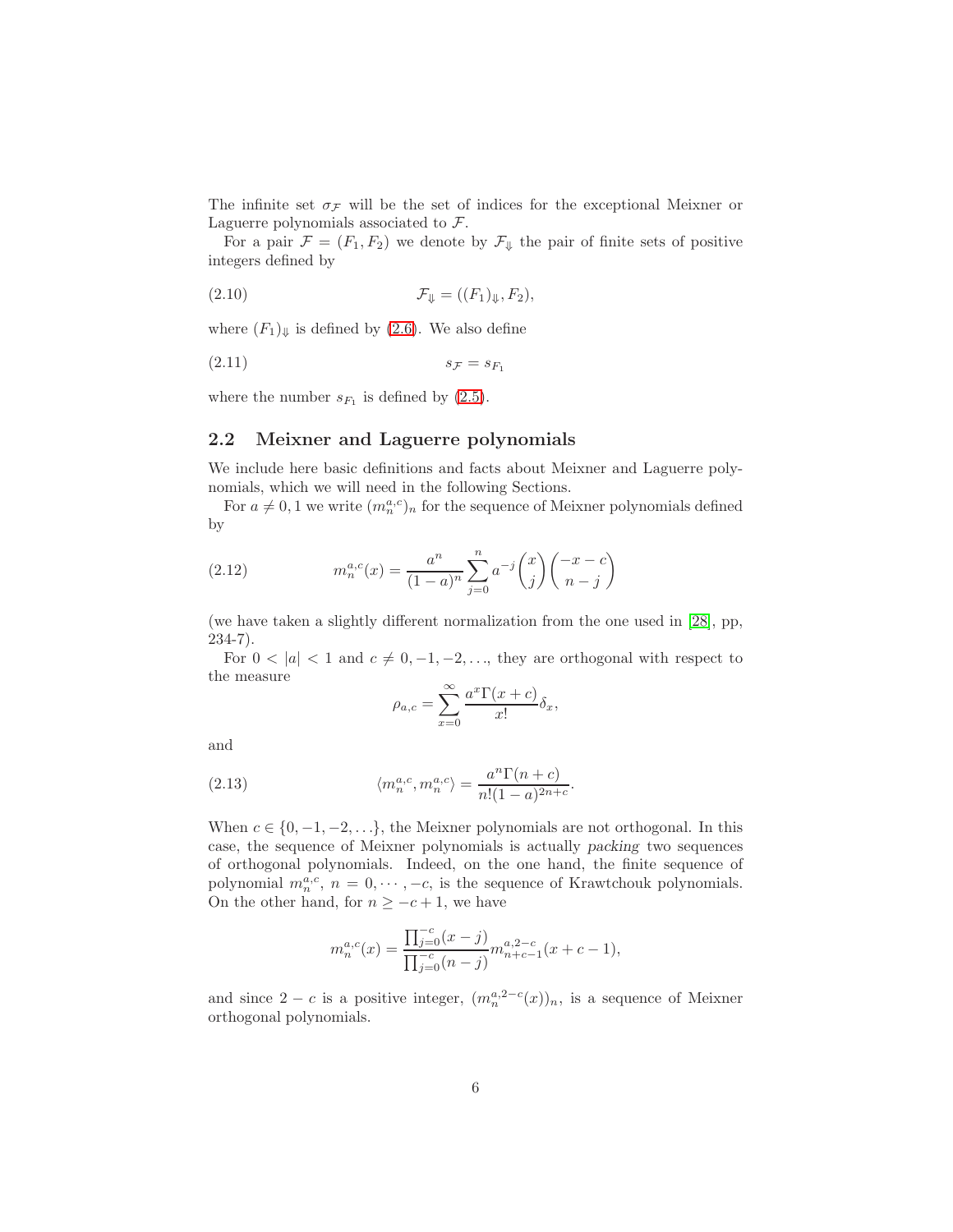The infinite set  $\sigma$ <sub>*F*</sub> will be the set of indices for the exceptional Meixner or Laguerre polynomials associated to F.

For a pair  $\mathcal{F} = (F_1, F_2)$  we denote by  $\mathcal{F}_{\psi}$  the pair of finite sets of positive integers defined by

<span id="page-5-1"></span>
$$
\mathcal{F}_{\Psi} = ((F_1)_{\Psi}, F_2),
$$

where  $(F_1)_{\Downarrow}$  is defined by [\(2.6\)](#page-4-0). We also define

<span id="page-5-0"></span>
$$
(2.11) \t\t s_{\mathcal{F}} = s_{F_1}
$$

where the number  $s_{F_1}$  is defined by  $(2.5)$ .

### 2.2 Meixner and Laguerre polynomials

We include here basic definitions and facts about Meixner and Laguerre polynomials, which we will need in the following Sections.

For  $a \neq 0, 1$  we write  $(m_n^{a,c})_n$  for the sequence of Meixner polynomials defined by

(2.12) 
$$
m_n^{a,c}(x) = \frac{a^n}{(1-a)^n} \sum_{j=0}^n a^{-j} {x \choose j} { -x - c \choose n-j}
$$

(we have taken a slightly different normalization from the one used in [\[28\]](#page-29-12), pp, 234-7).

For  $0 < |a| < 1$  and  $c \neq 0, -1, -2, \ldots$ , they are orthogonal with respect to the measure

$$
\rho_{a,c} = \sum_{x=0}^{\infty} \frac{a^x \Gamma(x+c)}{x!} \delta_x,
$$

and

(2.13) 
$$
\langle m_n^{a,c}, m_n^{a,c} \rangle = \frac{a^n \Gamma(n+c)}{n!(1-a)^{2n+c}}.
$$

When  $c \in \{0, -1, -2, \ldots\}$ , the Meixner polynomials are not orthogonal. In this case, the sequence of Meixner polynomials is actually packing two sequences of orthogonal polynomials. Indeed, on the one hand, the finite sequence of polynomial  $m_n^{a,c}$ ,  $n = 0, \dots, -c$ , is the sequence of Krawtchouk polynomials. On the other hand, for  $n \geq -c+1$ , we have

$$
m_n^{a,c}(x) = \frac{\prod_{j=0}^{-c} (x-j)}{\prod_{j=0}^{-c} (n-j)} m_{n+c-1}^{a,2-c}(x+c-1),
$$

and since  $2 - c$  is a positive integer,  $(m_n^{a,2-c}(x))_n$ , is a sequence of Meixner orthogonal polynomials.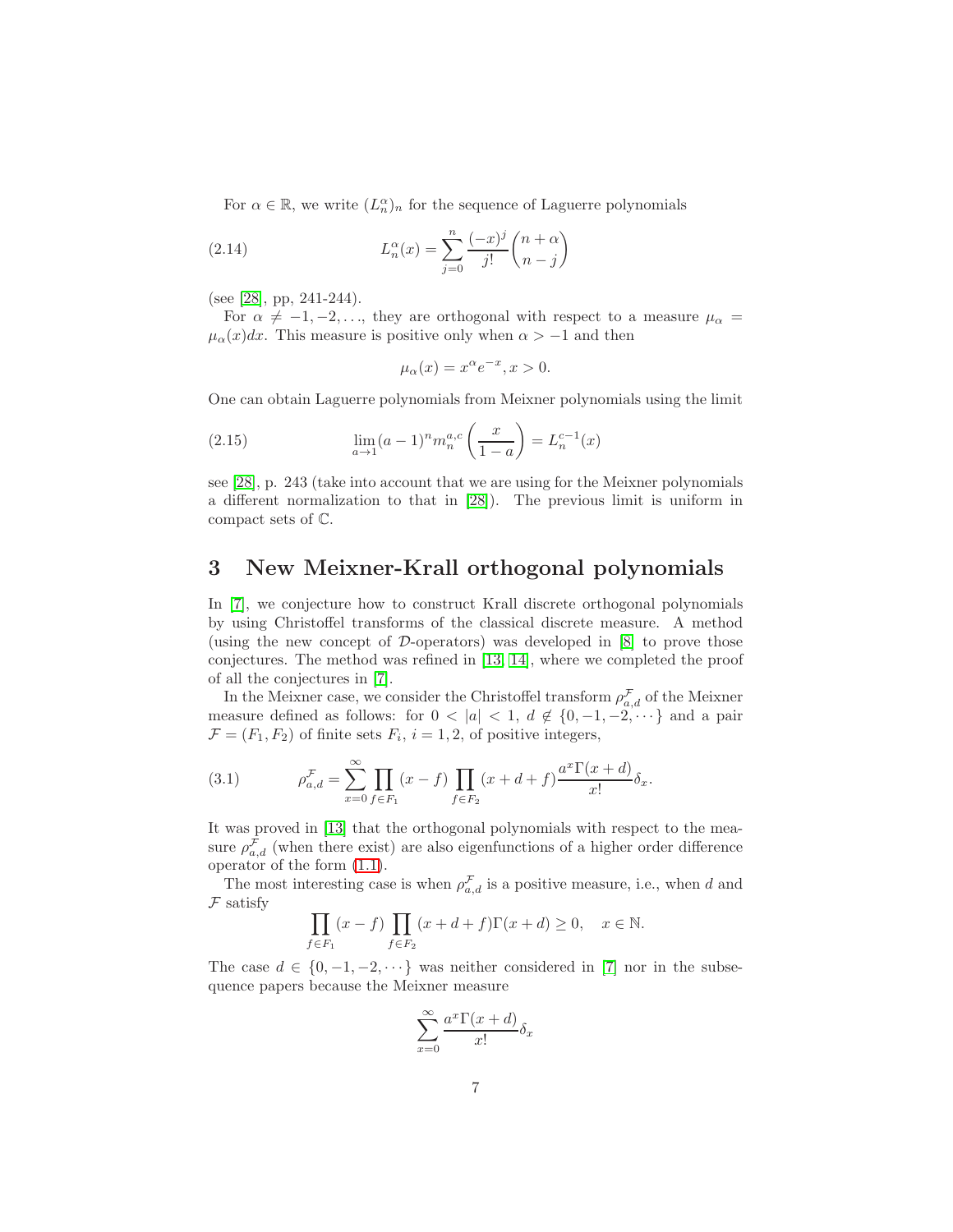For  $\alpha \in \mathbb{R}$ , we write  $(L_n^{\alpha})_n$  for the sequence of Laguerre polynomials

(2.14) 
$$
L_n^{\alpha}(x) = \sum_{j=0}^n \frac{(-x)^j}{j!} {n+\alpha \choose n-j}
$$

(see [\[28\]](#page-29-12), pp, 241-244).

For  $\alpha \neq -1, -2, \ldots$ , they are orthogonal with respect to a measure  $\mu_{\alpha} =$  $\mu_{\alpha}(x)dx$ . This measure is positive only when  $\alpha > -1$  and then

<span id="page-6-2"></span>
$$
\mu_{\alpha}(x) = x^{\alpha} e^{-x}, x > 0.
$$

One can obtain Laguerre polynomials from Meixner polynomials using the limit

(2.15) 
$$
\lim_{a \to 1} (a-1)^n m_n^{a,c} \left(\frac{x}{1-a}\right) = L_n^{c-1}(x)
$$

see [\[28\]](#page-29-12), p. 243 (take into account that we are using for the Meixner polynomials a different normalization to that in [\[28\]](#page-29-12)). The previous limit is uniform in compact sets of C.

# <span id="page-6-0"></span>3 New Meixner-Krall orthogonal polynomials

In [\[7\]](#page-28-1), we conjecture how to construct Krall discrete orthogonal polynomials by using Christoffel transforms of the classical discrete measure. A method (using the new concept of  $D$ -operators) was developed in  $[8]$  to prove those conjectures. The method was refined in [\[13,](#page-28-4) [14\]](#page-28-5), where we completed the proof of all the conjectures in [\[7\]](#page-28-1).

In the Meixner case, we consider the Christoffel transform  $\rho_{a,d}^{\mathcal{F}}$  of the Meixner measure defined as follows: for  $0 < |a| < 1$ ,  $d \notin \{0, -1, -2, \dots\}$  and a pair  $\mathcal{F} = (F_1, F_2)$  of finite sets  $F_i$ ,  $i = 1, 2$ , of positive integers,

<span id="page-6-1"></span>(3.1) 
$$
\rho_{a,d}^{\mathcal{F}} = \sum_{x=0}^{\infty} \prod_{f \in F_1} (x - f) \prod_{f \in F_2} (x + d + f) \frac{a^x \Gamma(x + d)}{x!} \delta_x.
$$

It was proved in [\[13\]](#page-28-4) that the orthogonal polynomials with respect to the measure  $\rho_{a,d}^{\mathcal{F}}$  (when there exist) are also eigenfunctions of a higher order difference operator of the form [\(1.1\)](#page-1-1).

The most interesting case is when  $\rho_{a,d}^{\mathcal{F}}$  is a positive measure, i.e., when d and  $\mathcal F$  satisfy

$$
\prod_{f \in F_1} (x - f) \prod_{f \in F_2} (x + d + f) \Gamma(x + d) \ge 0, \quad x \in \mathbb{N}.
$$

The case  $d \in \{0, -1, -2, \dots\}$  was neither considered in [\[7\]](#page-28-1) nor in the subsequence papers because the Meixner measure

$$
\sum_{x=0}^{\infty} \frac{a^x \Gamma(x+d)}{x!} \delta_x
$$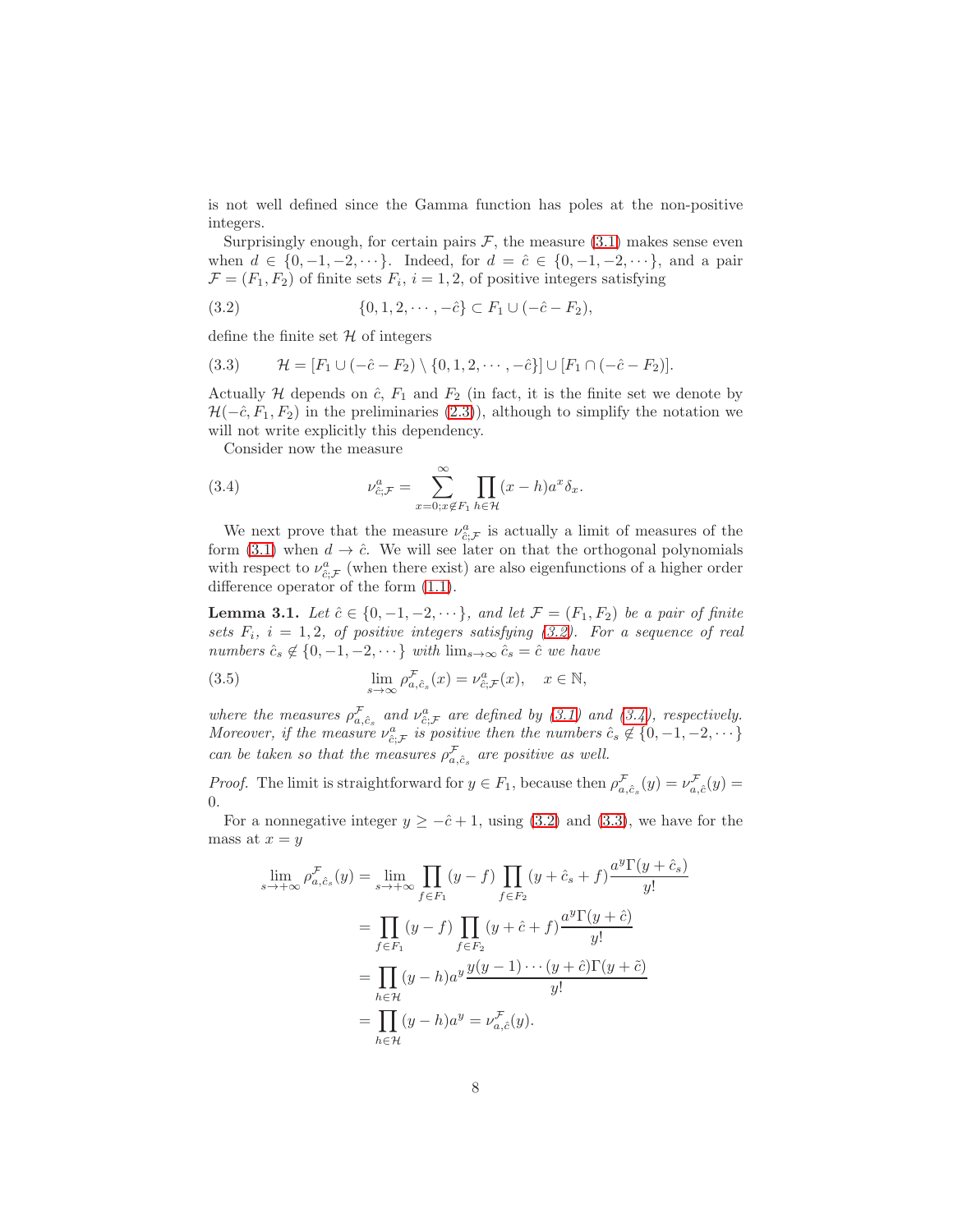is not well defined since the Gamma function has poles at the non-positive integers.

Surprisingly enough, for certain pairs  $\mathcal{F}$ , the measure [\(3.1\)](#page-6-1) makes sense even when  $d \in \{0, -1, -2, \dots\}$ . Indeed, for  $d = \hat{c} \in \{0, -1, -2, \dots\}$ , and a pair  $\mathcal{F} = (F_1, F_2)$  of finite sets  $F_i$ ,  $i = 1, 2$ , of positive integers satisfying

<span id="page-7-0"></span>(3.2) 
$$
\{0, 1, 2, \cdots, -\hat{c}\} \subset F_1 \cup (-\hat{c} - F_2),
$$

define the finite set  $\mathcal H$  of integers

<span id="page-7-2"></span>(3.3) 
$$
\mathcal{H} = [F_1 \cup (-\hat{c} - F_2) \setminus \{0, 1, 2, \cdots, -\hat{c}\}] \cup [F_1 \cap (-\hat{c} - F_2)].
$$

Actually  $H$  depends on  $\hat{c}$ ,  $F_1$  and  $F_2$  (in fact, it is the finite set we denote by  $\mathcal{H}(-\hat{c}, F_1, F_2)$  in the preliminaries [\(2.3\)](#page-3-0)), although to simplify the notation we will not write explicitly this dependency.

<span id="page-7-1"></span>Consider now the measure

(3.4) 
$$
\nu_{\hat{c};\mathcal{F}}^a = \sum_{x=0; x \notin F_1}^{\infty} \prod_{h \in \mathcal{H}} (x-h) a^x \delta_x.
$$

We next prove that the measure  $\nu_{\hat{c};\mathcal{F}}^a$  is actually a limit of measures of the form [\(3.1\)](#page-6-1) when  $d \to \hat{c}$ . We will see later on that the orthogonal polynomials with respect to  $\nu_{\hat{c};\mathcal{F}}^a$  (when there exist) are also eigenfunctions of a higher order difference operator of the form [\(1.1\)](#page-1-1).

<span id="page-7-4"></span>**Lemma 3.1.** Let  $\hat{c} \in \{0, -1, -2, \dots\}$ , and let  $\mathcal{F} = (F_1, F_2)$  be a pair of finite sets  $F_i$ ,  $i = 1, 2$ , of positive integers satisfying [\(3.2\)](#page-7-0). For a sequence of real numbers  $\hat{c}_s \notin \{0, -1, -2, \cdots\}$  with  $\lim_{s \to \infty} \hat{c}_s = \hat{c}$  we have

<span id="page-7-3"></span>(3.5) 
$$
\lim_{s \to \infty} \rho_{a,\hat{c}_s}^{\mathcal{F}}(x) = \nu_{\hat{c};\mathcal{F}}^a(x), \quad x \in \mathbb{N},
$$

where the measures  $\rho_{a,\hat{c}_s}^{\mathcal{F}}$  and  $\nu_{\hat{c};\mathcal{F}}^a$  are defined by [\(3.1\)](#page-6-1) and [\(3.4\)](#page-7-1), respectively. Moreover, if the measure  $\nu_{\hat{c};\mathcal{F}}^a$  is positive then the numbers  $\hat{c}_s \notin \{0, -1, -2, \dots\}$ can be taken so that the measures  $\rho_{a,\hat{c}_s}^{\mathcal{F}}$  are positive as well.

*Proof.* The limit is straightforward for  $y \in F_1$ , because then  $\rho_{a,\hat{c}_s}^{\mathcal{F}}(y) = \nu_{a,\hat{c}}^{\mathcal{F}}(y)$ 0.

For a nonnegative integer  $y \geq -\hat{c} + 1$ , using [\(3.2\)](#page-7-0) and [\(3.3\)](#page-7-2), we have for the mass at  $x = y$ 

$$
\lim_{s \to +\infty} \rho_{a,\hat{c}_s}^{\mathcal{F}}(y) = \lim_{s \to +\infty} \prod_{f \in F_1} (y - f) \prod_{f \in F_2} (y + \hat{c}_s + f) \frac{a^y \Gamma(y + \hat{c}_s)}{y!}
$$

$$
= \prod_{f \in F_1} (y - f) \prod_{f \in F_2} (y + \hat{c} + f) \frac{a^y \Gamma(y + \hat{c})}{y!}
$$

$$
= \prod_{h \in \mathcal{H}} (y - h) a^y \frac{y(y - 1) \cdots (y + \hat{c}) \Gamma(y + \tilde{c})}{y!}
$$

$$
= \prod_{h \in \mathcal{H}} (y - h) a^y = \nu_{a,\hat{c}}^{\mathcal{F}}(y).
$$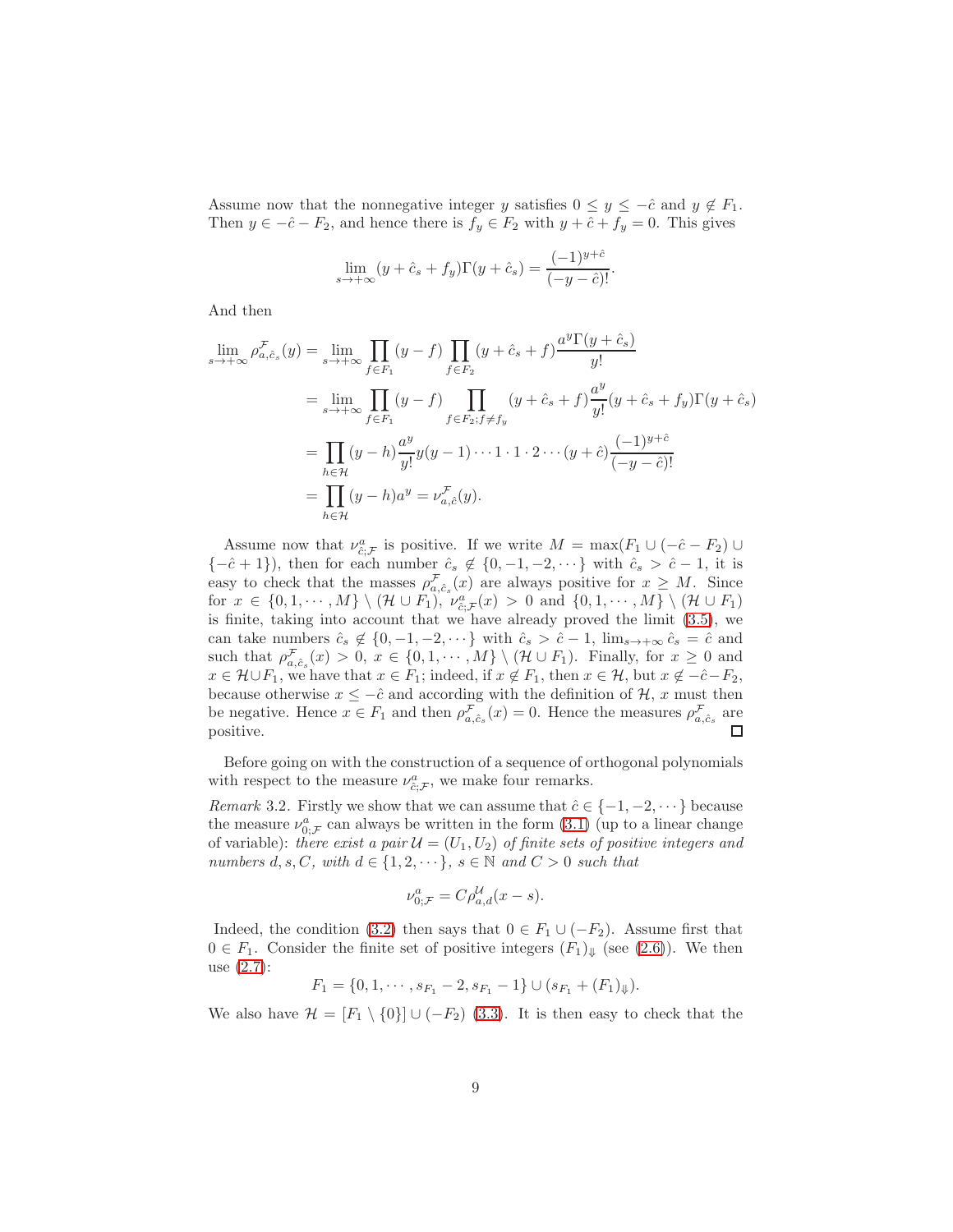Assume now that the nonnegative integer y satisfies  $0 \le y \le -\hat{c}$  and  $y \notin F_1$ . Then  $y \in -\hat{c} - F_2$ , and hence there is  $f_y \in F_2$  with  $y + \hat{c} + f_y = 0$ . This gives

$$
\lim_{s \to +\infty} (y + \hat{c}_s + f_y) \Gamma(y + \hat{c}_s) = \frac{(-1)^{y + \hat{c}}}{(-y - \hat{c})!}.
$$

And then

$$
\lim_{s \to +\infty} \rho_{a,\hat{c}_s}^{\mathcal{F}}(y) = \lim_{s \to +\infty} \prod_{f \in F_1} (y - f) \prod_{f \in F_2} (y + \hat{c}_s + f) \frac{a^y \Gamma(y + \hat{c}_s)}{y!}
$$
\n
$$
= \lim_{s \to +\infty} \prod_{f \in F_1} (y - f) \prod_{f \in F_2; f \neq f_y} (y + \hat{c}_s + f) \frac{a^y}{y!} (y + \hat{c}_s + f_y) \Gamma(y + \hat{c}_s)
$$
\n
$$
= \prod_{h \in \mathcal{H}} (y - h) \frac{a^y}{y!} y(y - 1) \cdots 1 \cdot 1 \cdot 2 \cdots (y + \hat{c}) \frac{(-1)^{y + \hat{c}}}{(-y - \hat{c})!}
$$
\n
$$
= \prod_{h \in \mathcal{H}} (y - h) a^y = \nu_{a,\hat{c}}^{\mathcal{F}}(y).
$$

Assume now that  $\nu_{\hat{c};\mathcal{F}}^a$  is positive. If we write  $M = \max(F_1 \cup (-\hat{c} - F_2) \cup$  ${-\hat{c} + 1}$ , then for each number  $\hat{c}_s \notin \{0, -1, -2, \dots\}$  with  $\hat{c}_s > \hat{c} - 1$ , it is easy to check that the masses  $\rho_{a,\hat{c}_s}^{\mathcal{F}}(x)$  are always positive for  $x \geq M$ . Since for  $x \in \{0, 1, \dots, M\} \setminus (\mathcal{H} \cup F_1)$ ,  $\nu_{\hat{c}, \mathcal{F}}^a(x) > 0$  and  $\{0, 1, \dots, M\} \setminus (\mathcal{H} \cup F_1)$ is finite, taking into account that we have already proved the limit [\(3.5\)](#page-7-3), we can take numbers  $\hat{c}_s \notin \{0, -1, -2, \dots\}$  with  $\hat{c}_s > \hat{c} - 1$ ,  $\lim_{s \to +\infty} \hat{c}_s = \hat{c}$  and such that  $\rho_{a,\hat{c}_s}^{\mathcal{F}}(x) > 0, x \in \{0,1,\dots,M\} \setminus (\mathcal{H} \cup F_1)$ . Finally, for  $x \geq 0$  and  $x \in \mathcal{H} \cup F_1$ , we have that  $x \in F_1$ ; indeed, if  $x \notin F_1$ , then  $x \in \mathcal{H}$ , but  $x \notin -\hat{c} - F_2$ , because otherwise  $x \leq -\hat{c}$  and according with the definition of  $\mathcal{H}$ , x must then be negative. Hence  $x \in F_1$  and then  $\rho_{a,\hat{c}_s}^{\mathcal{F}}(x) = 0$ . Hence the measures  $\rho_{a,\hat{c}_s}^{\mathcal{F}}$  are positive.  $\Box$ 

Before going on with the construction of a sequence of orthogonal polynomials with respect to the measure  $\nu_{\hat{c};\mathcal{F}}^a$ , we make four remarks.

<span id="page-8-0"></span>Remark 3.2. Firstly we show that we can assume that  $\hat{c} \in \{-1, -2, \dots\}$  because the measure  $\nu_{0;\mathcal{F}}^a$  can always be written in the form  $(3.1)$  (up to a linear change of variable): there exist a pair  $\mathcal{U} = (U_1, U_2)$  of finite sets of positive integers and numbers  $d, s, C$ , with  $d \in \{1, 2, \dots\}$ ,  $s \in \mathbb{N}$  and  $C > 0$  such that

$$
\nu_{0;\mathcal{F}}^a = C \rho_{a,d}^{\mathcal{U}}(x - s).
$$

Indeed, the condition [\(3.2\)](#page-7-0) then says that  $0 \in F_1 \cup (-F_2)$ . Assume first that  $0 \in F_1$ . Consider the finite set of positive integers  $(F_1)_{\Downarrow}$  (see [\(2.6\)](#page-4-0)). We then use [\(2.7\)](#page-4-2):

$$
F_1 = \{0, 1, \cdots, s_{F_1} - 2, s_{F_1} - 1\} \cup (s_{F_1} + (F_1)_{\Downarrow}).
$$

We also have  $\mathcal{H} = [F_1 \setminus \{0\}] \cup (-F_2)$  [\(3.3\)](#page-7-2). It is then easy to check that the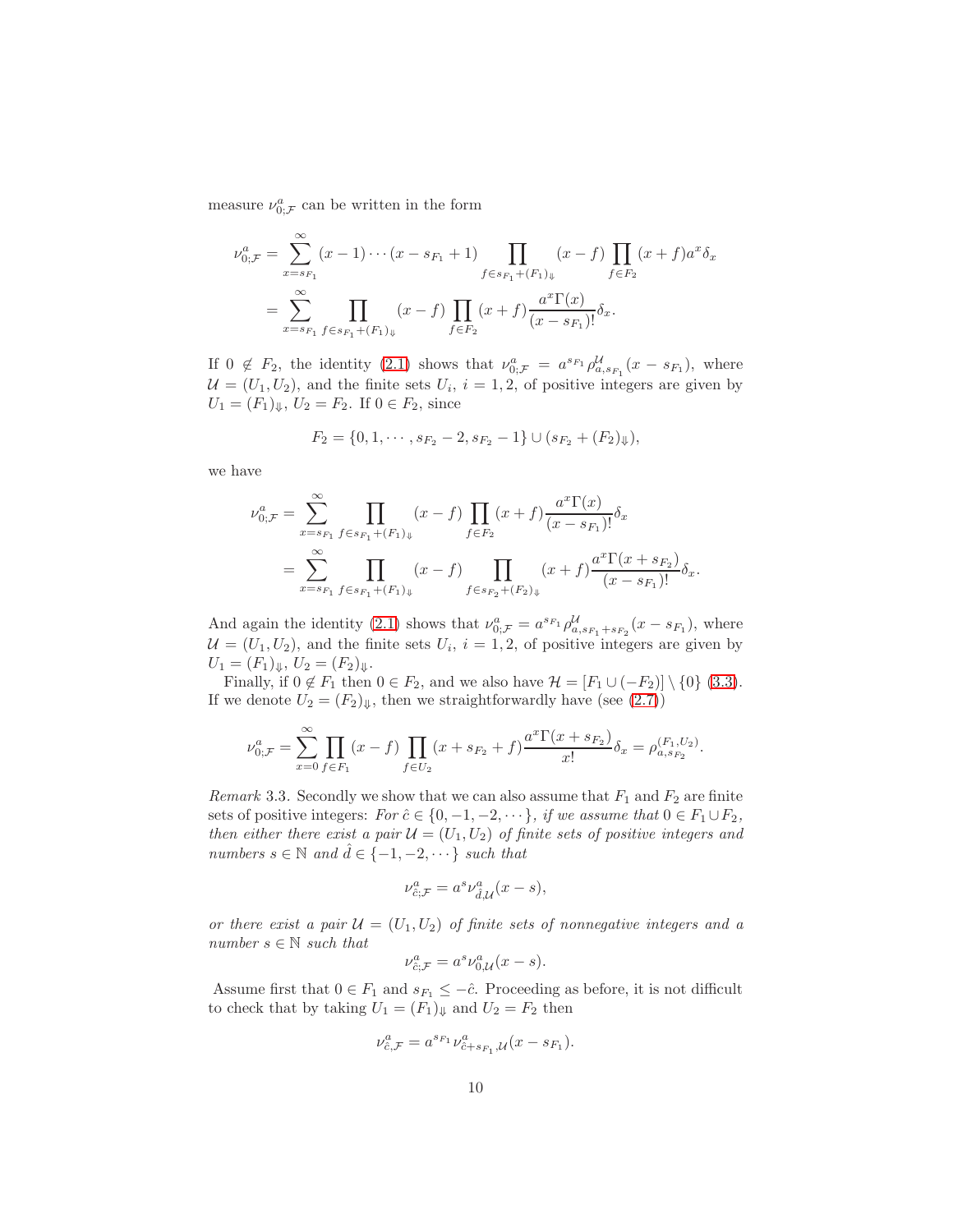measure  $\nu_{0;\mathcal{F}}^a$  can be written in the form

$$
\nu_{0;\mathcal{F}}^a = \sum_{x=s_{F_1}}^{\infty} (x-1)\cdots(x-s_{F_1}+1) \prod_{f\in s_{F_1}+(F_1)_\Downarrow} (x-f) \prod_{f\in F_2} (x+f) a^x \delta_x
$$

$$
= \sum_{x=s_{F_1}}^{\infty} \prod_{f\in s_{F_1}+(F_1)_\Downarrow} (x-f) \prod_{f\in F_2} (x+f) \frac{a^x \Gamma(x)}{(x-s_{F_1})!} \delta_x.
$$

If  $0 \notin F_2$ , the identity  $(2.1)$  shows that  $\nu_{0;\mathcal{F}}^a = a^{s_{F_1}} \rho_{a,s_{F_1}}^{\mathcal{U}}(x - s_{F_1})$ , where  $\mathcal{U} = (U_1, U_2)$ , and the finite sets  $U_i$ ,  $i = 1, 2$ , of positive integers are given by  $U_1 = (F_1)_\Downarrow, U_2 = F_2$ . If  $0 \in F_2$ , since

$$
F_2 = \{0, 1, \cdots, s_{F_2} - 2, s_{F_2} - 1\} \cup (s_{F_2} + (F_2)_{\Downarrow}),
$$

we have

$$
\nu_{0;\mathcal{F}}^a = \sum_{x=s_{F_1}}^{\infty} \prod_{f \in s_{F_1} + (F_1)_{\Downarrow}} (x - f) \prod_{f \in F_2} (x + f) \frac{a^x \Gamma(x)}{(x - s_{F_1})!} \delta_x
$$
  
= 
$$
\sum_{x=s_{F_1}}^{\infty} \prod_{f \in s_{F_1} + (F_1)_{\Downarrow}} (x - f) \prod_{f \in s_{F_2} + (F_2)_{\Downarrow}} (x + f) \frac{a^x \Gamma(x + s_{F_2})}{(x - s_{F_1})!} \delta_x.
$$

And again the identity [\(2.1\)](#page-3-1) shows that  $\nu_{0;\mathcal{F}}^a = a^{s_{F_1}} \rho_{a,s_{F_1}+s_{F_2}}^{\mathcal{U}}(x-s_{F_1})$ , where  $\mathcal{U} = (U_1, U_2)$ , and the finite sets  $U_i$ ,  $i = 1, 2$ , of positive integers are given by  $U_1 = (F_1)_{\Downarrow}, U_2 = (F_2)_{\Downarrow}.$ 

Finally, if  $0 \notin F_1$  then  $0 \in F_2$ , and we also have  $\mathcal{H} = [F_1 \cup (-F_2)] \setminus \{0\}$  [\(3.3\)](#page-7-2). If we denote  $U_2 = (F_2)_{\downarrow}$ , then we straightforwardly have (see [\(2.7\)](#page-4-2))

$$
\nu_{0;\mathcal{F}}^a = \sum_{x=0}^{\infty} \prod_{f \in F_1} (x - f) \prod_{f \in U_2} (x + s_{F_2} + f) \frac{a^x \Gamma(x + s_{F_2})}{x!} \delta_x = \rho_{a,s_{F_2}}^{(F_1, U_2)}.
$$

<span id="page-9-0"></span>Remark 3.3. Secondly we show that we can also assume that  $F_1$  and  $F_2$  are finite sets of positive integers:  $For \hat{c} \in \{0, -1, -2, \dots\}$ , if we assume that  $0 \in F_1 \cup F_2$ , then either there exist a pair  $\mathcal{U} = (U_1, U_2)$  of finite sets of positive integers and numbers  $s \in \mathbb{N}$  and  $\hat{d} \in \{-1, -2, \dots\}$  such that

$$
\nu_{\hat{c};\mathcal{F}}^a = a^s \nu_{\hat{d},\mathcal{U}}^a(x-s),
$$

or there exist a pair  $\mathcal{U} = (U_1, U_2)$  of finite sets of nonnegative integers and a number  $s \in \mathbb{N}$  such that

$$
\nu_{\hat{c};\mathcal{F}}^a = a^s \nu_{0,\mathcal{U}}^a(x-s).
$$

Assume first that  $0 \in F_1$  and  $s_{F_1} \leq -\hat{c}$ . Proceeding as before, it is not difficult to check that by taking  $U_1 = (F_1)_{\Downarrow}$  and  $U_2 = F_2$  then

$$
\nu_{\hat{c},\mathcal{F}}^a = a^{s_{F_1}} \nu_{\hat{c}+s_{F_1},\mathcal{U}}^a(x - s_{F_1}).
$$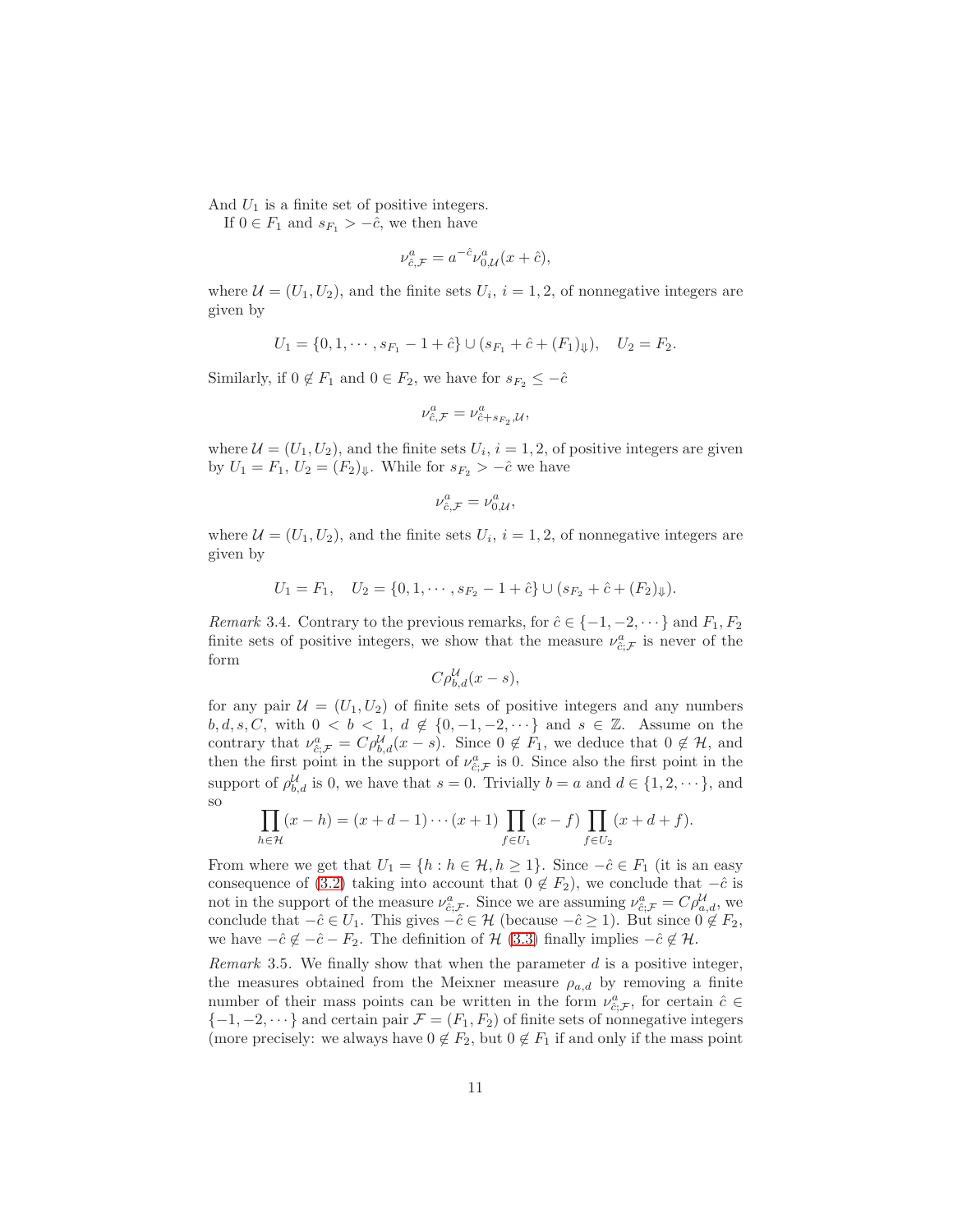And  $U_1$  is a finite set of positive integers.

If  $0 \in F_1$  and  $s_{F_1} > -\hat{c}$ , we then have

$$
\nu_{\hat{c},\mathcal{F}}^a = a^{-\hat{c}} \nu_{0,\mathcal{U}}^a(x + \hat{c}),
$$

where  $\mathcal{U} = (U_1, U_2)$ , and the finite sets  $U_i$ ,  $i = 1, 2$ , of nonnegative integers are given by

$$
U_1 = \{0, 1, \cdots, s_{F_1} - 1 + \hat{c}\} \cup (s_{F_1} + \hat{c} + (F_1)_{\Downarrow}), \quad U_2 = F_2.
$$

Similarly, if  $0 \notin F_1$  and  $0 \in F_2$ , we have for  $s_{F_2} \leq -\hat{c}$ 

$$
\nu^a_{\hat{c},\mathcal{F}}=\nu^a_{\hat{c}+s_{F_2},\mathcal{U}},
$$

where  $\mathcal{U} = (U_1, U_2)$ , and the finite sets  $U_i$ ,  $i = 1, 2$ , of positive integers are given by  $U_1 = F_1$ ,  $U_2 = (F_2)_{\Downarrow}$ . While for  $s_{F_2} > -\hat{c}$  we have

$$
\nu_{\hat{c},\mathcal{F}}^a = \nu_{0,\mathcal{U}}^a,
$$

where  $\mathcal{U} = (U_1, U_2)$ , and the finite sets  $U_i$ ,  $i = 1, 2$ , of nonnegative integers are given by

$$
U_1 = F_1, \quad U_2 = \{0, 1, \cdots, s_{F_2} - 1 + \hat{c}\} \cup (s_{F_2} + \hat{c} + (F_2)_{\Downarrow}).
$$

<span id="page-10-0"></span>Remark 3.4. Contrary to the previous remarks, for  $\hat{c} \in \{-1, -2, \dots\}$  and  $F_1, F_2$ finite sets of positive integers, we show that the measure  $\nu_{\hat{c};\mathcal{F}}^a$  is never of the form

$$
C\rho_{b,d}^{\mathcal{U}}(x-s),
$$

for any pair  $\mathcal{U} = (U_1, U_2)$  of finite sets of positive integers and any numbers  $b, d, s, C$ , with  $0 < b < 1$ ,  $d \notin \{0, -1, -2, \dots\}$  and  $s \in \mathbb{Z}$ . Assume on the contrary that  $\nu_{\hat{c};\mathcal{F}}^a = C\rho_{b,d}^{\mathcal{U}}(x-s)$ . Since  $0 \notin F_1$ , we deduce that  $0 \notin \mathcal{H}$ , and then the first point in the support of  $\nu_{\hat{c};\mathcal{F}}^a$  is 0. Since also the first point in the support of  $\rho_{b,d}^{\mathcal{U}}$  is 0, we have that  $s = 0$ . Trivially  $b = a$  and  $d \in \{1, 2, \dots\}$ , and so

$$
\prod_{h \in \mathcal{H}} (x - h) = (x + d - 1) \cdots (x + 1) \prod_{f \in U_1} (x - f) \prod_{f \in U_2} (x + d + f).
$$

From where we get that  $U_1 = \{h : h \in \mathcal{H}, h \geq 1\}$ . Since  $-\hat{c} \in F_1$  (it is an easy consequence of [\(3.2\)](#page-7-0) taking into account that  $0 \notin F_2$ ), we conclude that  $-\hat{c}$  is not in the support of the measure  $\nu_{\hat{c};\mathcal{F}}^a$ . Since we are assuming  $\nu_{\hat{c};\mathcal{F}}^a = C\rho_{a,d}^{\mathcal{U}}$ , we conclude that  $-\hat{c} \in U_1$ . This gives  $-\hat{c} \in \mathcal{H}$  (because  $-\hat{c} \geq 1$ ). But since  $0 \notin F_2$ , we have  $-\hat{c} \notin -\hat{c} - F_2$ . The definition of  $\mathcal{H}$  [\(3.3\)](#page-7-2) finally implies  $-\hat{c} \notin \mathcal{H}$ .

<span id="page-10-1"></span>*Remark* 3.5. We finally show that when the parameter  $d$  is a positive integer, the measures obtained from the Meixner measure  $\rho_{a,d}$  by removing a finite number of their mass points can be written in the form  $\nu_{\hat{c};\mathcal{F}}^a$ , for certain  $\hat{c} \in$  $\{-1, -2, \dots\}$  and certain pair  $\mathcal{F} = (F_1, F_2)$  of finite sets of nonnegative integers (more precisely: we always have  $0 \notin F_2$ , but  $0 \notin F_1$  if and only if the mass point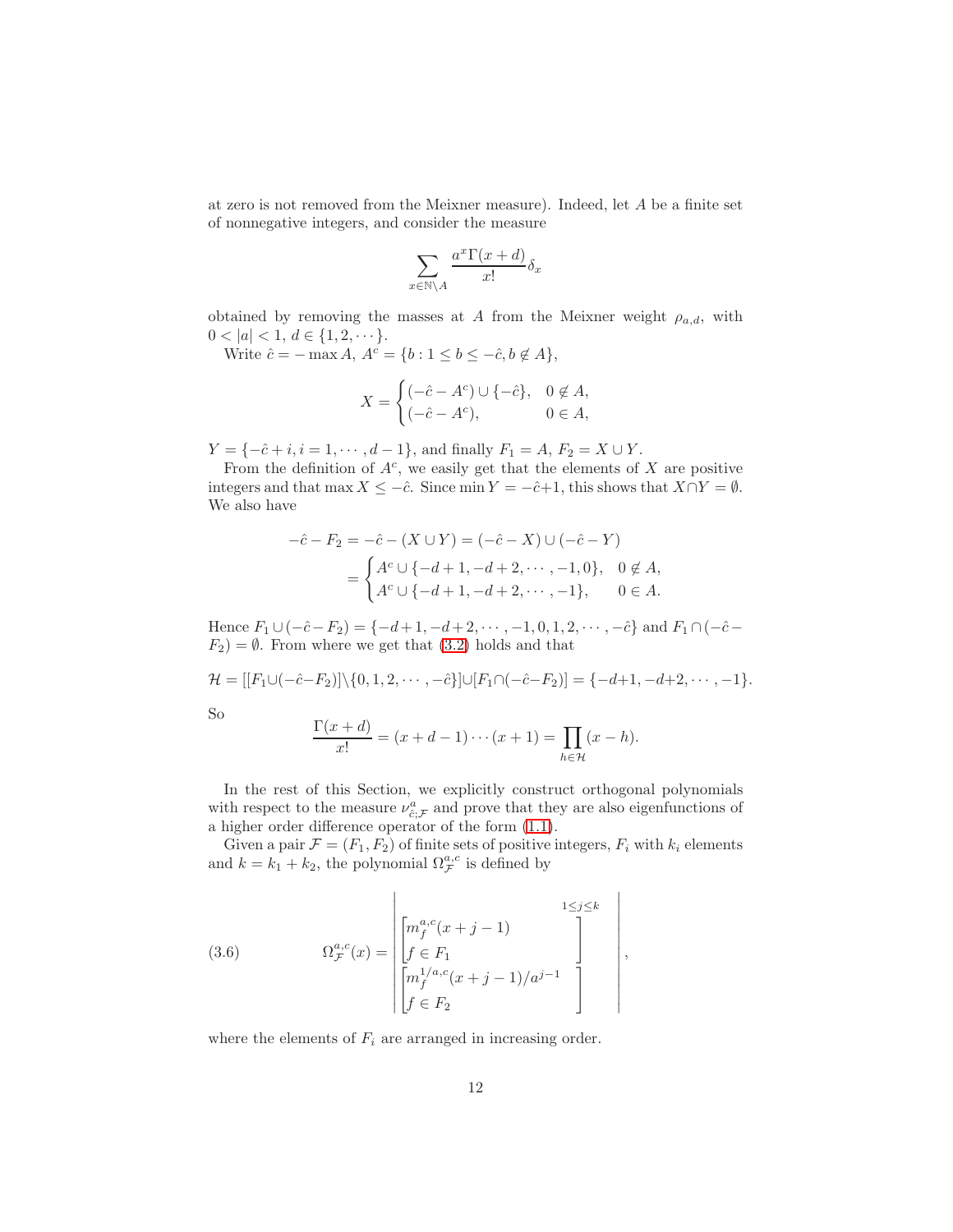at zero is not removed from the Meixner measure). Indeed, let A be a finite set of nonnegative integers, and consider the measure

$$
\sum_{x \in \mathbb{N} \setminus A} \frac{a^x \Gamma(x+d)}{x!} \delta_x
$$

obtained by removing the masses at A from the Meixner weight  $\rho_{a,d}$ , with  $0 < |a| < 1, d \in \{1, 2, \dots\}.$ 

Write  $\hat{c} = -\max A$ ,  $A^c = \{b : 1 \leq b \leq -\hat{c}, b \notin A\},\$ 

$$
X = \begin{cases} (-\hat{c} - A^c) \cup \{-\hat{c}\}, & 0 \notin A, \\ (-\hat{c} - A^c), & 0 \in A, \end{cases}
$$

 $Y = \{-\hat{c} + i, i = 1, \cdots, d - 1\}$ , and finally  $F_1 = A$ ,  $F_2 = X \cup Y$ .

From the definition of  $A^c$ , we easily get that the elements of X are positive integers and that max  $X \leq -\hat{c}$ . Since min  $Y = -\hat{c}+1$ , this shows that  $X \cap Y = \emptyset$ . We also have

$$
-\hat{c} - F_2 = -\hat{c} - (X \cup Y) = (-\hat{c} - X) \cup (-\hat{c} - Y)
$$
  
= 
$$
\begin{cases} A^c \cup \{-d+1, -d+2, \cdots, -1, 0\}, & 0 \notin A, \\ A^c \cup \{-d+1, -d+2, \cdots, -1\}, & 0 \in A. \end{cases}
$$

Hence  $F_1 \cup (-\hat{c} - F_2) = \{-d+1, -d+2, \cdots, -1, 0, 1, 2, \cdots, -\hat{c}\}$  and  $F_1 \cap (-\hat{c} F_2$ ) =  $\emptyset$ . From where we get that [\(3.2\)](#page-7-0) holds and that

$$
\mathcal{H} = [[F_1 \cup (-\hat{c} - F_2)] \setminus \{0, 1, 2, \cdots, -\hat{c}\}] \cup [F_1 \cap (-\hat{c} - F_2)] = \{-d + 1, -d + 2, \cdots, -1\}.
$$

So

$$
\frac{\Gamma(x+d)}{x!} = (x+d-1)\cdots(x+1) = \prod_{h \in \mathcal{H}} (x-h).
$$

In the rest of this Section, we explicitly construct orthogonal polynomials with respect to the measure  $\nu_{\hat{c};\mathcal{F}}^a$  and prove that they are also eigenfunctions of a higher order difference operator of the form [\(1.1\)](#page-1-1).

Given a pair  $\mathcal{F} = (F_1, F_2)$  of finite sets of positive integers,  $F_i$  with  $k_i$  elements and  $k = k_1 + k_2$ , the polynomial  $\Omega_{\mathcal{F}}^{a,c}$  is defined by

<span id="page-11-0"></span>(3.6) 
$$
\Omega_{\mathcal{F}}^{a,c}(x) = \begin{bmatrix} m_f^{a,c}(x+j-1) & 1 \leq j \leq k \\ \begin{bmatrix} f \in F_1 \\ f \in F_1 \end{bmatrix} \\ \begin{bmatrix} m_f^{1/a,c}(x+j-1)/a^{j-1} \\ f \in F_2 \end{bmatrix} \end{bmatrix},
$$

where the elements of  $F_i$  are arranged in increasing order.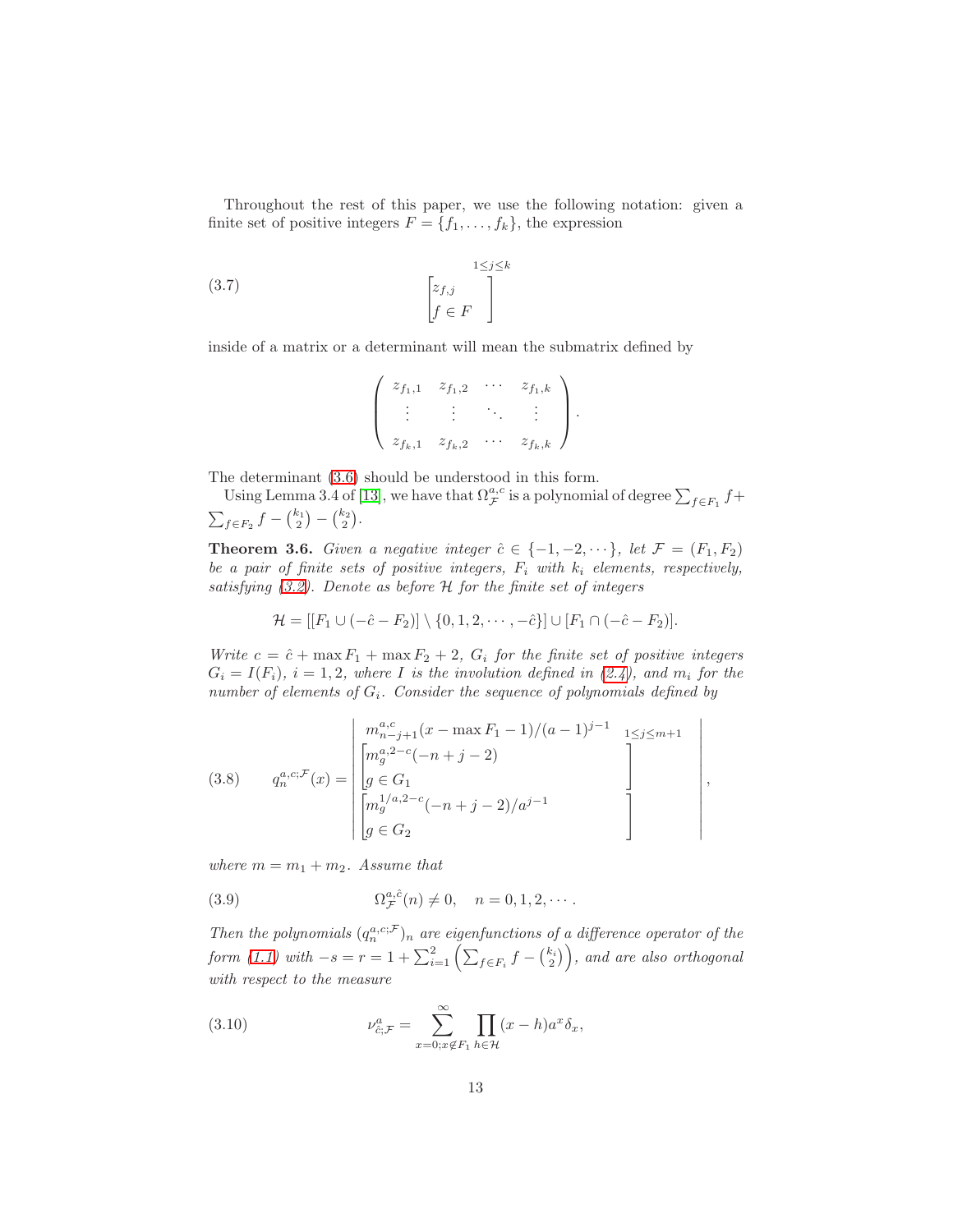Throughout the rest of this paper, we use the following notation: given a finite set of positive integers  $F = \{f_1, \ldots, f_k\}$ , the expression

(3.7) 
$$
\begin{bmatrix} z_{f,j} \\ f \in F \end{bmatrix}
$$

inside of a matrix or a determinant will mean the submatrix defined by

<span id="page-12-3"></span>
$$
\left(\begin{array}{cccc}z_{f_1,1} & z_{f_1,2} & \cdots & z_{f_1,k} \\ \vdots & \vdots & \ddots & \vdots \\ z_{f_k,1} & z_{f_k,2} & \cdots & z_{f_k,k}\end{array}\right).
$$

The determinant [\(3.6\)](#page-11-0) should be understood in this form.

Using Lemma 3.4 of [\[13\]](#page-28-4), we have that  $\Omega^{a,c}_{\mathcal{F}}$  is a polynomial of degree  $\sum_{f\in F_1}f+$  $\sum_{f \in F_2} f - {k_1 \choose 2} - {k_2 \choose 2}.$ 

<span id="page-12-0"></span>**Theorem 3.6.** Given a negative integer  $\hat{c} \in \{-1, -2, \dots\}$ , let  $\mathcal{F} = (F_1, F_2)$ be a pair of finite sets of positive integers,  $F_i$  with  $k_i$  elements, respectively, satisfying  $(3.2)$ . Denote as before  $H$  for the finite set of integers

$$
\mathcal{H} = [[F_1 \cup (-\hat{c} - F_2)] \setminus \{0, 1, 2, \cdots, -\hat{c}\}] \cup [F_1 \cap (-\hat{c} - F_2)].
$$

Write  $c = \hat{c} + \max F_1 + \max F_2 + 2$ ,  $G_i$  for the finite set of positive integers  $G_i = I(F_i)$ ,  $i = 1, 2$ , where I is the involution defined in [\(2.4\)](#page-4-3), and  $m_i$  for the number of elements of  $G_i$ . Consider the sequence of polynomials defined by

<span id="page-12-2"></span>(3.8) 
$$
q_n^{a,c;\mathcal{F}}(x) = \begin{bmatrix} m_{n-j+1}^{a,c}(x - \max F_1 - 1)/(a-1)^{j-1} & \underset{1 \le j \le m+1}{\sum_{j \le m+1}} \\ \left[ m_g^{a,2-c}(-n+j-2) & \right] \\ g \in G_1 \\ \left[ m_g^{1/a,2-c}(-n+j-2)/a^{j-1} \right] \\ g \in G_2 \end{bmatrix},
$$

where  $m = m_1 + m_2$ . Assume that

<span id="page-12-1"></span>(3.9) 
$$
\Omega_{\mathcal{F}}^{a,\hat{c}}(n) \neq 0, \quad n = 0, 1, 2, \cdots.
$$

Then the polynomials  $(q_n^{a,c;\mathcal{F}})_n$  are eigenfunctions of a difference operator of the form [\(1.1\)](#page-1-1) with  $-s=r=1+\sum_{i=1}^2\left(\sum_{f\in F_i}f-\binom{k_i}{2}\right)$ , and are also orthogonal with respect to the measure

(3.10) 
$$
\nu_{\hat{c};\mathcal{F}}^a = \sum_{x=0;x \notin F_1}^{\infty} \prod_{h \in \mathcal{H}} (x-h)a^x \delta_x,
$$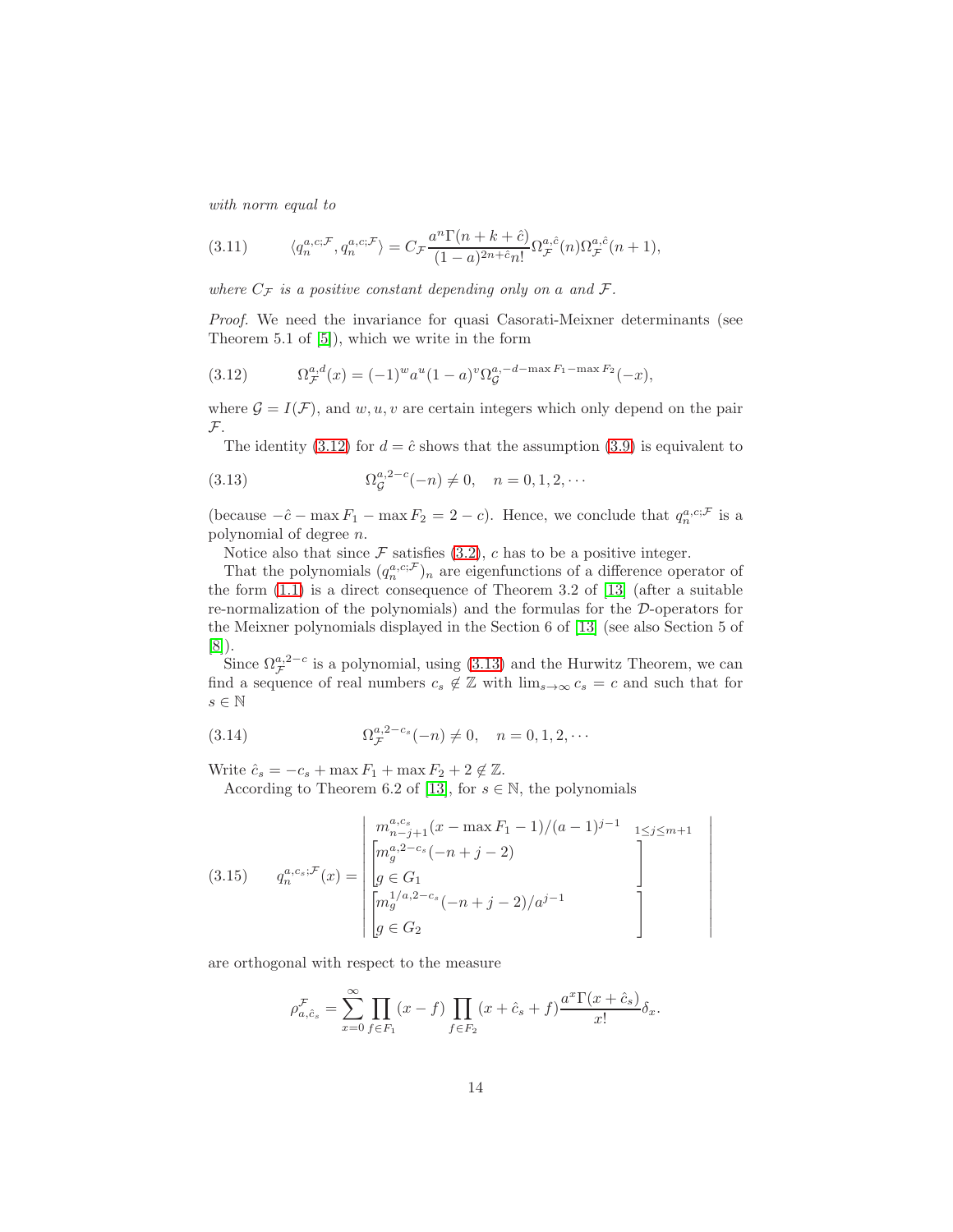with norm equal to

<span id="page-13-3"></span>(3.11) 
$$
\langle q_n^{a,c;\mathcal{F}}, q_n^{a,c;\mathcal{F}} \rangle = C_{\mathcal{F}} \frac{a^n \Gamma(n+k+c)}{(1-a)^{2n+c} n!} \Omega_{\mathcal{F}}^{a,\hat{c}}(n) \Omega_{\mathcal{F}}^{a,\hat{c}}(n+1),
$$

where  $C_{\mathcal{F}}$  is a positive constant depending only on a and  $\mathcal{F}$ .

Proof. We need the invariance for quasi Casorati-Meixner determinants (see Theorem 5.1 of [\[5\]](#page-28-11)), which we write in the form

<span id="page-13-0"></span>(3.12) 
$$
\Omega_{\mathcal{F}}^{a,d}(x) = (-1)^{w} a^{u} (1-a)^{v} \Omega_{\mathcal{G}}^{a,-d-\max F_{1}-\max F_{2}}(-x),
$$

where  $\mathcal{G} = I(\mathcal{F})$ , and  $w, u, v$  are certain integers which only depend on the pair F.

<span id="page-13-1"></span>The identity [\(3.12\)](#page-13-0) for  $d = \hat{c}$  shows that the assumption [\(3.9\)](#page-12-1) is equivalent to

(3.13) 
$$
\Omega_{\mathcal{G}}^{a,2-c}(-n) \neq 0, \quad n = 0, 1, 2, \cdots
$$

(because  $-\hat{c} - \max F_1 - \max F_2 = 2 - c$ ). Hence, we conclude that  $q_n^{a,c,\mathcal{F}}$  is a polynomial of degree n.

Notice also that since  $\mathcal F$  satisfies [\(3.2\)](#page-7-0), c has to be a positive integer.

That the polynomials  $(q_n^{a,c,\mathcal{F}})_n$  are eigenfunctions of a difference operator of the form [\(1.1\)](#page-1-1) is a direct consequence of Theorem 3.2 of [\[13\]](#page-28-4) (after a suitable re-normalization of the polynomials) and the formulas for the D-operators for the Meixner polynomials displayed in the Section 6 of [\[13\]](#page-28-4) (see also Section 5 of [\[8\]](#page-28-2)).

Since  $\Omega_{\mathcal{F}}^{a,2-c}$  is a polynomial, using [\(3.13\)](#page-13-1) and the Hurwitz Theorem, we can find a sequence of real numbers  $c_s \notin \mathbb{Z}$  with  $\lim_{s\to\infty} c_s = c$  and such that for  $s \in \mathbb{N}$ 

> $\overline{\phantom{a}}$  $\overline{\phantom{a}}$  $\overline{\phantom{a}}$  $\overline{\phantom{a}}$  $\overline{\phantom{a}}$  $\overline{\phantom{a}}$  $\overline{\phantom{a}}$  $\overline{\phantom{a}}$  $\overline{\phantom{a}}$ I  $\overline{\phantom{a}}$  $\overline{\phantom{a}}$  $\begin{array}{c} \hline \end{array}$

(3.14) 
$$
\Omega_{\mathcal{F}}^{a,2-c_s}(-n) \neq 0, \quad n = 0, 1, 2, \cdots
$$

Write  $\hat{c}_s = -c_s + \max F_1 + \max F_2 + 2 \notin \mathbb{Z}$ .

According to Theorem 6.2 of [\[13\]](#page-28-4), for  $s \in \mathbb{N}$ , the polynomials

<span id="page-13-2"></span>(3.15) 
$$
q_n^{a,c_s; \mathcal{F}}(x) = \begin{bmatrix} m_{n-j+1}^{a,c_s}(x - \max F_1 - 1)/(a-1)^{j-1} & 1 \leq j \leq m+1 \\ \begin{bmatrix} m_g^{a,2-c_s}(-n+j-2) & 1 \\ g \in G_1 & 1 \\ \begin{bmatrix} m_g^{1/a,2-c_s}(-n+j-2)/a^{j-1} \\ g \in G_2 \end{bmatrix} \end{bmatrix}
$$

are orthogonal with respect to the measure

$$
\rho_{a,\hat{c}_s}^{\mathcal{F}} = \sum_{x=0}^{\infty} \prod_{f \in F_1} (x - f) \prod_{f \in F_2} (x + \hat{c}_s + f) \frac{a^x \Gamma(x + \hat{c}_s)}{x!} \delta_x.
$$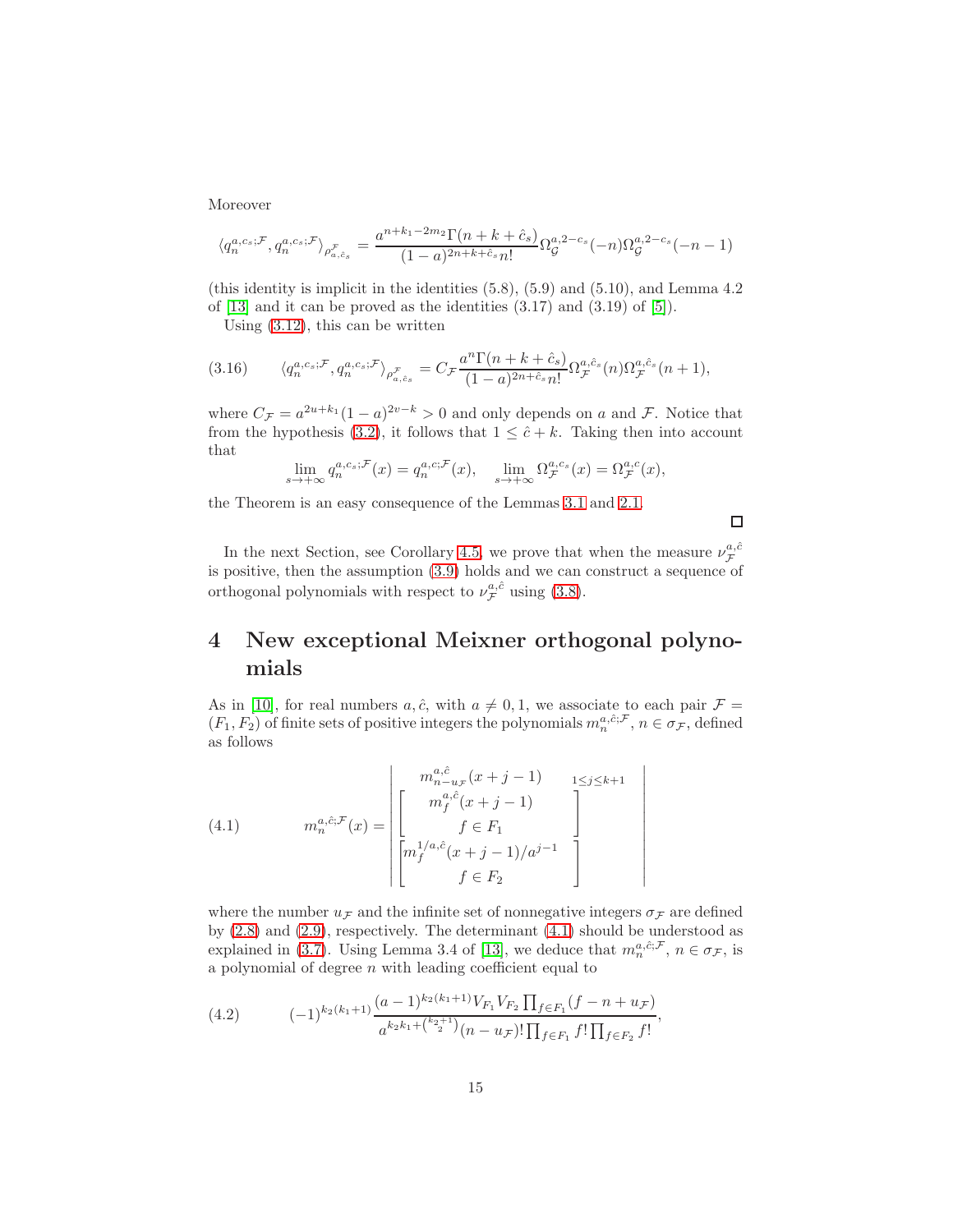Moreover

$$
\langle q_n^{a,c_s; \mathcal{F}}, q_n^{a,c_s; \mathcal{F}} \rangle_{\rho_{a,\hat{c}_s}^{\mathcal{F}}} = \frac{a^{n+k_1 - 2m_2} \Gamma(n+k+\hat{c}_s)}{(1-a)^{2n+k+\hat{c}_s} n!} \Omega_{\mathcal{G}}^{a,2-c_s}(-n) \Omega_{\mathcal{G}}^{a,2-c_s}(-n-1)
$$

(this identity is implicit in the identities (5.8), (5.9) and (5.10), and Lemma 4.2 of  $[13]$  and it can be proved as the identities  $(3.17)$  and  $(3.19)$  of  $[5]$ ).

<span id="page-14-2"></span>Using [\(3.12\)](#page-13-0), this can be written

$$
(3.16) \qquad \langle q_n^{a,c_s;\mathcal{F}}, q_n^{a,c_s;\mathcal{F}} \rangle_{\rho_{a,\hat{c}_s}^{\mathcal{F}}} = C_{\mathcal{F}} \frac{a^n \Gamma(n+k+\hat{c}_s)}{(1-a)^{2n+\hat{c}_s} n!} \Omega_{\mathcal{F}}^{a,\hat{c}_s}(n) \Omega_{\mathcal{F}}^{a,\hat{c}_s}(n+1),
$$

where  $C_{\mathcal{F}} = a^{2u+k_1}(1-a)^{2v-k} > 0$  and only depends on a and  $\mathcal{F}$ . Notice that from the hypothesis [\(3.2\)](#page-7-0), it follows that  $1 \leq \hat{c} + k$ . Taking then into account that

$$
\lim_{s \to +\infty} q_n^{a,c_s;\mathcal{F}}(x) = q_n^{a,c;\mathcal{F}}(x), \quad \lim_{s \to +\infty} \Omega_{\mathcal{F}}^{a,c_s}(x) = \Omega_{\mathcal{F}}^{a,c}(x),
$$

the Theorem is an easy consequence of the Lemmas [3.1](#page-7-4) and [2.1.](#page-3-2)

 $\Box$ 

 $\mid$  $\mathcal{L}$ I  $\overline{\phantom{a}}$  $\overline{\phantom{a}}$  $\overline{\phantom{a}}$  $\overline{\phantom{a}}$  $\overline{\phantom{a}}$  $\overline{\phantom{a}}$  $\overline{\phantom{a}}$  $\overline{\phantom{a}}$  $\overline{\phantom{a}}$  $\mid$ 

In the next Section, see Corollary [4.5,](#page-18-0) we prove that when the measure  $\nu_{\mathcal{F}}^{a,\hat{c}}$ is positive, then the assumption [\(3.9\)](#page-12-1) holds and we can construct a sequence of orthogonal polynomials with respect to  $\nu_{\mathcal{F}}^{a,\hat{c}}$  using [\(3.8\)](#page-12-2).

# <span id="page-14-0"></span>4 New exceptional Meixner orthogonal polynomials

As in [\[10\]](#page-28-8), for real numbers  $a, \hat{c}$ , with  $a \neq 0, 1$ , we associate to each pair  $\mathcal{F} =$  $(F_1, F_2)$  of finite sets of positive integers the polynomials  $m_n^{a, \hat{c}; \mathcal{F}}, n \in \sigma_{\mathcal{F}}$ , defined as follows

<span id="page-14-1"></span>(4.1) 
$$
m_n^{a,\hat{c}:\mathcal{F}}(x) = \begin{bmatrix} m_{n-u_{\mathcal{F}}}^{a,\hat{c}}(x+j-1) & 1 \leq j \leq k+1 \\ m_f^{a,\hat{c}:\mathcal{F}}(x+j-1) & f \in F_1 \\ f^{1/a,\hat{c}}(x+j-1)/a^{j-1} & f \in F_2 \end{bmatrix}
$$

where the number  $u_{\mathcal{F}}$  and the infinite set of nonnegative integers  $\sigma_{\mathcal{F}}$  are defined by [\(2.8\)](#page-4-4) and [\(2.9\)](#page-4-5), respectively. The determinant [\(4.1\)](#page-14-1) should be understood as explained in [\(3.7\)](#page-12-3). Using Lemma 3.4 of [\[13\]](#page-28-4), we deduce that  $m_n^{a,\hat{c};\mathcal{F}}, n \in \sigma_{\mathcal{F}}$ , is a polynomial of degree  $n$  with leading coefficient equal to

(4.2) 
$$
(-1)^{k_2(k_1+1)} \frac{(a-1)^{k_2(k_1+1)}V_{F_1}V_{F_2}\prod_{f\in F_1}(f-n+u_{\mathcal{F}})}{a^{k_2k_1+\binom{k_2+1}{2}}(n-u_{\mathcal{F}})!\prod_{f\in F_1}f!\prod_{f\in F_2}f!},
$$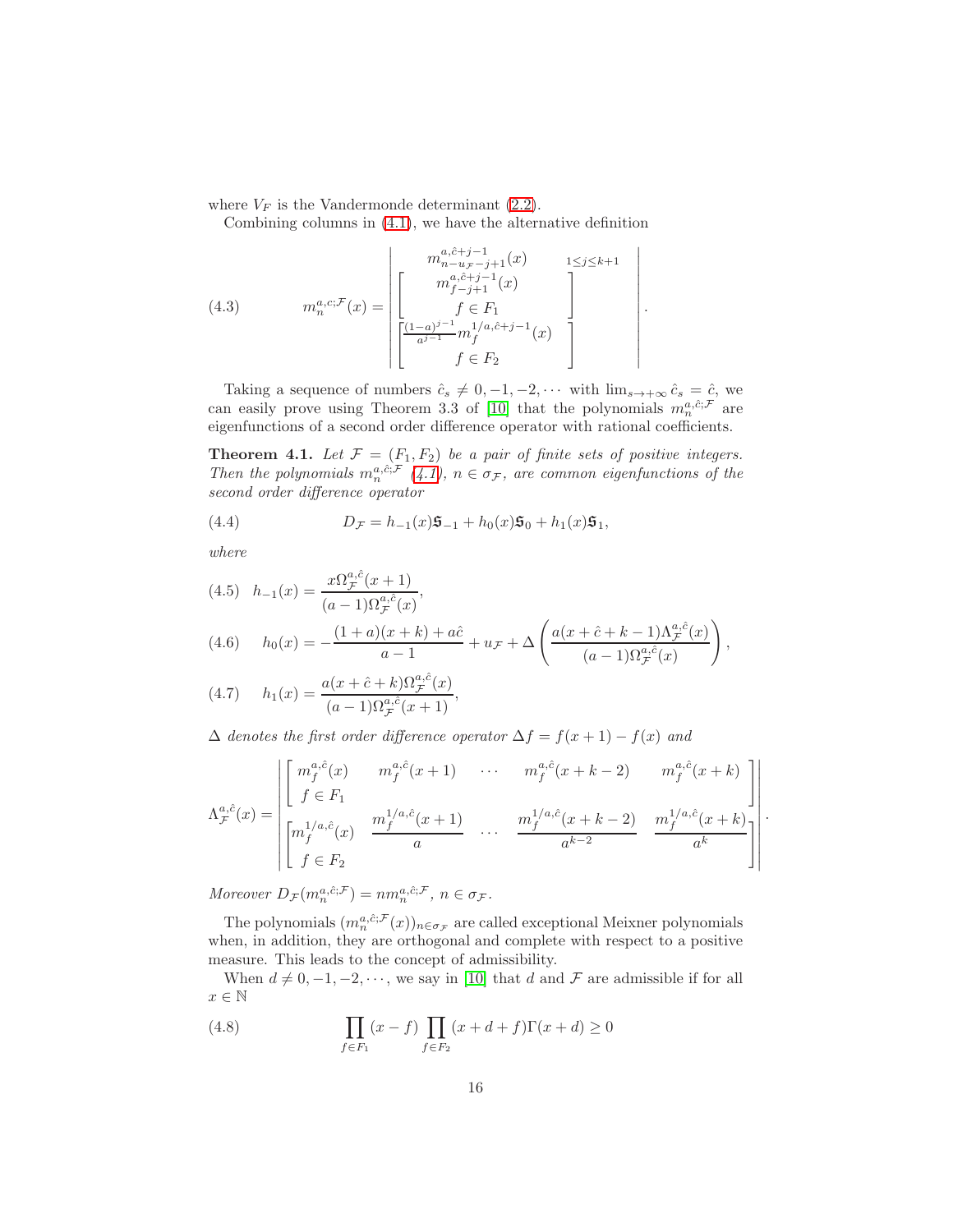where  $V_F$  is the Vandermonde determinant [\(2.2\)](#page-3-3).

Combining columns in [\(4.1\)](#page-14-1), we have the alternative definition

<span id="page-15-1"></span>(4.3) 
$$
m_n^{a,c; \mathcal{F}}(x) = \begin{bmatrix} m_{n-u,r-j+1}^{a,\hat{c}+j-1}(x) & 1 \leq j \leq k+1 \\ m_{r-j+1}^{a,\hat{c}+j-1}(x) & f \in F_1 \\ f \in F_1 \\ \frac{(1-a)^{j-1}}{a^{j-1}} m_f^{1/a,\hat{c}+j-1}(x) & f \in F_2 \end{bmatrix}
$$

Taking a sequence of numbers  $\hat{c}_s \neq 0, -1, -2, \cdots$  with  $\lim_{s \to +\infty} \hat{c}_s = \hat{c}$ , we can easily prove using Theorem 3.3 of [\[10\]](#page-28-8) that the polynomials  $m_n^{a,\hat{c};\mathcal{F}}$  are eigenfunctions of a second order difference operator with rational coefficients.

.

.

**Theorem 4.1.** Let  $\mathcal{F} = (F_1, F_2)$  be a pair of finite sets of positive integers. Then the polynomials  $m_n^{a,\hat{c};\mathcal{F}}(4.1), n \in \sigma_{\mathcal{F}}$  $m_n^{a,\hat{c};\mathcal{F}}(4.1), n \in \sigma_{\mathcal{F}}$  $m_n^{a,\hat{c};\mathcal{F}}(4.1), n \in \sigma_{\mathcal{F}}$ , are common eigenfunctions of the second order difference operator

(4.4) 
$$
D_{\mathcal{F}} = h_{-1}(x)\mathfrak{S}_{-1} + h_0(x)\mathfrak{S}_0 + h_1(x)\mathfrak{S}_1,
$$

where

(4.5) 
$$
h_{-1}(x) = \frac{x\Omega_{\mathcal{F}}^{a,\hat{c}}(x+1)}{(a-1)\Omega_{\mathcal{F}}^{a,\hat{c}}(x)},
$$
  
(4.6) 
$$
h_0(x) = -\frac{(1+a)(x+k) + a\hat{c}}{a-1} + u_{\mathcal{F}} + \Delta \left(\frac{a(x+\hat{c}+k-1)\Lambda_{\mathcal{F}}^{a,\hat{c}}(x)}{(a-1)\Omega_{\mathcal{F}}^{a,\hat{c}}(x)}\right),
$$

(4.7) 
$$
h_1(x) = \frac{a(x + \hat{c} + k)\Omega_{\mathcal{F}}^{a,\hat{c}}(x)}{(a-1)\Omega_{\mathcal{F}}^{a,\hat{c}}(x+1)},
$$

 $\Delta$  denotes the first order difference operator  $\Delta f = f(x+1) - f(x)$  and

$$
\Lambda_{\mathcal{F}}^{a,\hat{c}}(x) = \begin{bmatrix} m_f^{a,\hat{c}}(x) & m_f^{a,\hat{c}}(x+1) & \cdots & m_f^{a,\hat{c}}(x+k-2) & m_f^{a,\hat{c}}(x+k) \\ f \in F_1 & & & \\ m_f^{1/a,\hat{c}}(x) & \frac{m_f^{1/a,\hat{c}}(x+1)}{a} & \cdots & \frac{m_f^{1/a,\hat{c}}(x+k-2)}{a^{k-2}} & \frac{m_f^{1/a,\hat{c}}(x+k)}{a^k} \\ f \in F_2 & & & \end{bmatrix}
$$

Moreover  $D_{\mathcal{F}}(m_n^{a,\hat{c};\mathcal{F}}) = nm_n^{a,\hat{c};\mathcal{F}}, n \in \sigma_{\mathcal{F}}.$ 

The polynomials  $(m_n^{a,\hat{c};\mathcal{F}}(x))_{n \in \sigma_{\mathcal{F}}}$  are called exceptional Meixner polynomials when, in addition, they are orthogonal and complete with respect to a positive measure. This leads to the concept of admissibility.

When  $d \neq 0, -1, -2, \dots$ , we say in [\[10\]](#page-28-8) that d and F are admissible if for all  $x \in \mathbb{N}$ 

<span id="page-15-0"></span>(4.8) 
$$
\prod_{f \in F_1} (x - f) \prod_{f \in F_2} (x + d + f) \Gamma(x + d) \ge 0
$$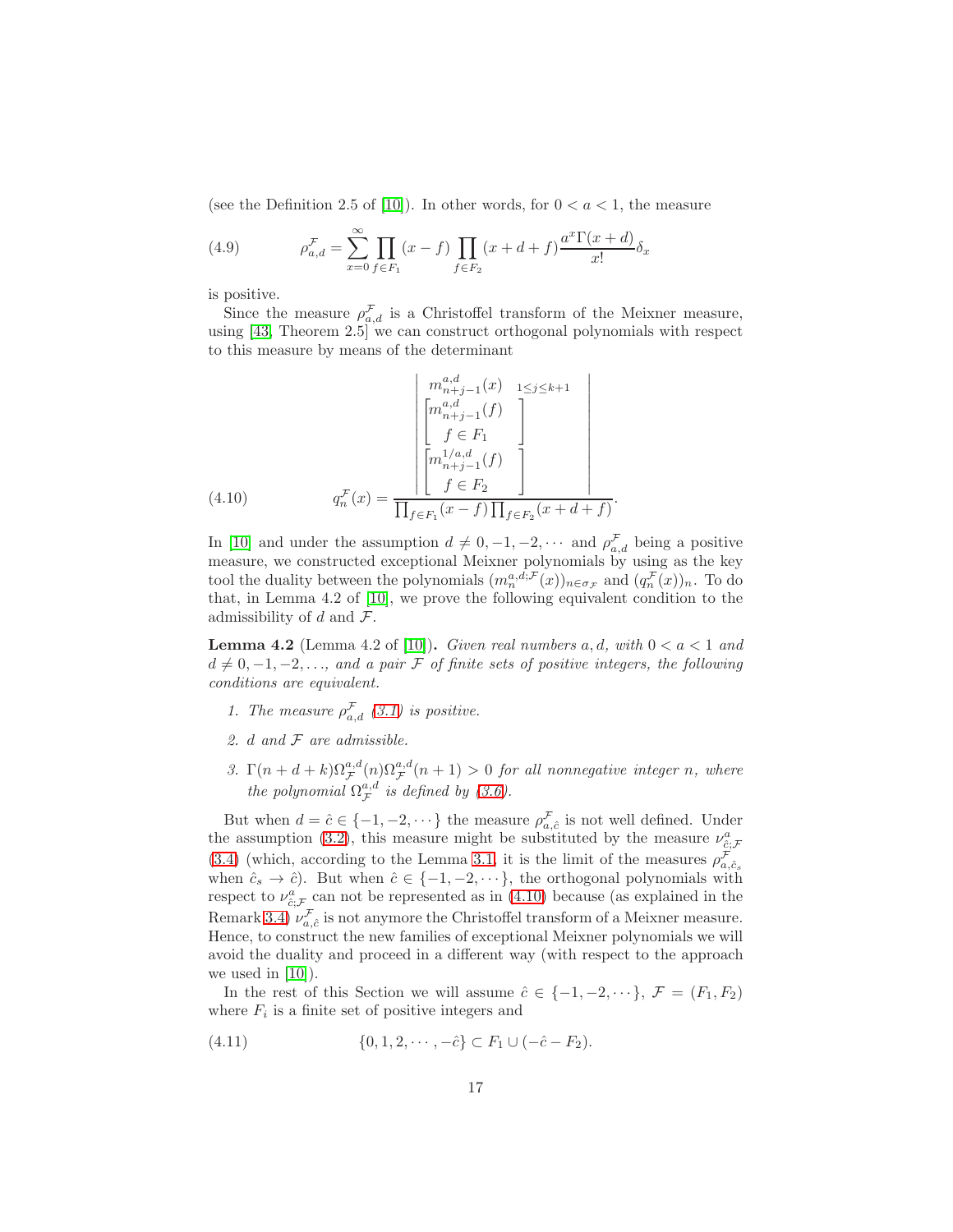(see the Definition 2.5 of [\[10\]](#page-28-8)). In other words, for  $0 < a < 1$ , the measure

(4.9) 
$$
\rho_{a,d}^{\mathcal{F}} = \sum_{x=0}^{\infty} \prod_{f \in F_1} (x - f) \prod_{f \in F_2} (x + d + f) \frac{a^x \Gamma(x + d)}{x!} \delta_x
$$

is positive.

Since the measure  $\rho_{a,d}^{\mathcal{F}}$  is a Christoffel transform of the Meixner measure, using [\[43,](#page-30-13) Theorem 2.5] we can construct orthogonal polynomials with respect to this measure by means of the determinant

(4.10) 
$$
q_n^{\mathcal{F}}(x) = \frac{\begin{bmatrix} m_{n+j-1}^{a,d}(x) & 1 \leq j \leq k+1 \\ \begin{bmatrix} m_{n+j-1}^{a,d}(f) \\ f \in F_1 \end{bmatrix} \\ \begin{bmatrix} m_{n+j-1}^{1/a,d}(f) \\ f \in F_2 \end{bmatrix} \\ q_n^{\mathcal{F}}(x) = \frac{\begin{bmatrix} 1/a,d & 1 \\ 1 & 1 \end{bmatrix} \\ \prod_{f \in F_1} (x - f) \prod_{f \in F_2} (x + d + f)}{\begin{bmatrix} 1 & 1 \end{bmatrix} \end{bmatrix}}
$$

<span id="page-16-0"></span>In [\[10\]](#page-28-8) and under the assumption  $d \neq 0, -1, -2, \cdots$  and  $\rho_{a,d}^{\mathcal{F}}$  being a positive measure, we constructed exceptional Meixner polynomials by using as the key tool the duality between the polynomials  $(m_n^{a,d,\mathcal{F}}(x))_{n \in \sigma_{\mathcal{F}}}$  and  $(q_n^{\mathcal{F}}(x))_n$ . To do that, in Lemma 4.2 of [\[10\]](#page-28-8), we prove the following equivalent condition to the admissibility of d and  $\mathcal{F}$ .

.

<span id="page-16-2"></span>**Lemma 4.2** (Lemma 4.2 of [\[10\]](#page-28-8)). Given real numbers a, d, with  $0 < a < 1$  and  $d \neq 0, -1, -2, \ldots$ , and a pair F of finite sets of positive integers, the following conditions are equivalent.

- 1. The measure  $\rho_{a,d}^{\mathcal{F}}(\beta,1)$  is positive.
- 2.  $d$  and  $\mathcal F$  are admissible.
- 3.  $\Gamma(n+d+k)\Omega_{\mathcal{F}}^{a,d}(n)\Omega_{\mathcal{F}}^{a,d}(n+1) > 0$  for all nonnegative integer n, where the polynomial  $\Omega_{\mathcal{F}}^{a,d}$  is defined by [\(3.6\)](#page-11-0).

But when  $d = \hat{c} \in \{-1, -2, \dots\}$  the measure  $\rho_{a,\hat{c}}^{\mathcal{F}}$  is not well defined. Under the assumption [\(3.2\)](#page-7-0), this measure might be substituted by the measure  $\nu_{\hat{c};\mathcal{F}}^a$ [\(3.4\)](#page-7-1) (which, according to the Lemma [3.1,](#page-7-4) it is the limit of the measures  $\rho_{a,\hat{c}_s}^{\mathcal{F}}$ when  $\hat{c}_s \to \hat{c}$ ). But when  $\hat{c} \in \{-1, -2, \dots\}$ , the orthogonal polynomials with respect to  $\nu_{\hat{c};\mathcal{F}}^a$  can not be represented as in [\(4.10\)](#page-16-0) because (as explained in the Remark [3.4\)](#page-10-0)  $\nu_{a,\hat{c}}^{\mathcal{F}}$  is not anymore the Christoffel transform of a Meixner measure. Hence, to construct the new families of exceptional Meixner polynomials we will avoid the duality and proceed in a different way (with respect to the approach we used in  $[10]$ .

In the rest of this Section we will assume  $\hat{c} \in \{-1, -2, \dots\}, \mathcal{F} = (F_1, F_2)$ where  $F_i$  is a finite set of positive integers and

<span id="page-16-1"></span>(4.11) 
$$
\{0, 1, 2, \cdots, -\hat{c}\} \subset F_1 \cup (-\hat{c} - F_2).
$$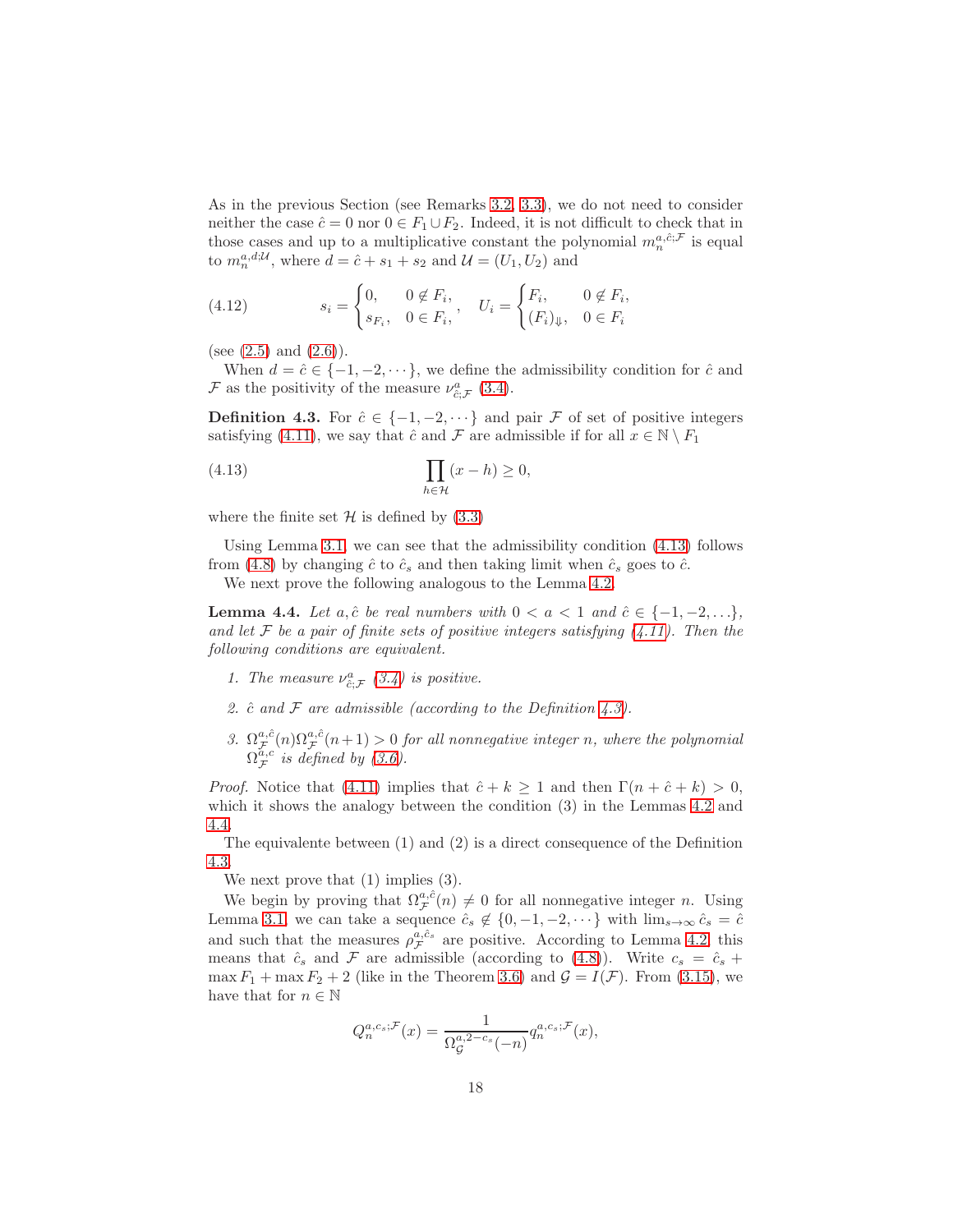As in the previous Section (see Remarks [3.2,](#page-8-0) [3.3\)](#page-9-0), we do not need to consider neither the case  $\hat{c} = 0$  nor  $0 \in F_1 \cup F_2$ . Indeed, it is not difficult to check that in those cases and up to a multiplicative constant the polynomial  $m_n^{a,\hat{c};\mathcal{F}}$  is equal to  $m_n^{a,d;\mathcal{U}},$  where  $d = \hat{c} + s_1 + s_2$  and  $\mathcal{U} = (U_1, U_2)$  and

<span id="page-17-3"></span>(4.12) 
$$
s_i = \begin{cases} 0, & 0 \notin F_i, \\ s_{F_i}, & 0 \in F_i, \end{cases}, \quad U_i = \begin{cases} F_i, & 0 \notin F_i, \\ (F_i)_{\Downarrow}, & 0 \in F_i \end{cases}
$$

(see  $(2.5)$  and  $(2.6)$ ).

When  $d = \hat{c} \in \{-1, -2, \dots\}$ , we define the admissibility condition for  $\hat{c}$  and  $\mathcal F$  as the positivity of the measure  $\nu_{\hat{c};\mathcal{F}}^a$  [\(3.4\)](#page-7-1).

<span id="page-17-1"></span>**Definition 4.3.** For  $\hat{c} \in \{-1, -2, \dots\}$  and pair F of set of positive integers satisfying [\(4.11\)](#page-16-1), we say that  $\hat{c}$  and  $\mathcal F$  are admissible if for all  $x \in \mathbb N \setminus F_1$ 

<span id="page-17-0"></span>(4.13) 
$$
\prod_{h \in \mathcal{H}} (x - h) \ge 0,
$$

where the finite set  $\mathcal H$  is defined by  $(3.3)$ 

Using Lemma [3.1,](#page-7-4) we can see that the admissibility condition  $(4.13)$  follows from [\(4.8\)](#page-15-0) by changing  $\hat{c}$  to  $\hat{c}_s$  and then taking limit when  $\hat{c}_s$  goes to  $\hat{c}$ .

We next prove the following analogous to the Lemma [4.2.](#page-16-2)

<span id="page-17-2"></span>**Lemma 4.4.** Let a,  $\hat{c}$  be real numbers with  $0 < a < 1$  and  $\hat{c} \in \{-1, -2, \ldots\}$ , and let  $\mathcal F$  be a pair of finite sets of positive integers satisfying  $(4.11)$ . Then the following conditions are equivalent.

- 1. The measure  $\nu_{\hat{c};\mathcal{F}}^a$  [\(3.4\)](#page-7-1) is positive.
- 2.  $\hat{c}$  and  $\hat{F}$  are admissible (according to the Definition [4.3\)](#page-17-1).
- 3.  $\Omega_{\mathcal{F}}^{a,\hat{c}}(n)\Omega_{\mathcal{F}}^{a,\hat{c}}(n+1) > 0$  for all nonnegative integer n, where the polynomial  $\Omega_{\mathcal{F}}^{\tilde{a},c}$  is defined by [\(3.6\)](#page-11-0).

*Proof.* Notice that [\(4.11\)](#page-16-1) implies that  $\hat{c} + k \ge 1$  and then  $\Gamma(n + \hat{c} + k) > 0$ , which it shows the analogy between the condition (3) in the Lemmas [4.2](#page-16-2) and [4.4.](#page-17-2)

The equivalente between (1) and (2) is a direct consequence of the Definition [4.3.](#page-17-1)

We next prove that  $(1)$  implies  $(3)$ .

We begin by proving that  $\Omega^{a,\hat{c}}_{\mathcal{F}}(n) \neq 0$  for all nonnegative integer n. Using Lemma [3.1,](#page-7-4) we can take a sequence  $\hat{c}_s \notin \{0, -1, -2, \dots\}$  with  $\lim_{s\to\infty} \hat{c}_s = \hat{c}$ and such that the measures  $\rho_{\mathcal{F}}^{a,\hat{c}_s}$  are positive. According to Lemma [4.2,](#page-16-2) this means that  $\hat{c}_s$  and  $\mathcal F$  are admissible (according to [\(4.8\)](#page-15-0)). Write  $c_s = \hat{c}_s +$ max  $F_1$  + max  $F_2$  + 2 (like in the Theorem [3.6\)](#page-12-0) and  $\mathcal{G} = I(\mathcal{F})$ . From [\(3.15\)](#page-13-2), we have that for  $n \in \mathbb{N}$ 

$$
Q_n^{a,c_s;\mathcal{F}}(x) = \frac{1}{\Omega_{\mathcal{G}}^{a,2-c_s}(-n)} q_n^{a,c_s;\mathcal{F}}(x),
$$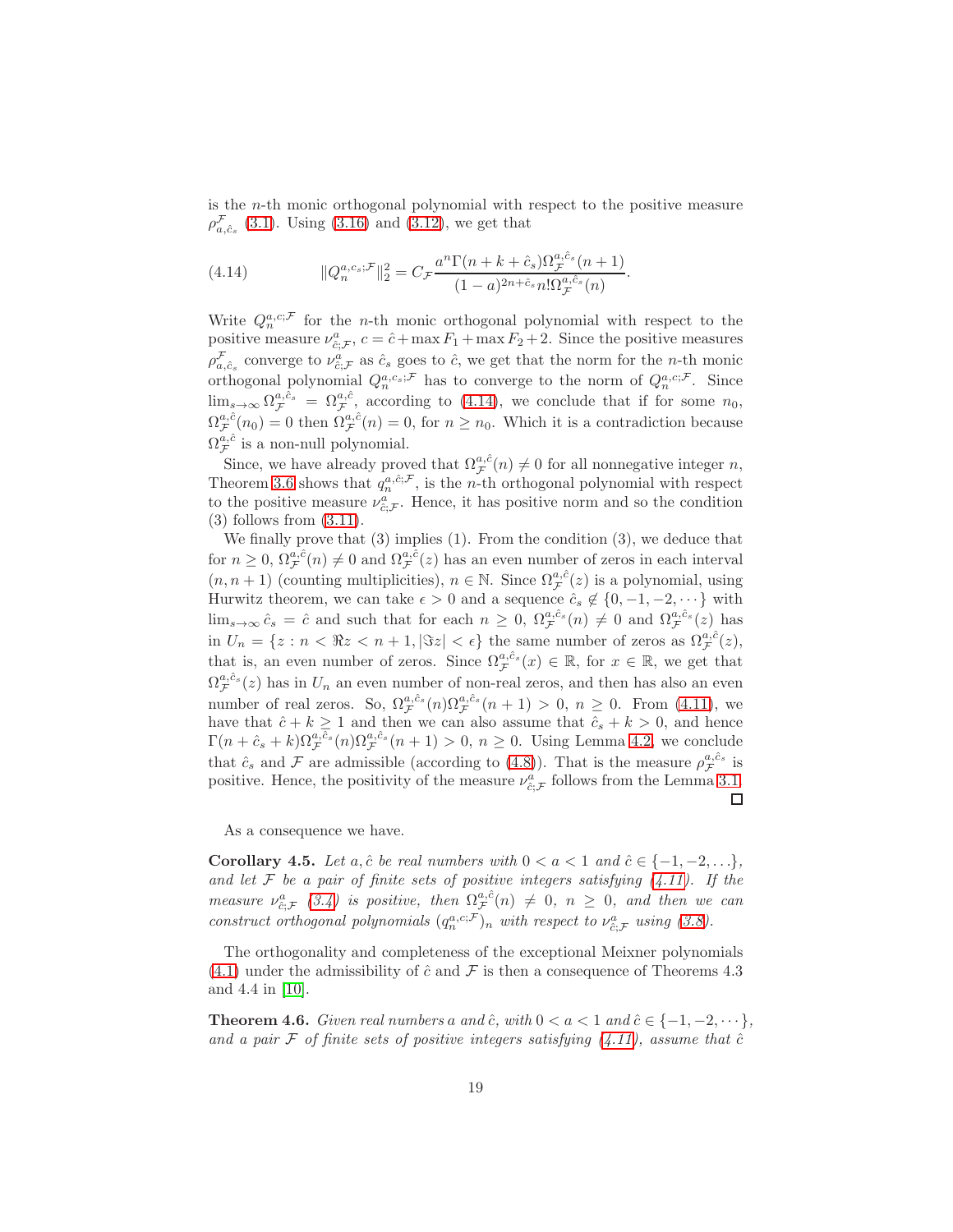is the n-th monic orthogonal polynomial with respect to the positive measure  $\rho_{a,\hat{c}_s}^{\mathcal{F}}$  [\(3.1\)](#page-6-1). Using [\(3.16\)](#page-14-2) and [\(3.12\)](#page-13-0), we get that

<span id="page-18-1"></span>(4.14) 
$$
||Q_n^{a,c_s;F}||_2^2 = C_{\mathcal{F}} \frac{a^n \Gamma(n+k+c_s) \Omega_{\mathcal{F}}^{a,\hat{c}_s}(n+1)}{(1-a)^{2n+\hat{c}_s} n! \Omega_{\mathcal{F}}^{a,\hat{c}_s}(n)}.
$$

Write  $Q_n^{a,c;\mathcal{F}}$  for the *n*-th monic orthogonal polynomial with respect to the positive measure  $\nu_{\hat{c};\mathcal{F}}^a$ ,  $c = \hat{c} + \max F_1 + \max F_2 + 2$ . Since the positive measures  $\rho_{a,\hat{c}_s}^{\mathcal{F}}$  converge to  $\nu_{\hat{c};\mathcal{F}}^a$  as  $\hat{c}_s$  goes to  $\hat{c}$ , we get that the norm for the *n*-th monic orthogonal polynomial  $Q_n^{a,c_s;\mathcal{F}}$  has to converge to the norm of  $Q_n^{a,c;\mathcal{F}}$ . Since  $\lim_{s\to\infty} \Omega_{\mathcal{F}}^{a,\hat{c}_s} = \Omega_{\mathcal{F}}^{a,\hat{c}},$  according to [\(4.14\)](#page-18-1), we conclude that if for some  $n_0$ ,  $\Omega_{\mathcal{F}}^{a,\hat{c}}(n_0) = 0$  then  $\Omega_{\mathcal{F}}^{a,\hat{c}}(n) = 0$ , for  $n \geq n_0$ . Which it is a contradiction because  $\Omega_{\mathcal{F}}^{a,\hat{c}}$  is a non-null polynomial.

Since, we have already proved that  $\Omega_{\mathcal{F}}^{a,\hat{c}}(n) \neq 0$  for all nonnegative integer n, Theorem [3.6](#page-12-0) shows that  $q_n^{a,\hat{c};\mathcal{F}}$ , is the *n*-th orthogonal polynomial with respect to the positive measure  $\nu_{\hat{c};\mathcal{F}}^a$ . Hence, it has positive norm and so the condition (3) follows from [\(3.11\)](#page-13-3).

We finally prove that (3) implies (1). From the condition (3), we deduce that for  $n \geq 0$ ,  $\Omega_{\mathcal{F}}^{a,\hat{c}}(n) \neq 0$  and  $\Omega_{\mathcal{F}}^{a,\hat{c}}(z)$  has an even number of zeros in each interval  $(n, n + 1)$  (counting multiplicities),  $n \in \mathbb{N}$ . Since  $\Omega_{\mathcal{F}}^{a,\hat{c}}(z)$  is a polynomial, using Hurwitz theorem, we can take  $\epsilon > 0$  and a sequence  $\hat{c}_s \notin \{0, -1, -2, \dots\}$  with  $\lim_{s\to\infty} \hat{c}_s = \hat{c}$  and such that for each  $n \geq 0$ ,  $\Omega_{\mathcal{F}}^{a,\hat{c}_s}(n) \neq 0$  and  $\Omega_{\mathcal{F}}^{a,\hat{c}_s}(z)$  has in  $U_n = \{z : n < \Re z < n + 1, |\Im z| < \epsilon\}$  the same number of zeros as  $\Omega_{\mathcal{F}}^{a,\hat{c}}(z)$ , that is, an even number of zeros. Since  $\Omega_{\mathcal{F}}^{a,\hat{c}_s}(x) \in \mathbb{R}$ , for  $x \in \mathbb{R}$ , we get that  $\Omega_{\mathcal{F}}^{a,\hat{c}_s}(z)$  has in  $U_n$  an even number of non-real zeros, and then has also an even number of real zeros. So,  $\Omega_{\mathcal{F}}^{a,\hat{c}_s}(n)\Omega_{\mathcal{F}}^{a,\hat{c}_s}(n+1) > 0, n \geq 0$ . From [\(4.11\)](#page-16-1), we have that  $\hat{c} + k \geq 1$  and then we can also assume that  $\hat{c}_s + k > 0$ , and hence  $\Gamma(n+\hat{c}_s+k)\Omega_{\mathcal{F}}^{a,\hat{c}_s}(n)\Omega_{\mathcal{F}}^{a,\hat{c}_s}(n+1)>0, n\geq 0.$  Using Lemma [4.2,](#page-16-2) we conclude that  $\hat{c}_s$  and  $\mathcal F$  are admissible (according to [\(4.8\)](#page-15-0)). That is the measure  $\rho_{\mathcal F}^{a,\hat{c}_s}$  is positive. Hence, the positivity of the measure  $\nu_{\hat{c};\mathcal{F}}^a$  follows from the Lemma [3.1.](#page-7-4) □

As a consequence we have.

<span id="page-18-0"></span>**Corollary 4.5.** Let a,  $\hat{c}$  be real numbers with  $0 < a < 1$  and  $\hat{c} \in \{-1, -2, \ldots\}$ , and let  $\mathcal F$  be a pair of finite sets of positive integers satisfying [\(4.11\)](#page-16-1). If the measure  $\nu_{\hat{c}}^a \in (3.4)$  $\nu_{\hat{c}}^a \in (3.4)$  is positive, then  $\Omega_{\mathcal{F}}^{a,\hat{c}}(n) \neq 0$ ,  $n \geq 0$ , and then we can  $\hat{c}$ ; $\mathcal{F}$  (0.4) is positive, then st construct orthogonal polynomials  $(q_n^{a,c,\mathcal{F}})_n$  with respect to  $\nu_{\hat{c};\mathcal{F}}^a$  using [\(3.8\)](#page-12-2).

The orthogonality and completeness of the exceptional Meixner polynomials  $(4.1)$  under the admissibility of  $\hat{c}$  and  $\hat{\mathcal{F}}$  is then a consequence of Theorems 4.3 and 4.4 in [\[10\]](#page-28-8).

<span id="page-18-2"></span>**Theorem 4.6.** Given real numbers a and  $\hat{c}$ , with  $0 < a < 1$  and  $\hat{c} \in \{-1, -2, \dots\}$ , and a pair F of finite sets of positive integers satisfying  $(4.11)$ , assume that  $\hat{c}$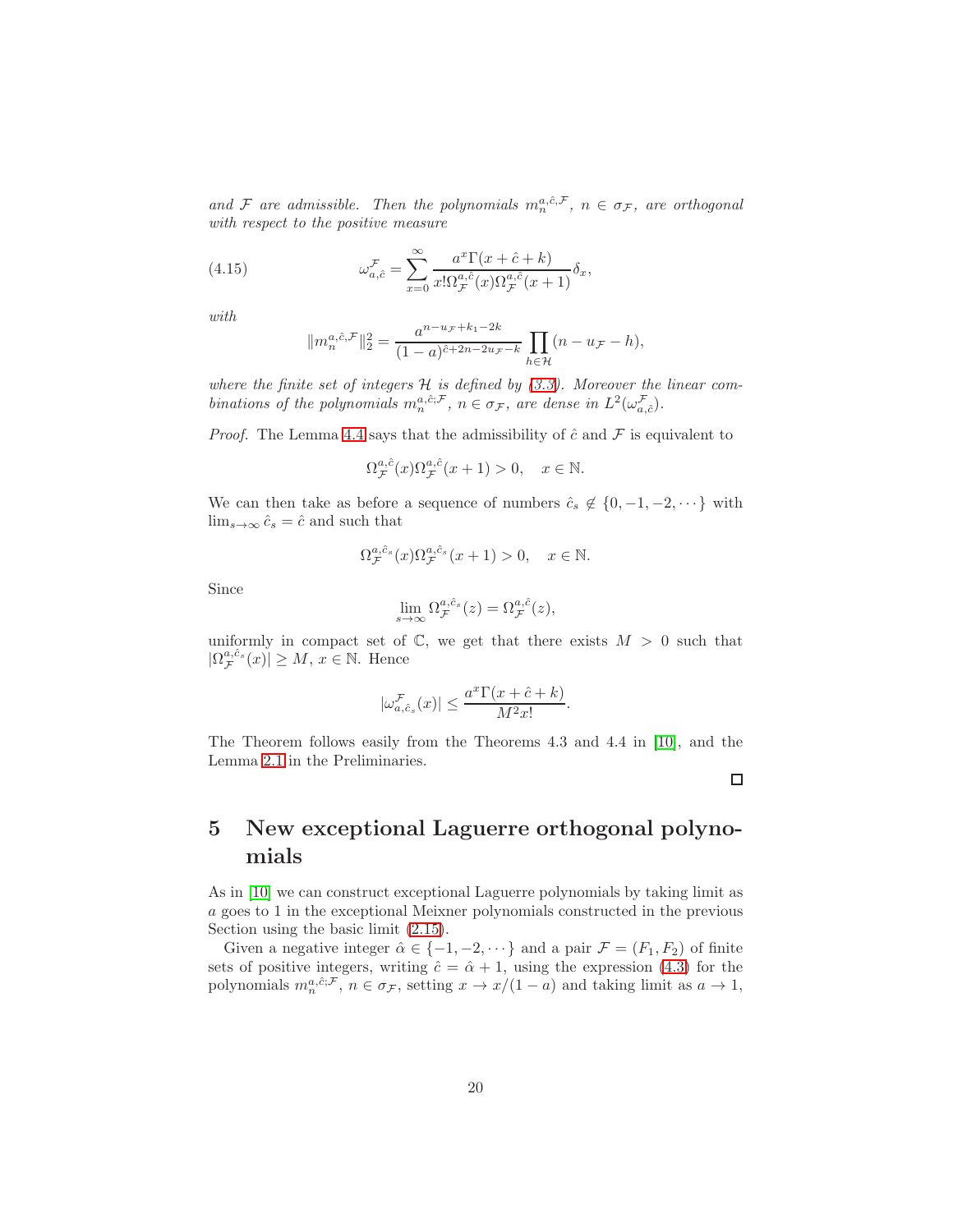and F are admissible. Then the polynomials  $m_n^{a,\hat{c},\mathcal{F}}, n \in \sigma_{\mathcal{F}},$  are orthogonal with respect to the positive measure

(4.15) 
$$
\omega_{a,\hat{c}}^{\mathcal{F}} = \sum_{x=0}^{\infty} \frac{a^x \Gamma(x + \hat{c} + k)}{x! \Omega_{\mathcal{F}}^{a,\hat{c}}(x) \Omega_{\mathcal{F}}^{a,\hat{c}}(x+1)} \delta_x,
$$

with

$$
||m_n^{a,\hat{c},\mathcal{F}}||_2^2 = \frac{a^{n-u_{\mathcal{F}}+k_1-2k}}{(1-a)^{\hat{c}+2n-2u_{\mathcal{F}}-k}} \prod_{h \in \mathcal{H}} (n-u_{\mathcal{F}}-h),
$$

where the finite set of integers  $H$  is defined by  $(3.3)$ . Moreover the linear combinations of the polynomials  $m_n^{a,\hat{c};\mathcal{F}}, n \in \sigma_{\mathcal{F}},$  are dense in  $L^2(\omega_{a,\hat{c}}^{\mathcal{F}})$ .

*Proof.* The Lemma [4.4](#page-17-2) says that the admissibility of  $\hat{c}$  and  $\hat{\mathcal{F}}$  is equivalent to

$$
\Omega_{\mathcal{F}}^{a,\hat{c}}(x)\Omega_{\mathcal{F}}^{a,\hat{c}}(x+1) > 0, \quad x \in \mathbb{N}.
$$

We can then take as before a sequence of numbers  $\hat{c}_s \notin \{0, -1, -2, \dots\}$  with  $\lim_{s\to\infty} \hat{c}_s = \hat{c}$  and such that

$$
\Omega_{\mathcal{F}}^{a,\hat{c}_s}(x)\Omega_{\mathcal{F}}^{a,\hat{c}_s}(x+1) > 0, \quad x \in \mathbb{N}.
$$

Since

$$
\lim_{s \to \infty} \Omega_{\mathcal{F}}^{a,\hat{c}_s}(z) = \Omega_{\mathcal{F}}^{a,\hat{c}}(z),
$$

uniformly in compact set of  $\mathbb{C}$ , we get that there exists  $M > 0$  such that  $|\Omega_{\mathcal{F}}^{a,\hat{c}_s}(x)| \geq M, x \in \mathbb{N}$ . Hence

$$
|\omega_{a,\hat{c}_s}^{\mathcal{F}}(x)|\leq \frac{a^x\Gamma(x+\hat{c}+k)}{M^2x!}.
$$

The Theorem follows easily from the Theorems 4.3 and 4.4 in [\[10\]](#page-28-8), and the Lemma [2.1](#page-3-2) in the Preliminaries.

 $\Box$ 

# <span id="page-19-0"></span>5 New exceptional Laguerre orthogonal polynomials

As in [\[10\]](#page-28-8) we can construct exceptional Laguerre polynomials by taking limit as a goes to 1 in the exceptional Meixner polynomials constructed in the previous Section using the basic limit [\(2.15\)](#page-6-2).

Given a negative integer  $\hat{\alpha} \in \{-1, -2, \dots\}$  and a pair  $\mathcal{F} = (F_1, F_2)$  of finite sets of positive integers, writing  $\hat{c} = \hat{\alpha} + 1$ , using the expression [\(4.3\)](#page-15-1) for the polynomials  $m_n^{a,\hat{c};\mathcal{F}}, n \in \sigma_{\mathcal{F}}$ , setting  $x \to x/(1-a)$  and taking limit as  $a \to 1$ ,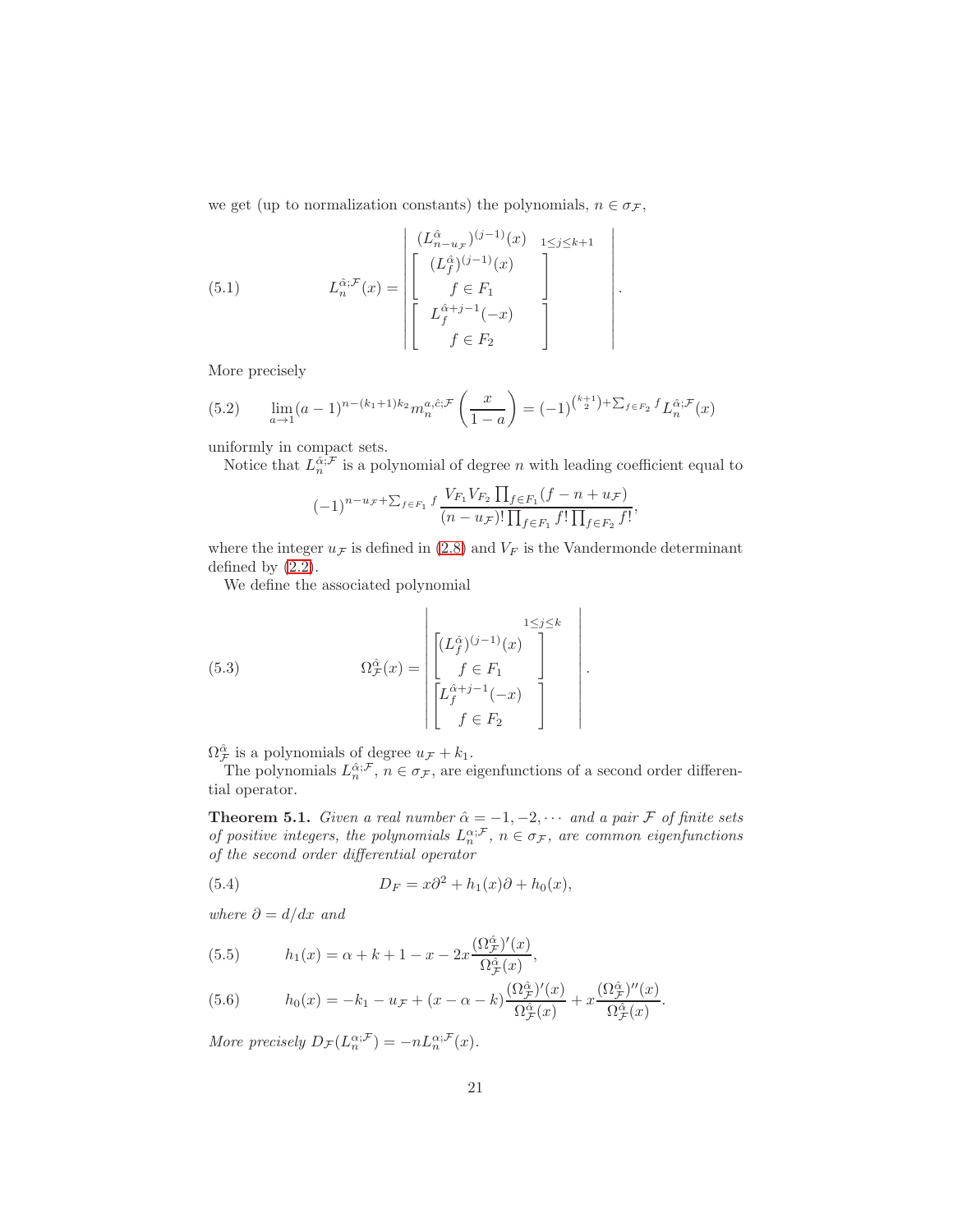we get (up to normalization constants) the polynomials,  $n \in \sigma_{\mathcal{F}}$ ,

(5.1) 
$$
L_n^{\hat{\alpha}; \mathcal{F}}(x) = \begin{bmatrix} (L_{n-u}^{\hat{\alpha}})^{(j-1)}(x) & 1 \leq j \leq k+1 \\ (L_f^{\hat{\alpha}})^{(j-1)}(x) & 1 \\ f \in F_1 & 1 \\ f \notin F_2 & 1 \end{bmatrix}.
$$

More precisely

(5.2) 
$$
\lim_{a \to 1} (a-1)^{n-(k_1+1)k_2} m_n^{a,\hat{c};\mathcal{F}} \left(\frac{x}{1-a}\right) = (-1)^{\binom{k+1}{2} + \sum_{f \in F_2} f} L_n^{\hat{\alpha};\mathcal{F}}(x)
$$

uniformly in compact sets.

Notice that  $L_n^{\hat{\alpha};\mathcal{F}}$  is a polynomial of degree n with leading coefficient equal to

$$
(-1)^{n-u_{\mathcal{F}}+\sum_{f\in F_1}f}\frac{V_{F_1}V_{F_2}\prod_{f\in F_1}(f-n+u_{\mathcal{F}})}{(n-u_{\mathcal{F}})!\prod_{f\in F_1}f!\prod_{f\in F_2}f!},
$$

where the integer  $u_{\mathcal{F}}$  is defined in [\(2.8\)](#page-4-4) and  $V_F$  is the Vandermonde determinant defined by [\(2.2\)](#page-3-3).

We define the associated polynomial

(5.3) 
$$
\Omega_{\mathcal{F}}^{\hat{\alpha}}(x) = \begin{bmatrix} L_{\hat{f}}^{\hat{\alpha}} \big|_{(j-1)}^{(j-1)}(x) \\ f \in F_1 \\ \begin{bmatrix} L_{\hat{f}}^{\hat{\alpha}+j-1}(-x) \\ f \in F_2 \end{bmatrix} \end{bmatrix}
$$

 $\Omega^{\hat{\alpha}}_{\mathcal{F}}$  is a polynomials of degree  $u_{\mathcal{F}} + k_1$ .

The polynomials  $L_n^{\hat{\alpha};\mathcal{F}}, n \in \sigma_{\mathcal{F}},$  are eigenfunctions of a second order differential operator.

.

**Theorem 5.1.** Given a real number  $\hat{\alpha} = -1, -2, \cdots$  and a pair  $\mathcal{F}$  of finite sets of positive integers, the polynomials  $L_n^{\alpha; \mathcal{F}}, n \in \sigma_{\mathcal{F}},$  are common eigenfunctions of the second order differential operator

(5.4) 
$$
D_F = x\partial^2 + h_1(x)\partial + h_0(x),
$$

where  $\partial = d/dx$  and

(5.5) 
$$
h_1(x) = \alpha + k + 1 - x - 2x \frac{(\Omega_{\mathcal{F}}^{\hat{\alpha}})'(x)}{\Omega_{\mathcal{F}}^{\hat{\alpha}}(x)},
$$

(5.6) 
$$
h_0(x) = -k_1 - u_{\mathcal{F}} + (x - \alpha - k) \frac{(\Omega_{\mathcal{F}}^{\hat{\alpha}})'(x)}{\Omega_{\mathcal{F}}^{\hat{\alpha}}(x)} + x \frac{(\Omega_{\mathcal{F}}^{\hat{\alpha}})''(x)}{\Omega_{\mathcal{F}}^{\hat{\alpha}}(x)}.
$$

More precisely  $D_{\mathcal{F}}(L_n^{\alpha;\mathcal{F}}) = -nL_n^{\alpha;\mathcal{F}}(x)$ .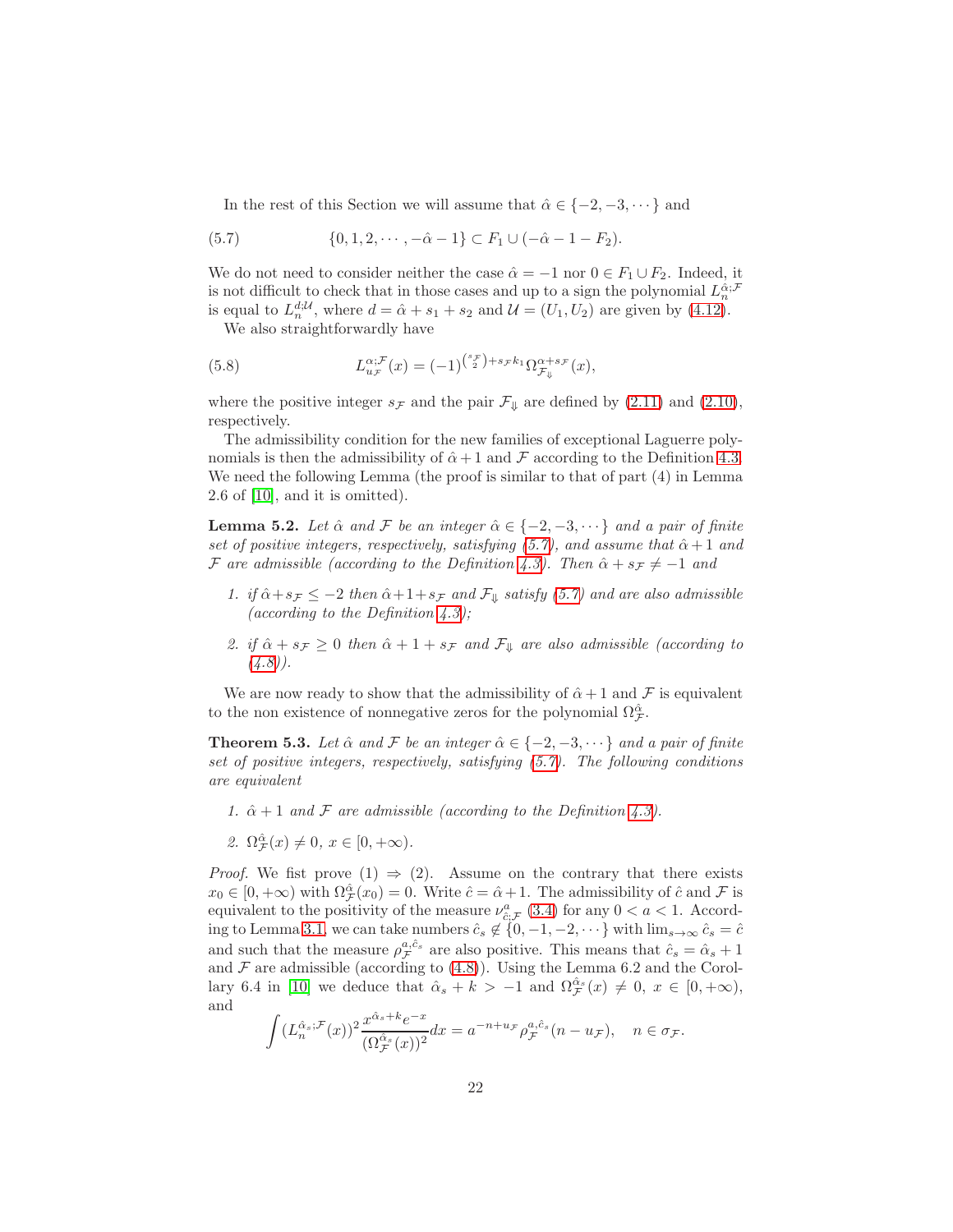<span id="page-21-0"></span>In the rest of this Section we will assume that  $\hat{\alpha} \in \{-2, -3, \dots\}$  and

(5.7) 
$$
\{0, 1, 2, \cdots, -\hat{\alpha} - 1\} \subset F_1 \cup (-\hat{\alpha} - 1 - F_2).
$$

We do not need to consider neither the case  $\hat{\alpha} = -1$  nor  $0 \in F_1 \cup F_2$ . Indeed, it is not difficult to check that in those cases and up to a sign the polynomial  $L_n^{\hat{\alpha};\mathcal{F}}$ is equal to  $L_n^{d; \mathcal{U}}$ , where  $d = \hat{\alpha} + s_1 + s_2$  and  $\mathcal{U} = (U_1, U_2)$  are given by [\(4.12\)](#page-17-3).

<span id="page-21-1"></span>We also straightforwardly have

(5.8) 
$$
L_{u_{\mathcal{F}}}^{\alpha;\mathcal{F}}(x) = (-1)^{\binom{s_{\mathcal{F}}}{2} + s_{\mathcal{F}}k_1} \Omega_{\mathcal{F}_{\psi}}^{\alpha+s_{\mathcal{F}}}(x),
$$

where the positive integer  $s_F$  and the pair  $\mathcal{F}_{\downarrow}$  are defined by [\(2.11\)](#page-5-0) and [\(2.10\)](#page-5-1), respectively.

The admissibility condition for the new families of exceptional Laguerre polynomials is then the admissibility of  $\hat{\alpha}+1$  and F according to the Definition [4.3.](#page-17-1) We need the following Lemma (the proof is similar to that of part (4) in Lemma 2.6 of [\[10\]](#page-28-8), and it is omitted).

<span id="page-21-2"></span>**Lemma 5.2.** Let  $\hat{\alpha}$  and F be an integer  $\hat{\alpha} \in \{-2, -3, \dots\}$  and a pair of finite set of positive integers, respectively, satisfying [\(5.7\)](#page-21-0), and assume that  $\hat{\alpha}+1$  and F are admissible (according to the Definition [4.3\)](#page-17-1). Then  $\hat{\alpha} + s_{\mathcal{F}} \neq -1$  and

- 1. if  $\hat{\alpha} + s_{\mathcal{F}} \leq -2$  then  $\hat{\alpha} + 1 + s_{\mathcal{F}}$  and  $\mathcal{F}_{\psi}$  satisfy [\(5.7\)](#page-21-0) and are also admissible (according to the Definition  $(4.3)$ ;
- 2. if  $\hat{\alpha} + s_{\mathcal{F}} \geq 0$  then  $\hat{\alpha} + 1 + s_{\mathcal{F}}$  and  $\mathcal{F}_{\downarrow}$  are also admissible (according to  $(4.8)$ .

We are now ready to show that the admissibility of  $\hat{\alpha}+1$  and F is equivalent to the non existence of nonnegative zeros for the polynomial  $\Omega^{\hat{\alpha}}_{\mathcal{F}}$ .

**Theorem 5.3.** Let  $\hat{\alpha}$  and F be an integer  $\hat{\alpha} \in \{-2, -3, \dots\}$  and a pair of finite set of positive integers, respectively, satisfying [\(5.7\)](#page-21-0). The following conditions are equivalent

- 1.  $\hat{\alpha} + 1$  and F are admissible (according to the Definition [4.3\)](#page-17-1).
- 2.  $\Omega^{\hat{\alpha}}_{\mathcal{F}}(x) \neq 0, x \in [0, +\infty)$ .

*Proof.* We fist prove  $(1) \Rightarrow (2)$ . Assume on the contrary that there exists  $x_0 \in [0, +\infty)$  with  $\Omega^{\hat{\alpha}}_{\mathcal{F}}(x_0) = 0$ . Write  $\hat{c} = \hat{\alpha} + 1$ . The admissibility of  $\hat{c}$  and  $\mathcal{F}$  is equivalent to the positivity of the measure  $\nu_{\hat{c};\mathcal{F}}^a(3.4)$  $\nu_{\hat{c};\mathcal{F}}^a(3.4)$  for any  $0 < a < 1$ . Accord-ing to Lemma [3.1,](#page-7-4) we can take numbers  $\hat{c}_s \notin \{0, -1, -2, \dots\}$  with  $\lim_{s \to \infty} \hat{c}_s = \hat{c}$ and such that the measure  $\rho_{\mathcal{F}}^{a,\hat{c}_s}$  are also positive. This means that  $\hat{c}_s = \hat{\alpha}_s + 1$ and  $\mathcal F$  are admissible (according to [\(4.8\)](#page-15-0)). Using the Lemma 6.2 and the Corol-lary 6.4 in [\[10\]](#page-28-8) we deduce that  $\hat{\alpha}_s + k > -1$  and  $\Omega_{\mathcal{F}}^{\hat{\alpha}_s}(x) \neq 0, x \in [0, +\infty)$ , and

$$
\int (L_n^{\hat{\alpha}_s;\mathcal{F}}(x))^2 \frac{x^{\hat{\alpha}_s + k} e^{-x}}{(\Omega_{\mathcal{F}}^{\hat{\alpha}_s}(x))^2} dx = a^{-n+u_{\mathcal{F}}} \rho_{\mathcal{F}}^{a,\hat{c}_s}(n - u_{\mathcal{F}}), \quad n \in \sigma_{\mathcal{F}}.
$$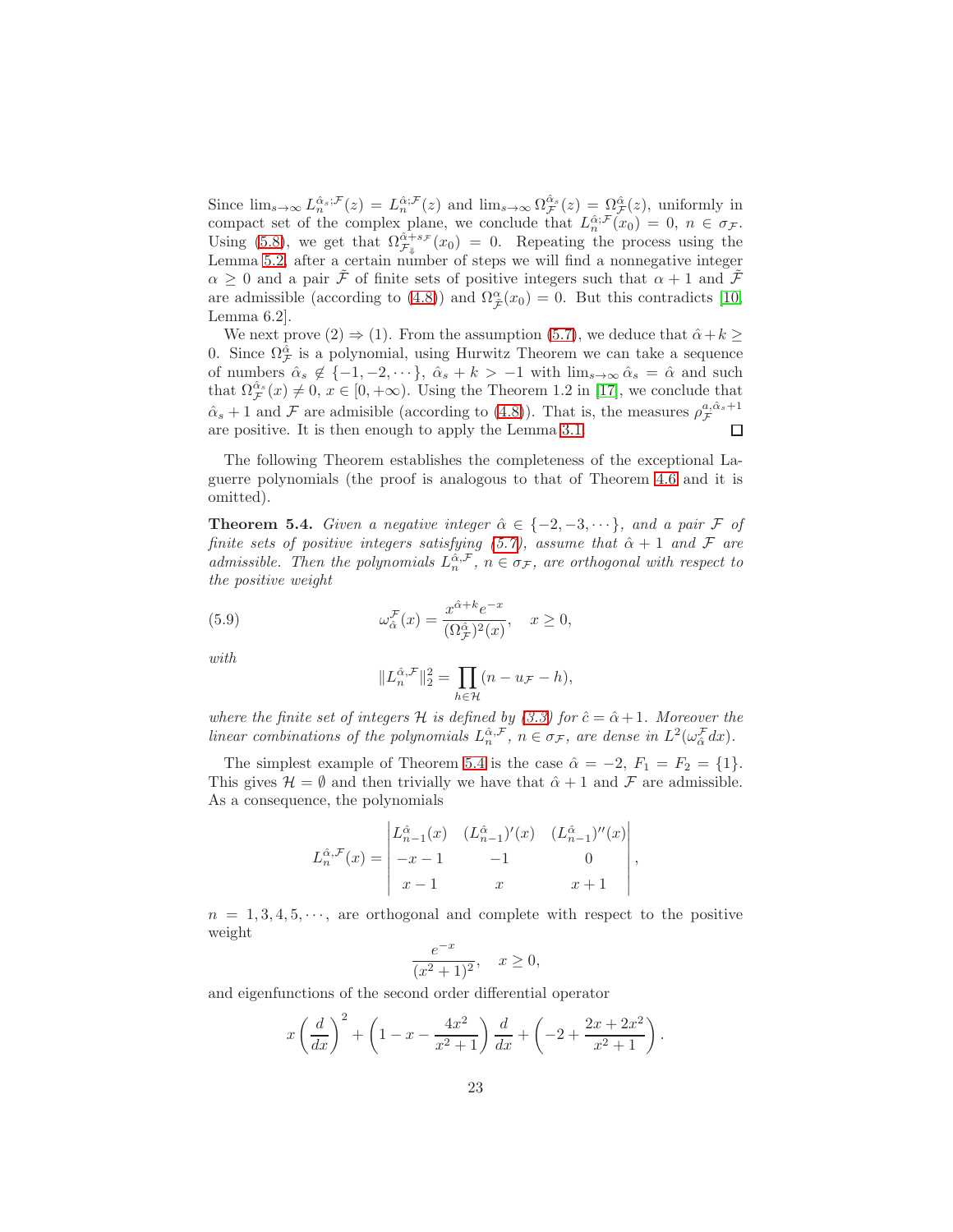Since  $\lim_{s\to\infty} L_n^{\hat{\alpha}_s;\mathcal{F}}(z) = L_n^{\hat{\alpha};\mathcal{F}}(z)$  and  $\lim_{s\to\infty} \Omega_{\mathcal{F}}^{\hat{\alpha}_s}(z) = \Omega_{\mathcal{F}}^{\hat{\alpha}}(z)$ , uniformly in compact set of the complex plane, we conclude that  $L_n^{\hat{\alpha};\mathcal{F}}(x_0) = 0, n \in \sigma_{\mathcal{F}}$ . Using [\(5.8\)](#page-21-1), we get that  $\Omega_{\mathcal{F}_{\psi}}^{\hat{\alpha}+s_{\mathcal{F}}}(x_0) = 0$ . Repeating the process using the Lemma [5.2,](#page-21-2) after a certain number of steps we will find a nonnegative integer  $\alpha \geq 0$  and a pair F of finite sets of positive integers such that  $\alpha + 1$  and F are admissible (according to [\(4.8\)](#page-15-0)) and  $\Omega_{\hat{\mathcal{F}}}^{\alpha}(x_0) = 0$ . But this contradicts [\[10,](#page-28-8) Lemma 6.2].

We next prove  $(2) \Rightarrow (1)$ . From the assumption  $(5.7)$ , we deduce that  $\hat{\alpha} + k \geq 1$ 0. Since  $\Omega_{\mathcal{F}}^{\hat{\alpha}}$  is a polynomial, using Hurwitz Theorem we can take a sequence of numbers  $\hat{\alpha}_s \notin \{-1, -2, \dots\}, \ \hat{\alpha}_s + k > -1$  with  $\lim_{s \to \infty} \hat{\alpha}_s = \hat{\alpha}$  and such that  $\Omega_{\mathcal{F}}^{\hat{\alpha}_s}(x) \neq 0, x \in [0, +\infty)$ . Using the Theorem 1.2 in [\[17\]](#page-28-12), we conclude that  $\hat{\alpha}_s + 1$  and F are admisible (according to [\(4.8\)](#page-15-0)). That is, the measures  $\rho_{\mathcal{F}}^{a,\hat{\alpha}_s+1}$ are positive. It is then enough to apply the Lemma [3.1.](#page-7-4)  $\Box$ 

The following Theorem establishes the completeness of the exceptional Laguerre polynomials (the proof is analogous to that of Theorem [4.6](#page-18-2) and it is omitted).

<span id="page-22-0"></span>**Theorem 5.4.** Given a negative integer  $\hat{\alpha} \in \{-2, -3, \dots\}$ , and a pair F of finite sets of positive integers satisfying [\(5.7\)](#page-21-0), assume that  $\hat{\alpha} + 1$  and F are admissible. Then the polynomials  $L_n^{\hat{\alpha}, \mathcal{F}}, n \in \sigma_{\mathcal{F}},$  are orthogonal with respect to the positive weight

(5.9) 
$$
\omega_{\hat{\alpha}}^{\mathcal{F}}(x) = \frac{x^{\hat{\alpha}+k}e^{-x}}{(\Omega_{\mathcal{F}}^{\hat{\alpha}})^2(x)}, \quad x \ge 0,
$$

with

$$
||L_n^{\hat{\alpha},\mathcal{F}}||_2^2 = \prod_{h \in \mathcal{H}} (n - u_{\mathcal{F}} - h),
$$

where the finite set of integers H is defined by [\(3.3\)](#page-7-2) for  $\hat{c} = \hat{\alpha} + 1$ . Moreover the linear combinations of the polynomials  $L_n^{\hat{\alpha},\mathcal{F}}, n \in \sigma_{\mathcal{F}},$  are dense in  $L^2(\omega_{\hat{\alpha}}^{\mathcal{F}}dx)$ .

The simplest example of Theorem [5.4](#page-22-0) is the case  $\hat{\alpha} = -2$ ,  $F_1 = F_2 = \{1\}$ . This gives  $\mathcal{H} = \emptyset$  and then trivially we have that  $\hat{\alpha} + 1$  and  $\mathcal F$  are admissible. As a consequence, the polynomials

$$
L_n^{\hat{\alpha}, \mathcal{F}}(x) = \begin{vmatrix} L_{n-1}^{\hat{\alpha}}(x) & (L_{n-1}^{\hat{\alpha}})'(x) & (L_{n-1}^{\hat{\alpha}})''(x) \\ -x - 1 & -1 & 0 \\ x - 1 & x & x + 1 \end{vmatrix},
$$

 $n = 1, 3, 4, 5, \dots$ , are orthogonal and complete with respect to the positive weight

$$
\frac{e^{-x}}{(x^2+1)^2}, \quad x \ge 0,
$$

and eigenfunctions of the second order differential operator

$$
x\left(\frac{d}{dx}\right)^{2} + \left(1 - x - \frac{4x^{2}}{x^{2} + 1}\right)\frac{d}{dx} + \left(-2 + \frac{2x + 2x^{2}}{x^{2} + 1}\right).
$$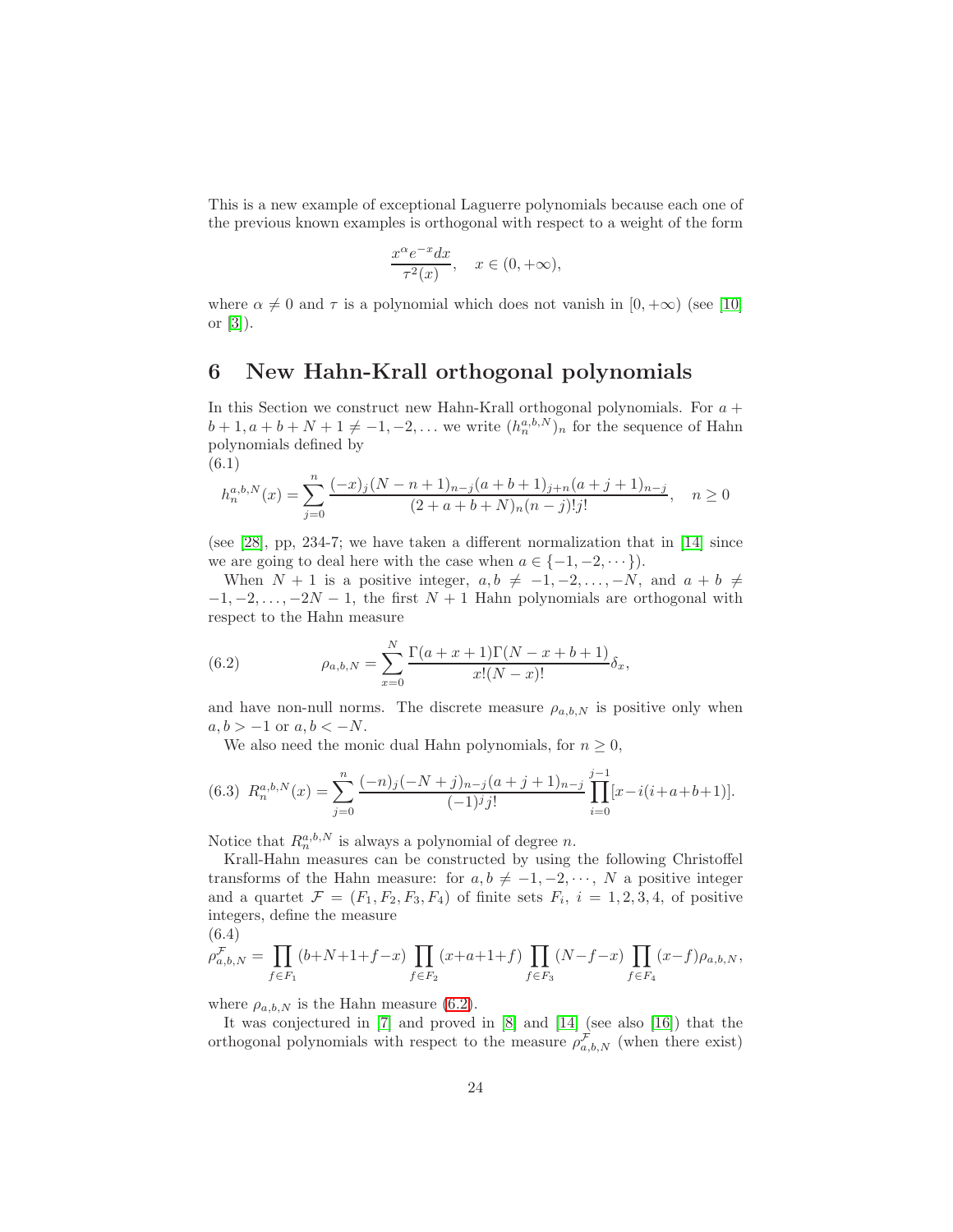This is a new example of exceptional Laguerre polynomials because each one of the previous known examples is orthogonal with respect to a weight of the form

$$
\frac{x^{\alpha}e^{-x}dx}{\tau^2(x)}, \quad x \in (0, +\infty),
$$

where  $\alpha \neq 0$  and  $\tau$  is a polynomial which does not vanish in [0, + $\infty$ ) (see [\[10\]](#page-28-8) or [\[3\]](#page-28-10)).

## <span id="page-23-0"></span>6 New Hahn-Krall orthogonal polynomials

In this Section we construct new Hahn-Krall orthogonal polynomials. For  $a +$  $b+1, a+b+N+1 \neq -1, -2, \ldots$  we write  $(h_n^{a,b,N})_n$  for the sequence of Hahn polynomials defined by (6.1)

$$
h_n^{a,b,N}(x) = \sum_{j=0}^n \frac{(-x)_j (N-n+1)_{n-j} (a+b+1)_{j+n} (a+j+1)_{n-j}}{(2+a+b+N)_n (n-j)! j!}, \quad n \ge 0
$$

(see [\[28\]](#page-29-12), pp, 234-7; we have taken a different normalization that in [\[14\]](#page-28-5) since we are going to deal here with the case when  $a \in \{-1, -2, \dots\}$ .

When  $N + 1$  is a positive integer,  $a, b \neq -1, -2, \ldots, -N$ , and  $a + b \neq$  $-1, -2, \ldots, -2N-1$ , the first  $N+1$  Hahn polynomials are orthogonal with respect to the Hahn measure

<span id="page-23-1"></span>(6.2) 
$$
\rho_{a,b,N} = \sum_{x=0}^{N} \frac{\Gamma(a+x+1)\Gamma(N-x+b+1)}{x!(N-x)!} \delta_x,
$$

and have non-null norms. The discrete measure  $\rho_{a,b,N}$  is positive only when  $a, b > -1$  or  $a, b < -N$ .

We also need the monic dual Hahn polynomials, for  $n \geq 0$ ,

$$
(6.3) \ R_n^{a,b,N}(x) = \sum_{j=0}^n \frac{(-n)_j(-N+j)_{n-j}(a+j+1)_{n-j}}{(-1)^j j!} \prod_{i=0}^{j-1} [x-i(i+a+b+1)].
$$

Notice that  $R_n^{a,b,N}$  is always a polynomial of degree n.

Krall-Hahn measures can be constructed by using the following Christoffel transforms of the Hahn measure: for  $a, b \neq -1, -2, \dots, N$  a positive integer and a quartet  $\mathcal{F} = (F_1, F_2, F_3, F_4)$  of finite sets  $F_i$ ,  $i = 1, 2, 3, 4$ , of positive integers, define the measure (6.4)

<span id="page-23-2"></span>
$$
\rho_{a,b,N}^{\mathcal{F}} = \prod_{f \in F_1} (b+N+1+f-x) \prod_{f \in F_2} (x+a+1+f) \prod_{f \in F_3} (N-f-x) \prod_{f \in F_4} (x-f)\rho_{a,b,N},
$$

where  $\rho_{a,b,N}$  is the Hahn measure [\(6.2\)](#page-23-1).

It was conjectured in [\[7\]](#page-28-1) and proved in [\[8\]](#page-28-2) and [\[14\]](#page-28-5) (see also [\[16\]](#page-28-13)) that the orthogonal polynomials with respect to the measure  $\rho_{a,b,N}^{\mathcal{F}}$  (when there exist)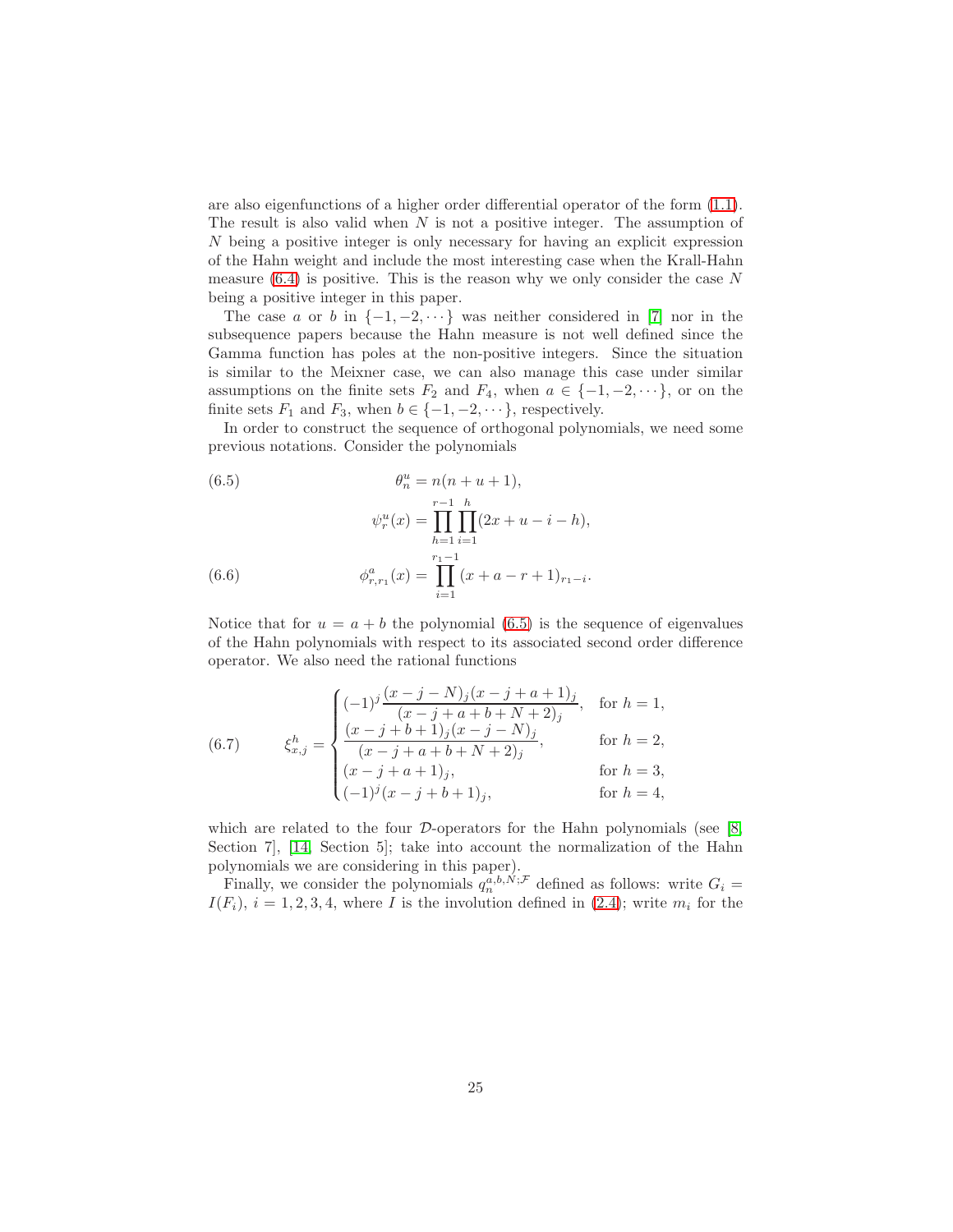are also eigenfunctions of a higher order differential operator of the form [\(1.1\)](#page-1-1). The result is also valid when  $N$  is not a positive integer. The assumption of N being a positive integer is only necessary for having an explicit expression of the Hahn weight and include the most interesting case when the Krall-Hahn measure  $(6.4)$  is positive. This is the reason why we only consider the case N being a positive integer in this paper.

The case a or b in  $\{-1, -2, \dots\}$  was neither considered in [\[7\]](#page-28-1) nor in the subsequence papers because the Hahn measure is not well defined since the Gamma function has poles at the non-positive integers. Since the situation is similar to the Meixner case, we can also manage this case under similar assumptions on the finite sets  $F_2$  and  $F_4$ , when  $a \in \{-1, -2, \dots\}$ , or on the finite sets  $F_1$  and  $F_3$ , when  $b \in \{-1, -2, \dots\}$ , respectively.

In order to construct the sequence of orthogonal polynomials, we need some previous notations. Consider the polynomials

<span id="page-24-0"></span>(6.5)  
\n
$$
\theta_n^u = n(n+u+1),
$$
\n
$$
\psi_r^u(x) = \prod_{h=1}^{r-1} \prod_{i=1}^h (2x+u-i-h),
$$
\n
$$
\phi_{r,r_1}^a(x) = \prod_{i=1}^{r_1-1} (x+a-r+1)_{r_1-i}.
$$

Notice that for  $u = a + b$  the polynomial [\(6.5\)](#page-24-0) is the sequence of eigenvalues of the Hahn polynomials with respect to its associated second order difference operator. We also need the rational functions

(6.7) 
$$
\xi_{x,j}^h = \begin{cases}\n(-1)^j \frac{(x-j-N)_j (x-j+a+1)_j}{(x-j+a+b+N+2)_j}, & \text{for } h = 1, \\
\frac{(x-j+b+1)_j (x-j-N)_j}{(x-j+a+b+N+2)_j}, & \text{for } h = 2, \\
(x-j+a+1)_j, & \text{for } h = 3, \\
(-1)^j (x-j+b+1)_j, & \text{for } h = 4,\n\end{cases}
$$

which are related to the four  $D$ -operators for the Hahn polynomials (see [\[8,](#page-28-2) Section 7, [\[14,](#page-28-5) Section 5]; take into account the normalization of the Hahn polynomials we are considering in this paper).

Finally, we consider the polynomials  $q_n^{a,b,N;\mathcal{F}}$  defined as follows: write  $G_i$  =  $I(F_i)$ ,  $i = 1, 2, 3, 4$ , where I is the involution defined in [\(2.4\)](#page-4-3); write  $m_i$  for the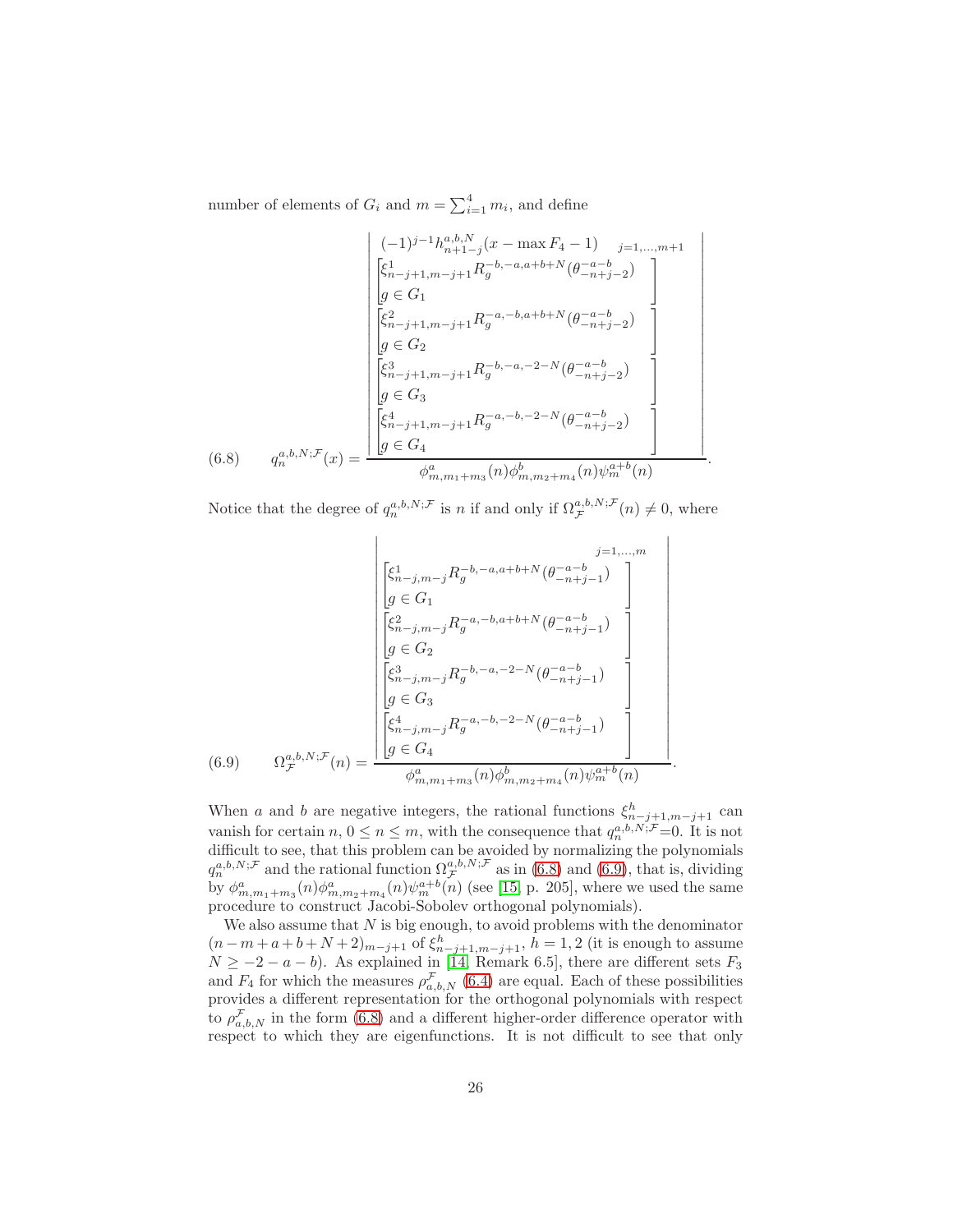number of elements of  $G_i$  and  $m = \sum_{i=1}^{4} m_i$ , and define

$$
\begin{bmatrix}\n(-1)^{j-1}h_{n+1-j}^{a,b,N}(x - \max F_4 - 1) & _{j=1,...,m+1} \\
\begin{bmatrix}\n\zeta_{n-j+1,m-j+1}^{1} R_{g}^{-b,-a,a+b+N}(\theta_{-n+j-2}^{-a-b}) \\
g \in G_1\n\end{bmatrix} \\
\begin{bmatrix}\n\zeta_{n-j+1,m-j+1}^{2} R_{g}^{-a,-b,a+b+N}(\theta_{-n+j-2}^{-a-b}) \\
g \in G_2\n\end{bmatrix} \\
\begin{bmatrix}\n\zeta_{n-j+1,m-j+1}^{3} R_{g}^{-b,-a,-2-N}(\theta_{-n+j-2}^{-a-b}) \\
g \in G_3\n\end{bmatrix} \\
(6.8) \quad q_n^{a,b,N;F}(x) = \frac{\begin{bmatrix}\n\zeta_{n-j+1,m-j+1}^{4} R_{g}^{-a,-b,-2-N}(\theta_{-n+j-2}^{-a-b}) \\
g \in G_4\n\end{bmatrix} \\
\phi_{m,m_1+m_3}^{a}(n) \phi_{m,m_2+m_4}^{b}(n) \psi_{m}^{a+b}(n)\n\end{bmatrix}
$$

<span id="page-25-0"></span>Notice that the degree of  $q_n^{a,b,N;\mathcal{F}}$  is n if and only if  $\Omega_{\mathcal{F}}^{a,b,N;\mathcal{F}}(n) \neq 0$ , where

.

$$
\begin{bmatrix}\n\xi_{n-j,m-j}^{1} R_{g}^{-b,-a,a+b+N} (\theta_{-n+j-1}^{-a-b}) \\
g \in G_{1} \\
\hline\n\begin{bmatrix}\n\xi_{n-j,m-j}^{2} R_{g}^{-a,-b,a+b+N} (\theta_{-n+j-1}^{-a-b}) \\
g \in G_{2} \\
\hline\n\begin{bmatrix}\n\xi_{n-j,m-j}^{3} R_{g}^{-b,-a,-2-N} (\theta_{-n+j-1}^{-a-b}) \\
g \in G_{3} \\
\hline\n\end{bmatrix} \\
g \in G_{3}\n\end{bmatrix}
$$
\n(6.9) 
$$
\Omega_{\mathcal{F}}^{a,b,N;\mathcal{F}}(n) = \frac{\begin{bmatrix}\n\xi_{n-j,m-j}^{4} R_{g}^{-a,-b,-2-N} (\theta_{-n+j-1}^{-a-b}) \\
g \in G_{4} & \hline\n\phi_{m,m_1+m_3}^{a}(n) \phi_{m,m_2+m_4}^{b}(n) \psi_{m}^{a+b}(n)\n\end{bmatrix}.
$$

<span id="page-25-1"></span>When a and b are negative integers, the rational functions  $\xi_{n-j+1,m-j+1}^h$  can vanish for certain  $n, 0 \le n \le m$ , with the consequence that  $q_n^{a,b,N;\mathcal{F}}=0$ . It is not difficult to see, that this problem can be avoided by normalizing the polynomials  $q_n^{a,b,N;\mathcal{F}}$  and the rational function  $\Omega^{a,b,N;\mathcal{F}}_{\mathcal{F}}$  as in [\(6.8\)](#page-25-0) and [\(6.9\)](#page-25-1), that is, dividing by  $\phi^a_{m,m_1+m_3}(n)\phi^a_{m,m_2+m_4}(n)\psi^{a+b}_m(n)$  (see [\[15,](#page-28-14) p. 205], where we used the same procedure to construct Jacobi-Sobolev orthogonal polynomials).

We also assume that  $N$  is big enough, to avoid problems with the denominator  $(n-m+a+b+N+2)_{m-j+1}$  of  $\xi_{n-j+1,m-j+1}^h$ ,  $h=1,2$  (it is enough to assume  $N \ge -2 - a - b$ ). As explained in [\[14,](#page-28-5) Remark 6.5], there are different sets  $F_3$ and  $F_4$  for which the measures  $\rho_{a,b,N}^{\mathcal{F}}(6.4)$  $\rho_{a,b,N}^{\mathcal{F}}(6.4)$  are equal. Each of these possibilities provides a different representation for the orthogonal polynomials with respect to  $\rho_{a,b,N}^{\mathcal{F}}$  in the form [\(6.8\)](#page-25-0) and a different higher-order difference operator with respect to which they are eigenfunctions. It is not difficult to see that only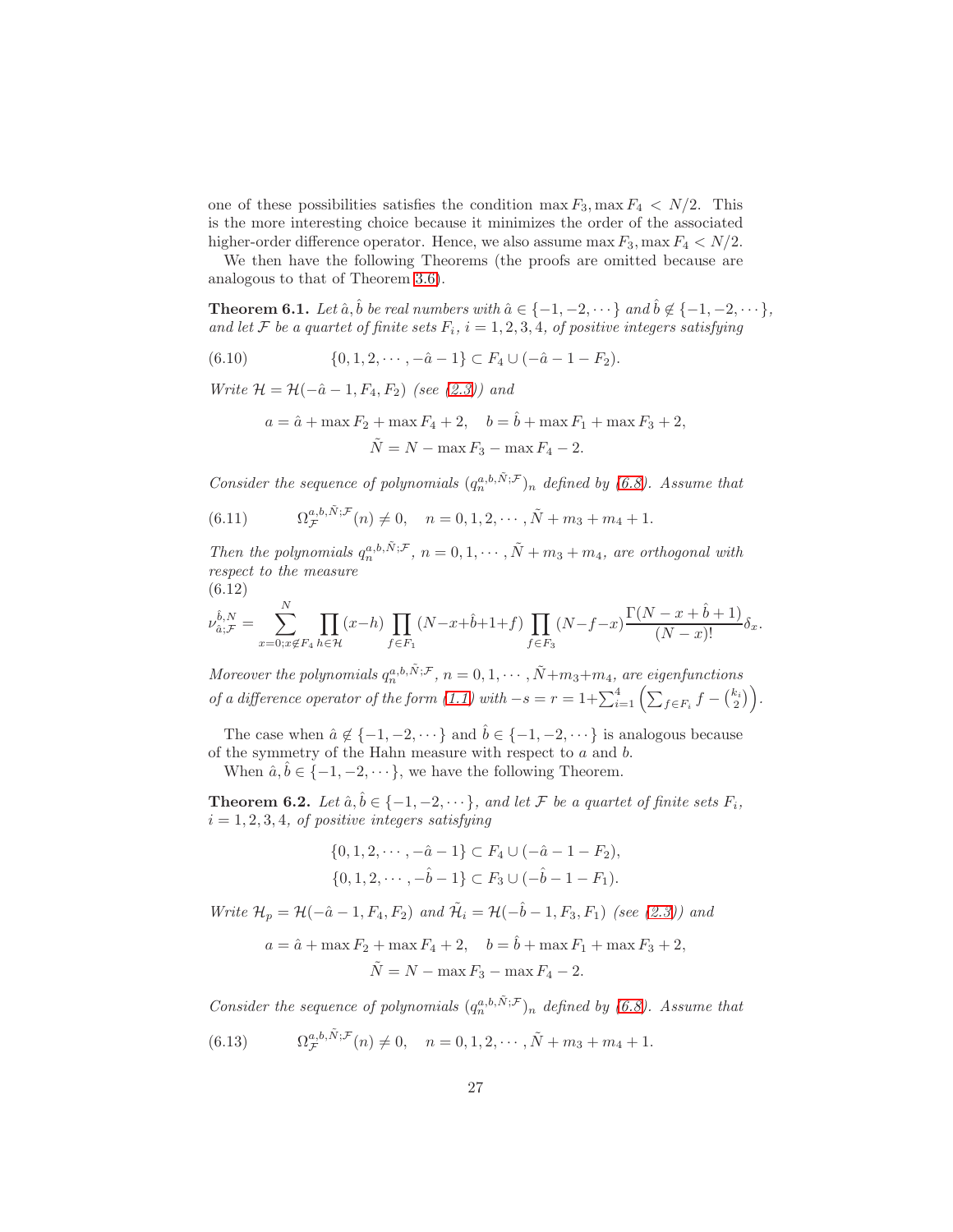one of these possibilities satisfies the condition  $\max F_3$ ,  $\max F_4 < N/2$ . This is the more interesting choice because it minimizes the order of the associated higher-order difference operator. Hence, we also assume  $\max F_3$ ,  $\max F_4 < N/2$ .

We then have the following Theorems (the proofs are omitted because are analogous to that of Theorem [3.6\)](#page-12-0).

<span id="page-26-0"></span>**Theorem 6.1.** Let  $\hat{a}$ ,  $\hat{b}$  be real numbers with  $\hat{a} \in \{-1, -2, \dots\}$  and  $\hat{b} \notin \{-1, -2, \dots\}$ , and let F be a quartet of finite sets  $F_i$ ,  $i = 1, 2, 3, 4$ , of positive integers satisfying

$$
(6.10) \qquad \{0, 1, 2, \cdots, -\hat{a} - 1\} \subset F_4 \cup (-\hat{a} - 1 - F_2).
$$

Write  $\mathcal{H} = \mathcal{H}(-\hat{a}-1, F_4, F_2)$  (see [\(2.3\)](#page-3-0)) and

<span id="page-26-5"></span>
$$
a = \hat{a} + \max F_2 + \max F_4 + 2
$$
,  $b = \hat{b} + \max F_1 + \max F_3 + 2$ ,  
\n $\tilde{N} = N - \max F_3 - \max F_4 - 2$ .

Consider the sequence of polynomials  $(q_n^{a,b,\tilde{N};\mathcal{F}})_n$  defined by [\(6.8\)](#page-25-0). Assume that

<span id="page-26-2"></span>(6.11) 
$$
\Omega_{\mathcal{F}}^{a,b,\tilde{N};\mathcal{F}}(n) \neq 0, \quad n = 0, 1, 2, \cdots, \tilde{N} + m_3 + m_4 + 1.
$$

Then the polynomials  $q_n^{a,b,\tilde{N};\mathcal{F}}, n = 0, 1, \cdots, \tilde{N} + m_3 + m_4$ , are orthogonal with respect to the measure (6.12)

$$
\hat{b}, N \qquad \sum^{N} \qquad \prod (\alpha, b) \qquad \prod (\Delta^{T})
$$

<span id="page-26-4"></span>
$$
\nu_{\hat{a};\mathcal{F}}^{\hat{b},N} = \sum_{x=0;x \notin F_4}^{N} \prod_{h \in \mathcal{H}} (x-h) \prod_{f \in F_1} (N-x+\hat{b}+1+f) \prod_{f \in F_3} (N-f-x) \frac{\Gamma(N-x+\hat{b}+1)}{(N-x)!} \delta_x.
$$

Moreover the polynomials  $q_n^{a,b,\tilde{N};\mathcal{F}}, n = 0, 1, \cdots, \tilde{N}+m_3+m_4$ , are eigenfunctions of a difference operator of the form  $(1.1)$  with  $-s = r = 1 + \sum_{i=1}^{4} \left( \sum_{f \in F_i} f - {k_i \choose 2} \right)$ .

The case when  $\hat{a} \notin \{-1, -2, \dots\}$  and  $\hat{b} \in \{-1, -2, \dots\}$  is analogous because of the symmetry of the Hahn measure with respect to  $a$  and  $b$ .

When  $\hat{a}, \hat{b} \in \{-1, -2, \dots\}$ , we have the following Theorem.

<span id="page-26-1"></span>**Theorem 6.2.** Let  $\hat{a}, \hat{b} \in \{-1, -2, \dots\}$ , and let F be a quartet of finite sets  $F_i$ ,  $i = 1, 2, 3, 4$ , of positive integers satisfying

$$
\{0, 1, 2, \cdots, -\hat{a} - 1\} \subset F_4 \cup (-\hat{a} - 1 - F_2),
$$
  

$$
\{0, 1, 2, \cdots, -\hat{b} - 1\} \subset F_3 \cup (-\hat{b} - 1 - F_1).
$$

Write  $\mathcal{H}_p = \mathcal{H}(-\hat{a}-1, F_4, F_2)$  and  $\tilde{\mathcal{H}}_i = \mathcal{H}(-\hat{b}-1, F_3, F_1)$  (see [\(2.3\)](#page-3-0)) and

$$
a = \hat{a} + \max F_2 + \max F_4 + 2
$$
,  $b = \hat{b} + \max F_1 + \max F_3 + 2$ ,  
\n $\tilde{N} = N - \max F_3 - \max F_4 - 2$ .

Consider the sequence of polynomials  $(q_n^{a,b,\tilde{N};\mathcal{F}})_n$  defined by [\(6.8\)](#page-25-0). Assume that

<span id="page-26-3"></span>(6.13) 
$$
\Omega_{\mathcal{F}}^{a,b,\tilde{N};\mathcal{F}}(n) \neq 0, \quad n = 0, 1, 2, \cdots, \tilde{N} + m_3 + m_4 + 1.
$$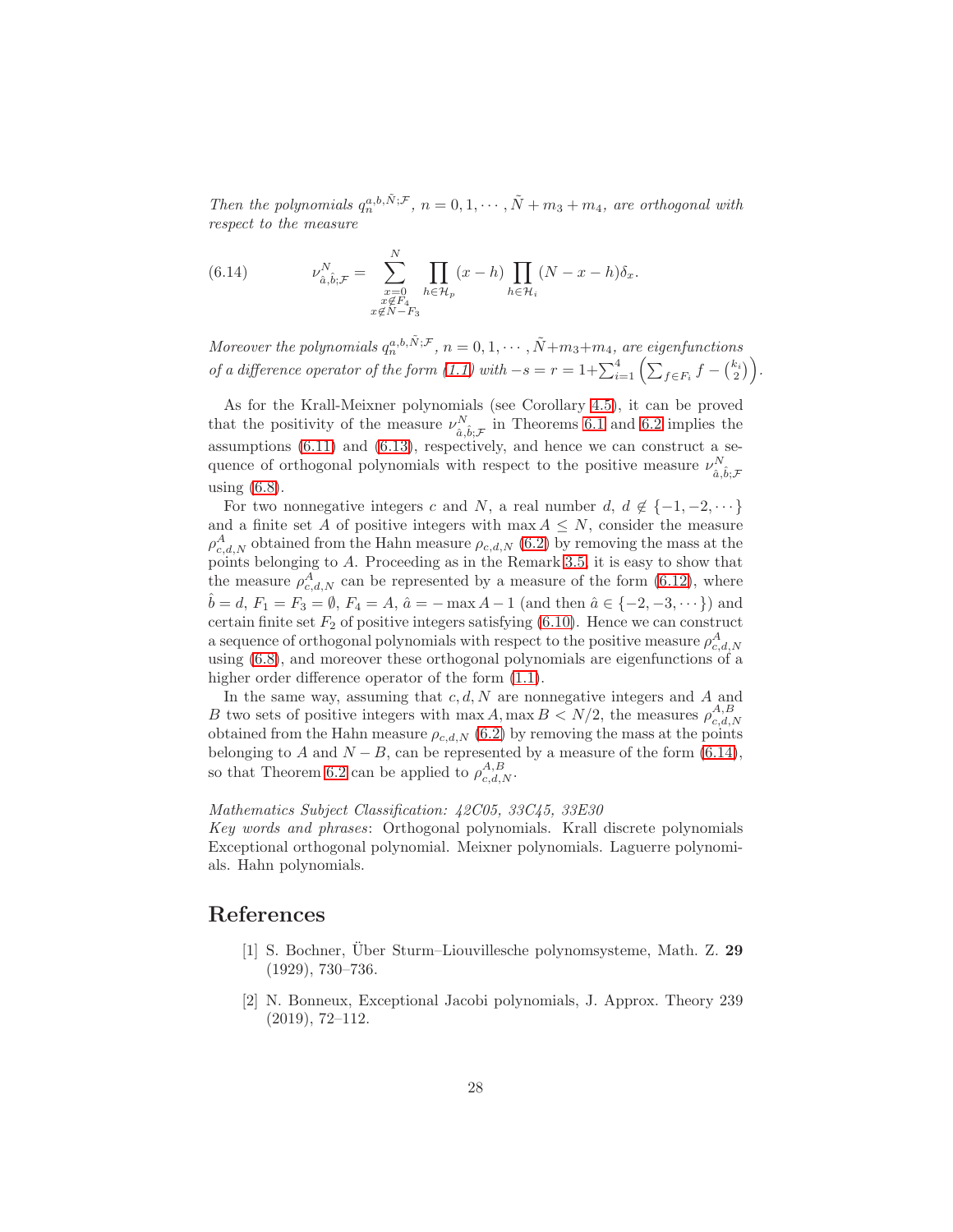Then the polynomials  $q_n^{a,b,\tilde{N};\mathcal{F}}, n = 0, 1, \cdots, \tilde{N} + m_3 + m_4$ , are orthogonal with respect to the measure

<span id="page-27-2"></span>(6.14) 
$$
\nu_{\hat{a},\hat{b};\mathcal{F}}^N = \sum_{\substack{x=0 \ x \notin F_4}}^N \prod_{h \in \mathcal{H}_p} (x-h) \prod_{h \in \mathcal{H}_i} (N-x-h) \delta_x.
$$

Moreover the polynomials  $q_n^{a,b,\tilde{N};\mathcal{F}}, n = 0, 1, \cdots, \tilde{N}+m_3+m_4$ , are eigenfunctions of a difference operator of the form  $(1.1)$  with  $-s = r = 1 + \sum_{i=1}^{4} \left( \sum_{f \in F_i} f - {k_i \choose 2} \right)$ .

As for the Krall-Meixner polynomials (see Corollary [4.5\)](#page-18-0), it can be proved that the positivity of the measure  $\nu_{\hat{a},\hat{b};\mathcal{F}}^{N}$  in Theorems [6.1](#page-26-0) and [6.2](#page-26-1) implies the assumptions [\(6.11\)](#page-26-2) and [\(6.13\)](#page-26-3), respectively, and hence we can construct a sequence of orthogonal polynomials with respect to the positive measure  $\nu_{\hat{a},\hat{b};\mathcal{F}}^{N}$ using [\(6.8\)](#page-25-0).

For two nonnegative integers c and N, a real number d,  $d \notin \{-1, -2, \dots\}$ and a finite set A of positive integers with  $\max A \leq N$ , consider the measure  $\rho_{c,d,N}^A$  obtained from the Hahn measure  $\rho_{c,d,N}$  [\(6.2\)](#page-23-1) by removing the mass at the points belonging to A. Proceeding as in the Remark [3.5,](#page-10-1) it is easy to show that the measure  $\rho_{c,d,N}^A$  can be represented by a measure of the form [\(6.12\)](#page-26-4), where *b* = *d*,  $F_1 = F_3 = \emptyset$ ,  $F_4 = A$ ,  $\hat{a} = -\max A - 1$  (and then  $\hat{a} \in \{-2, -3, \dots\}$ ) and certain finite set  $F_2$  of positive integers satisfying  $(6.10)$ . Hence we can construct a sequence of orthogonal polynomials with respect to the positive measure  $\rho_{c,d,N}^A$ using [\(6.8\)](#page-25-0), and moreover these orthogonal polynomials are eigenfunctions of a higher order difference operator of the form  $(1.1)$ .

In the same way, assuming that  $c, d, N$  are nonnegative integers and A and B two sets of positive integers with  $\max A$ ,  $\max B < N/2$ , the measures  $\rho_{c,d,N}^{A,B}$ obtained from the Hahn measure  $\rho_{c,d,N}$  [\(6.2\)](#page-23-1) by removing the mass at the points belonging to A and  $N - B$ , can be represented by a measure of the form [\(6.14\)](#page-27-2), so that Theorem [6.2](#page-26-1) can be applied to  $\rho_{c,d,N}^{A,B}$ .

#### Mathematics Subject Classification: 42C05, 33C45, 33E30

Key words and phrases: Orthogonal polynomials. Krall discrete polynomials Exceptional orthogonal polynomial. Meixner polynomials. Laguerre polynomials. Hahn polynomials.

### <span id="page-27-1"></span>References

- [1] S. Bochner, Über Sturm–Liouvillesche polynomsysteme, Math. Z. 29 (1929), 730–736.
- <span id="page-27-0"></span>[2] N. Bonneux, Exceptional Jacobi polynomials, J. Approx. Theory 239 (2019), 72–112.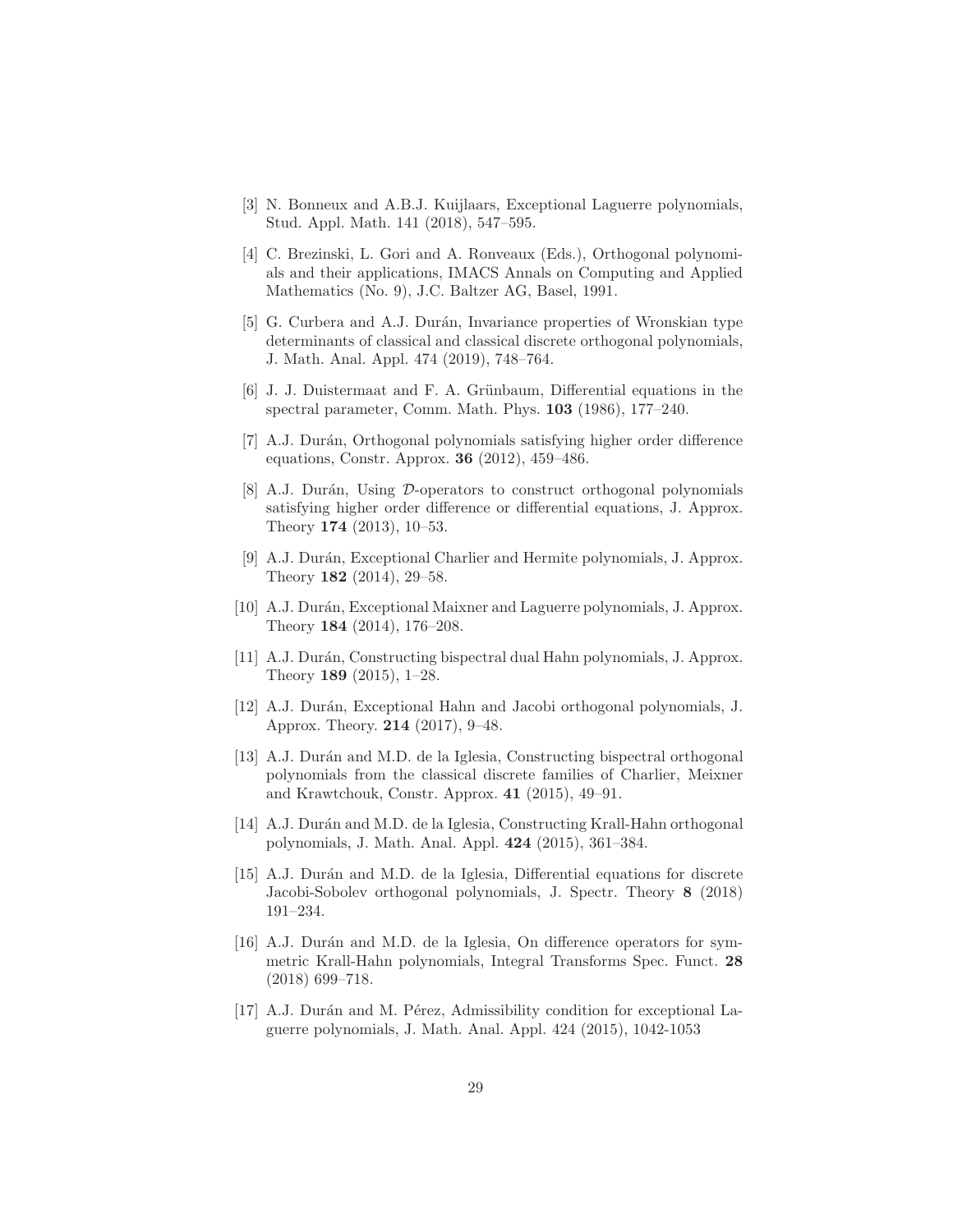- <span id="page-28-10"></span>[3] N. Bonneux and A.B.J. Kuijlaars, Exceptional Laguerre polynomials, Stud. Appl. Math. 141 (2018), 547–595.
- <span id="page-28-0"></span>[4] C. Brezinski, L. Gori and A. Ronveaux (Eds.), Orthogonal polynomials and their applications, IMACS Annals on Computing and Applied Mathematics (No. 9), J.C. Baltzer AG, Basel, 1991.
- <span id="page-28-11"></span>[5] G. Curbera and A.J. Durán, Invariance properties of Wronskian type determinants of classical and classical discrete orthogonal polynomials, J. Math. Anal. Appl. 474 (2019), 748–764.
- <span id="page-28-6"></span>[6] J. J. Duistermaat and F. A. Grünbaum, Differential equations in the spectral parameter, Comm. Math. Phys. 103 (1986), 177–240.
- <span id="page-28-1"></span>[7] A.J. Durán, Orthogonal polynomials satisfying higher order difference equations, Constr. Approx. 36 (2012), 459–486.
- <span id="page-28-2"></span>[8] A.J. Durán, Using  $\mathcal{D}\text{-operators}$  to construct orthogonal polynomials satisfying higher order difference or differential equations, J. Approx. Theory 174 (2013), 10–53.
- <span id="page-28-7"></span>[9] A.J. Durán, Exceptional Charlier and Hermite polynomials, J. Approx. Theory 182 (2014), 29–58.
- <span id="page-28-8"></span>[10] A.J. Durán, Exceptional Maixner and Laguerre polynomials, J. Approx. Theory 184 (2014), 176–208.
- <span id="page-28-3"></span>[11] A.J. Durán, Constructing bispectral dual Hahn polynomials, J. Approx. Theory 189 (2015), 1–28.
- <span id="page-28-9"></span>[12] A.J. Durán, Exceptional Hahn and Jacobi orthogonal polynomials, J. Approx. Theory. 214 (2017), 9–48.
- <span id="page-28-4"></span>[13] A.J. Durán and M.D. de la Iglesia, Constructing bispectral orthogonal polynomials from the classical discrete families of Charlier, Meixner and Krawtchouk, Constr. Approx. 41 (2015), 49–91.
- <span id="page-28-5"></span>[14] A.J. Durán and M.D. de la Iglesia, Constructing Krall-Hahn orthogonal polynomials, J. Math. Anal. Appl. 424 (2015), 361–384.
- <span id="page-28-14"></span>[15] A.J. Durán and M.D. de la Iglesia, Differential equations for discrete Jacobi-Sobolev orthogonal polynomials, J. Spectr. Theory 8 (2018) 191–234.
- <span id="page-28-13"></span>[16] A.J. Durán and M.D. de la Iglesia, On difference operators for symmetric Krall-Hahn polynomials, Integral Transforms Spec. Funct. 28 (2018) 699–718.
- <span id="page-28-12"></span>[17] A.J. Durán and M. Pérez, Admissibility condition for exceptional Laguerre polynomials, J. Math. Anal. Appl. 424 (2015), 1042-1053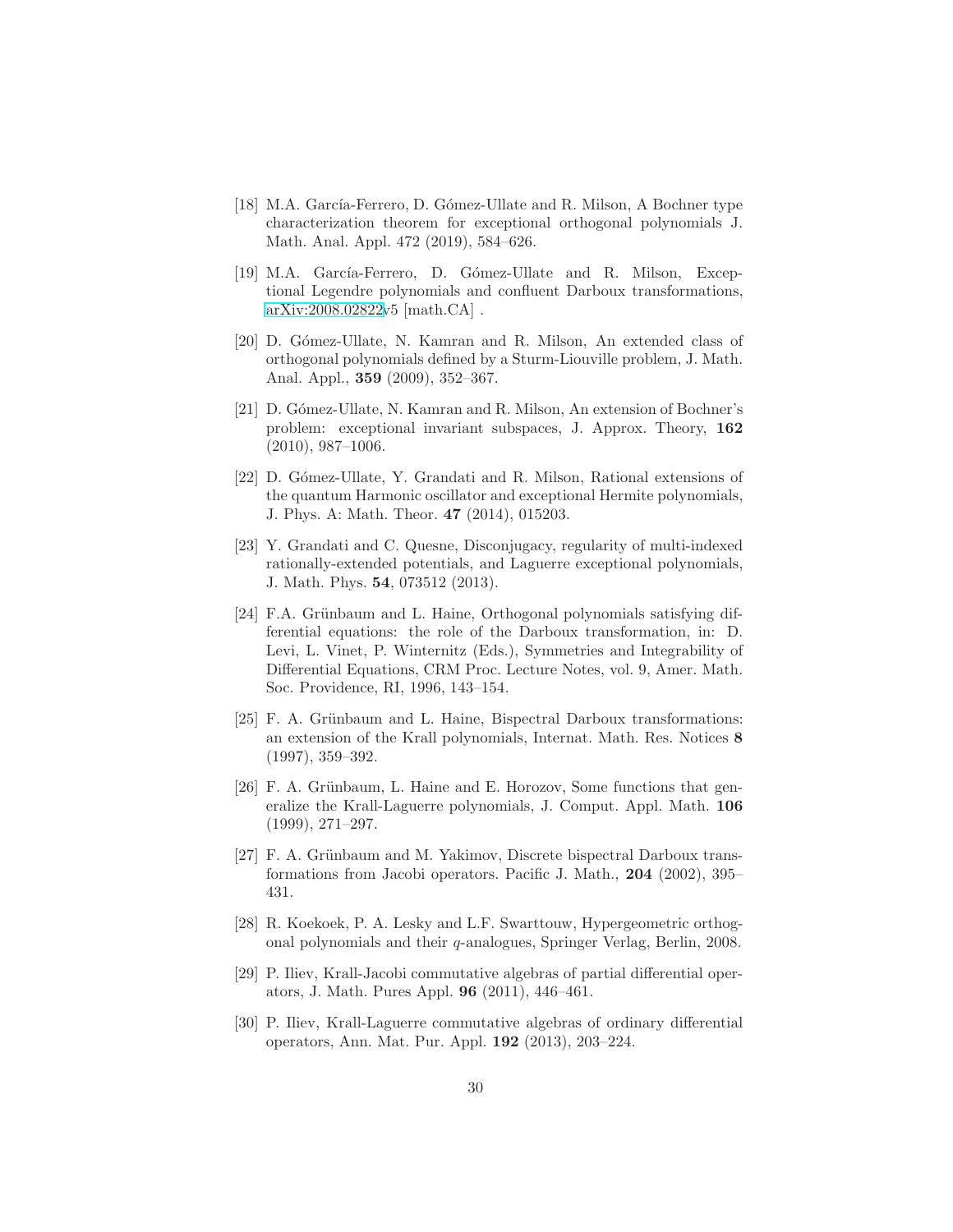- <span id="page-29-6"></span>[18] M.A. García-Ferrero, D. Gómez-Ullate and R. Milson, A Bochner type characterization theorem for exceptional orthogonal polynomials J. Math. Anal. Appl. 472 (2019), 584–626.
- <span id="page-29-11"></span>[19] M.A. García-Ferrero, D. Gómez-Ullate and R. Milson, Exceptional Legendre polynomials and confluent Darboux transformations, [arXiv:2008.02822v](http://arxiv.org/abs/2008.02822)5 [math.CA] .
- <span id="page-29-7"></span>[20] D. Gómez-Ullate, N. Kamran and R. Milson, An extended class of orthogonal polynomials defined by a Sturm-Liouville problem, J. Math. Anal. Appl., 359 (2009), 352–367.
- <span id="page-29-8"></span>[21] D. Gómez-Ullate, N. Kamran and R. Milson, An extension of Bochner's problem: exceptional invariant subspaces, J. Approx. Theory, 162  $(2010), 987-1006.$
- <span id="page-29-9"></span>[22] D. Gómez-Ullate, Y. Grandati and R. Milson, Rational extensions of the quantum Harmonic oscillator and exceptional Hermite polynomials, J. Phys. A: Math. Theor. 47 (2014), 015203.
- <span id="page-29-10"></span>[23] Y. Grandati and C. Quesne, Disconjugacy, regularity of multi-indexed rationally-extended potentials, and Laguerre exceptional polynomials, J. Math. Phys. 54, 073512 (2013).
- <span id="page-29-0"></span>[24] F.A. Grünbaum and L. Haine, Orthogonal polynomials satisfying differential equations: the role of the Darboux transformation, in: D. Levi, L. Vinet, P. Winternitz (Eds.), Symmetries and Integrability of Differential Equations, CRM Proc. Lecture Notes, vol. 9, Amer. Math. Soc. Providence, RI, 1996, 143–154.
- <span id="page-29-5"></span>[25] F. A. Grünbaum and L. Haine, Bispectral Darboux transformations: an extension of the Krall polynomials, Internat. Math. Res. Notices 8 (1997), 359–392.
- <span id="page-29-1"></span>[26] F. A. Grünbaum, L. Haine and E. Horozov, Some functions that generalize the Krall-Laguerre polynomials, J. Comput. Appl. Math. 106 (1999), 271–297.
- <span id="page-29-2"></span>[27] F. A. Grünbaum and M. Yakimov, Discrete bispectral Darboux transformations from Jacobi operators. Pacific J. Math., 204 (2002), 395– 431.
- <span id="page-29-12"></span>[28] R. Koekoek, P. A. Lesky and L.F. Swarttouw, Hypergeometric orthogonal polynomials and their q-analogues, Springer Verlag, Berlin, 2008.
- <span id="page-29-3"></span>[29] P. Iliev, Krall-Jacobi commutative algebras of partial differential operators, J. Math. Pures Appl. 96 (2011), 446–461.
- <span id="page-29-4"></span>[30] P. Iliev, Krall-Laguerre commutative algebras of ordinary differential operators, Ann. Mat. Pur. Appl. 192 (2013), 203–224.